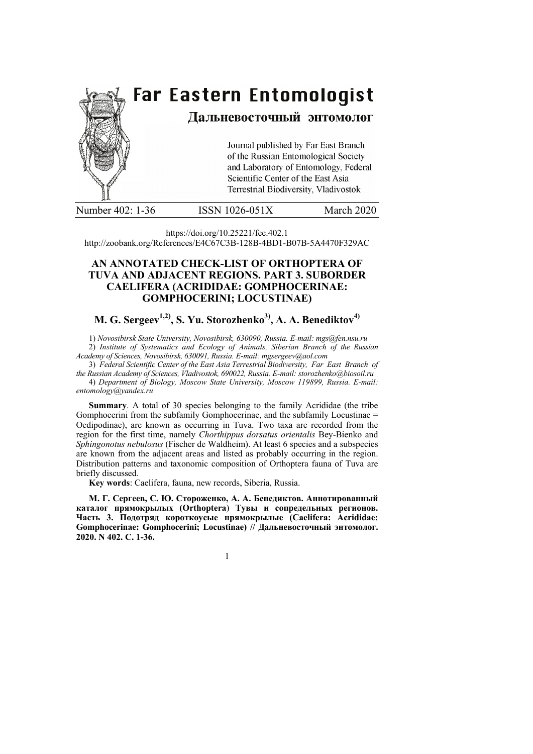

|  | Number 402: 1-36 | <b>ISSN 1026-051X</b> | March 2020 |
|--|------------------|-----------------------|------------|
|--|------------------|-----------------------|------------|

https://doi.org/10.25221/fee.402.1 http://zoobank.org/References/E4C67C3B-128B-4BD1-B07B-5A4470F329AC

# **AN ANNOTATED CHECK-LIST OF ORTHOPTERA OF TUVA AND ADJACENT REGIONS. PART 3. SUBORDER CAELIFERA (ACRIDIDAE: GOMPHOCERINAE: GOMPHOCERINI; LOCUSTINAE)**

# **M. G. Sergeev<sup>1,2)</sup>, S. Yu. Storozhenko<sup>3)</sup>, A. A. Benediktov<sup>4)</sup>**

1) *Novosibirsk State University, Novosibirsk, 630090, Russia. E-mail: mgs@fen.nsu.ru* 2) *Institute of Systematics and Ecology of Animals, Siberian Branch of the Russian Academy of Sciences, Novosibirsk, 630091, Russia. E-mail: mgsergeev@aol.com*

3) *Federal Scientific Center of the East Asia Terrestrial Biodiversity, Far East Branch of the Russian Academy of Sciences, Vladivostok, 690022, Russia. E-mail: storozhenko@biosoil.ru*  4) *Department of Biology, Moscow State University, Moscow 119899, Russia. E-mail: entomology@yandex.ru*

**Summary**. A total of 30 species belonging to the family Acrididae (the tribe Gomphocerini from the subfamily Gomphocerinae, and the subfamily Locustinae = Oedipodinae), are known as occurring in Tuva. Two taxa are recorded from the region for the first time, namely *Chorthippus dorsatus orientalis* Bey-Bienko and *Sphingonotus nebulosus* (Fischer de Waldheim). At least 6 species and a subspecies are known from the adjacent areas and listed as probably occurring in the region. Distribution patterns and taxonomic composition of Orthoptera fauna of Tuva are briefly discussed.

**Key words**: Caelifera, fauna, new records, Siberia, Russia.

**М. Г. Сергеев, С. Ю. Стороженко, А. А. Бенедиктов. Аннотированный каталог прямокрылых (Orthoptera**) **Тувы и сопредельных регионов. Часть 3. Подотряд короткоусые прямокрылые (Caelifera: Acrididae: Gomphocerinae: Gomphocerini; Locustinae) // Дальневосточный энтомолог. 2020. N 402. С. 1-36.**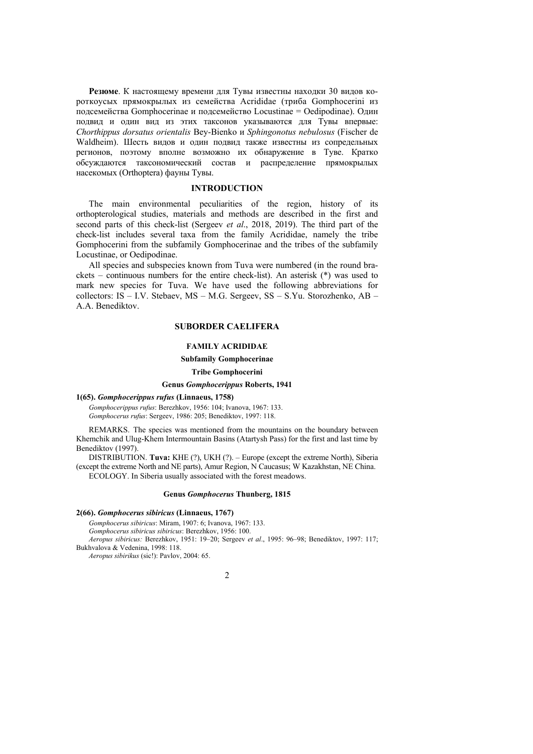**Резюме**. К настоящему времени для Тувы известны находки 30 видов короткоусых прямокрылых из семейства Acrididae (триба Gomphocerini из подсемейства Gomphocerinae и подсемейство Locustinae = Oedipodinae). Один подвид и один вид из этих таксонов указываются для Тувы впервые: *Chorthippus dorsatus orientalis* Bey-Bienko и *Sphingonotus nebulosus* (Fischer de Waldheim). Шесть видов и один подвид также известны из сопредельных регионов, поэтому вполне возможно их обнаружение в Туве. Кратко обсуждаются таксономический состав и распределение прямокрылых насекомых (Orthoptera) фауны Тувы.

# **INTRODUCTION**

The main environmental peculiarities of the region, history of its orthopterological studies, materials and methods are described in the first and second parts of this check-list (Sergeev *et al*., 2018, 2019). The third part of the check-list includes several taxa from the family Acrididae, namely the tribe Gomphocerini from the subfamily Gomphocerinae and the tribes of the subfamily Locustinae, or Oedipodinae.

All species and subspecies known from Tuva were numbered (in the round brackets – continuous numbers for the entire check-list). An asterisk (\*) was used to mark new species for Tuva. We have used the following abbreviations for collectors: IS – I.V. Stebaev, MS – M.G. Sergeev, SS – S.Yu. Storozhenko, AB – A.A. Benediktov.

# **SUBORDER CAELIFERA**

# **FAMILY ACRIDIDAE**

# **Subfamily Gomphocerinae**

# **Tribe Gomphocerini**

# **Genus** *Gomphocerippus* **Roberts, 1941**

# **1(65).** *Gomphocerippus rufus* **(Linnaeus, 1758)**

*Gomphocerippus rufus*: Berezhkov, 1956: 104; Ivanova, 1967: 133. *Gomphocerus rufus*: Sergeev, 1986: 205; Benediktov, 1997: 118.

REMARKS. The species was mentioned from the mountains on the boundary between Khemchik and Ulug-Khem Intermountain Basins (Atartysh Pass) for the first and last time by Benediktov (1997).

DISTRIBUTION. **Tuva:** KHE (?), UKH (?). – Europe (except the extreme North), Siberia (except the extreme North and NE parts), Amur Region, N Caucasus; W Kazakhstan, NE China. ECOLOGY. In Siberia usually associated with the forest meadows.

#### **Genus** *Gomphocerus* **Thunberg, 1815**

# **2(66).** *Gomphocerus sibiricus* **(Linnaeus, 1767)**

*Gomphocerus sibiricus*: Miram, 1907: 6; Ivanova, 1967: 133.

*Gomphocerus sibiricus sibiricus*: Berezhkov, 1956: 100.

*Aeropus sibiricus:* Berezhkov, 1951: 19–20; Sergeev *et al*., 1995: 96–98; Benediktov, 1997: 117; Bukhvalova & Vedenina, 1998: 118.

*Aeropus sibirikus* (sic!): Pavlov, 2004: 65.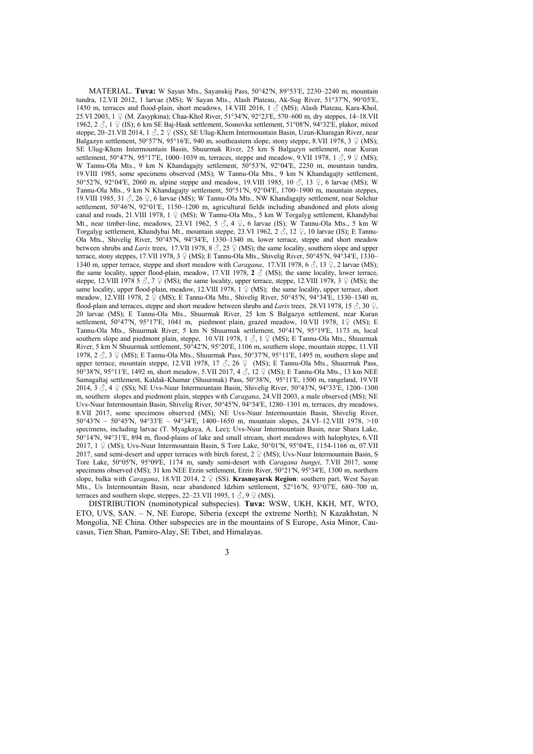MATERIAL. **Tuva:** W Sayan Mts., Sayanskij Pass, 50°42ʹN, 89°53ʹE, 2230–2240 m, mountain tundra, 12.VII 2012, 1 larvae (MS); W Sayan Mts., Alash Plateau, Ak-Sug River, 51°37ʹN, 90°05ʹE, 1450 m, terraces and flood-plain, short meadows, 14.VIII 2016, 1  $\circ$  (MS), Alash Plateau, Kara-Khol, 25.VI 2003, 1 ♀ (M. Zasypkina); Chaa-Khol River, 51°34′N, 92°23′E, 570–600 m, dry steppes, 14–18.VII 1962, 2 ♂, 1 ♀ (IS); 6 km SE Baj-Haak settlement, Sosnovka settlement, 51°08ʹN, 94°32ʹE, plakor, mixed steppe, 20–21.VII 2014, 1  $\beta$ , 2  $\beta$  (SS); SE Ulug-Khem Intermountain Basin, Uzun-Kharagan River, near Balgazyn settlement, 50°57′N, 95°16′E, 940 m, southeastern slope, stony steppe, 8.VII 1978, 3  $\Omega$  (MS); SE Ulug-Khem Intermountain Basin, Shuurmak River, 25 km S Balgazyn settlement, near Kuran settlement, 50°47′N, 95°17′E, 1000–1039 m, terraces, steppe and meadow, 9.VII 1978, 1  $\Im$ , 9  $\Im$  (MS); W Tannu-Ola Mts., 9 km N Khandagajty settlement, 50°53′N, 92°04′E, 2250 m, mountain tundra, 19.VIII 1985, some specimens observed (MS); W Tannu-Ola Mts., 9 km N Khandagajty settlement, 50°52′N, 92°04′E, 2060 m, alpine steppe and meadow, 19.VIII 1985, 10  $\circ$ , 13  $\circ$ , 6 larvae (MS); W Tannu-Ola Mts., 9 km N Khandagajty settlement, 50°51ʹN, 92°04ʹE, 1700–1900 m, mountain steppes, 19.VIII 1985, 31  $\zeta$ , 26  $\zeta$ , 6 larvae (MS); W Tannu-Ola Mts., NW Khandagajty settlement, near Solchur settlement, 50°46<sup>N</sup>, 92°01′E, 1150–1200 m, agricultural fields including abandoned and plots along canal and roads, 21.VIII 1978,  $1 \nsubseteq (MS)$ ; W Tannu-Ola Mts., 5 km W Torgalyg settlement, Khandybai Mt., near timber-line, meadows, 23.VI 1962, 5  $\beta$ , 4  $\beta$ , 6 larvae (IS); W Tannu-Ola Mts., 5 km W Torgalyg settlement, Khandybai Mt., mountain steppe, 23.VI 1962, 2  $\hat{\beta}$ , 12  $\hat{\beta}$ , 10 larvae (IS); E Tannu-Ola Mts., Shivelig River, 50°45ʹN, 94°34ʹE, 1330–1340 m, lower terrace, steppe and short meadow between shrubs and *Larix* trees, 17.VII 1978, 8  $\delta$ , 25  $\Omega$  (MS); the same locality, southern slope and upper terrace, stony steppes, 17.VII 1978, 3  $\circ$  (MS); E Tannu-Ola Mts., Shivelig River, 50°45′N, 94°34′E, 1330– 1340 m, upper terrace, steppe and short meadow with *Caragana*, 17.VII 1978, 6 ♂, 13 ♀, 2 larvae (MS); the same locality, upper flood-plain, meadow, 17.VII 1978,  $2 \text{ } \textcircled{}$  (MS); the same locality, lower terrace, steppe, 12.VIII 1978 5  $\circ$ , 7  $\circ$  (MS); the same locality, upper terrace, steppe, 12.VIII 1978, 3  $\circ$  (MS); the same locality, upper flood-plain, meadow, 12.VIII 1978,  $1 \nsubseteq (MS)$ ; the same locality, upper terrace, short meadow, 12.VIII 1978, 2 ♀ (MS); E Tannu-Ola Mts., Shivelig River, 50°45′N, 94°34<sup>'E</sup>, 1330–1340 m, flood-plain and terraces, steppe and short meadow between shrubs and *Larix* trees, 28.VI 1978, 15 ♂, 30 ♀, 20 larvae (MS); E Tannu-Ola Mts., Shuurmak River, 25 km S Balgazyn settlement, near Kuran settlement, 50°47′N, 95°17′E, 1041 m, piedmont plain, grazed meadow, 10.VII 1978, 1♀ (MS); E Tannu-Ola Mts., Shuurmak River, 5 km N Shuurmak settlement, 50°41ʹN, 95°19ʹE, 1173 m, local southern slope and piedmont plain, steppe, 10.VII 1978, 1  $\Im$ , 1  $\Im$  (MS); E Tannu-Ola Mts., Shuurmak River, 5 km N Shuurmak settlement, 50°42ʹN, 95°20ʹE, 1106 m, southern slope, mountain steppe, 11.VII 1978,  $2 \text{ } \circled{}$ ,  $3 \text{ } \circled{}$  (MS); E Tannu-Ola Mts., Shuurmak Pass,  $50^{\circ}37$ N,  $95^{\circ}11'E$ , 1495 m, southern slope and upper terrace, mountain steppe, 12.VII 1978, 17  $\Im$ , 26  $\Im$  (MS); E Tannu-Ola Mts., Shuurmak Pass, 50°38′N, 95°11′E, 1492 m, short meadow, 5.VII 2017, 4  $\Diamond$ , 12  $\Diamond$  (MS); E Tannu-Ola Mts., 13 km NEE Samagaltaj settlement, Kaldak-Khamar (Shuurmak) Pass, 50°38ʹN, 95°11ʹE, 1500 m, rangeland, 19.VII 2014, 3 ♂, 4 ♀ (SS); NE Uvs-Nuur Intermountain Basin, Shivelig River, 50°43ʹN, 94°33ʹE, 1200–1300 m, southern slopes and piedmont plain, steppes with *Caragana*, 24.VII 2003, a male observed (MS); NE Uvs-Nuur Intermountain Basin, Shivelig River, 50°45ʹN, 94°34ʹE, 1280–1301 m, terraces, dry meadows, 8.VII 2017, some specimens observed (MS); NE Uvs-Nuur Intermountain Basin, Shivelig River, 50°43ʹN – 50°45ʹN, 94°33ʹE – 94°34ʹE, 1400–1650 m, mountain slopes, 24.VI–12.VIII 1978, >10 specimens, including larvae (T. Myagkaya, A. Lee); Uvs-Nuur Intermountain Basin, near Shara Lake,  $50^{\circ}14'$ N,  $94^{\circ}31'E$ ,  $894$  m, flood-plains of lake and small stream, short meadows with halophytes, 6.VII 2017, 1 º (MS); Uvs-Nuur Intermountain Basin, S Tore Lake,  $50^{\circ}01^{\prime}N$ , 95°04′E, 1154-1166 m, 07.VII 2017, sand semi-desert and upper terraces with birch forest,  $2 \nsubseteq (MS)$ ; Uvs-Nuur Intermountain Basin, S Tore Lake, 50°05′N, 95°09′E, 1174 m, sandy semi-desert with *Caragana bungei*, 7.VII 2017, some specimens observed (MS); 31 km NEE Erzin settlement, Erzin River, 50°21′N, 95°34′E, 1300 m, northern slope, balka with *Caragana*, 18.VII 2014, 2 ♀ (SS). **Krasnoyarsk Region**: southern part, West Sayan Mts., Us Intermountain Basin, near abandoned Idzhim settlement, 52°16′N, 93°07′E, 680–700 m, terraces and southern slope, steppes, 22–23. VII 1995,  $1 \text{ } \overset{\circ}{\circ}$ ,  $9 \text{ } \frac{\circ}{\circ}$  (MS).

DISTRIBUTION (nominotypical subspecies). **Tuva:** WSW, UKH, KKH, MT, WTO, ETO, UVS, SAN. – N, NE Europe, Siberia (except the extreme North); N Kazakhstan, N Mongolia, NE China. Other subspecies are in the mountains of S Europe, Asia Minor, Caucasus, Tien Shan, Pamiro-Alay, SE Tibet, and Himalayas.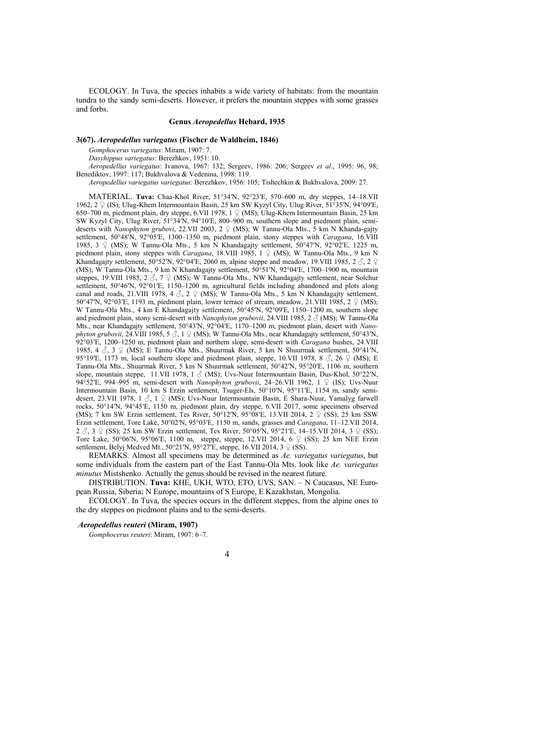ECOLOGY. In Tuva, the species inhabits a wide variety of habitats: from the mountain tundra to the sandy semi-deserts. However, it prefers the mountain steppes with some grasses and forbs.

#### **Genus** *Aeropedellus* **Hebard, 1935**

# **3(67).** *Aeropedellus variegatus* **(Fischer de Waldheim, 1846)**

*Gomphocerus variegatus*: Miram, 1907: 7.

*Dasyhippus variegatus*: Berezhkov, 1951: 10.

*Aeropedellus variegatus*: Ivanova, 1967: 132; Sergeev, 1986: 206; Sergeev *et al*., 1995: 96, 98; Benediktov, 1997: 117; Bukhvalova & Vedenina, 1998: 119.

*Aeropedellus variegatus variegatus*: Berezhkov, 1956: 105; Tishechkin & Bukhvalova, 2009: 27.

MATERIAL. **Tuva:** Chaa-Khol River, 51°34′N, 92°23′E, 570–600 m, dry steppes, 14–18.VII 1962, 2 ♀ (IS); Ulug-Khem Intermountain Basin, 25 km SW Kyzyl City, Ulug River, 51°35′N, 94°09′E, 650–700 m, piedmont plain, dry steppe, 6.VII 1978, 1 ♀ (MS); Ulug-Khem Intermountain Basin, 25 km SW Kyzyl City, Ulug River, 51°34ʹN, 94°10ʹE, 800–900 m, southern slope and piedmont plain, semideserts with *Nanophyton grubovi*, 22.VII 2003, 2 ♀ (MS); W Tannu-Ola Mts., 5 km N Khanda-gajty settlement, 50°48ʹN, 92°05ʹE, 1300–1350 m, piedmont plain, stony steppes with *Caragana*, 16.VIII 1985, 3  $\circ$  (MS); W Tannu-Ola Mts., 5 km N Khandagajty settlement, 50°47′N, 92°02′E, 1225 m, piedmont plain, stony steppes with *Caragana*, 18.VIII 1985, 1 ♀ (MS); W Tannu-Ola Mts., 9 km N Khandagajty settlement, 50°52′N, 92°04′E, 2060 m, alpine steppe and meadow, 19.VIII 1985, 2  $\Im$ , 2  $\Im$ (MS); W Tannu-Ola Mts., 9 km N Khandagajty settlement, 50°51ʹN, 92°04ʹE, 1700–1900 m, mountain steppes, 19.VIII 1985, 2  $\sigma$ , 7  $\sigma$  (MS); W Tannu-Ola Mts., NW Khandagajty settlement, near Solchur settlement, 50°46′N, 92°01′E, 1150–1200 m, agricultural fields including abandoned and plots along canal and roads, 21.VIII 1978, 4  $\circ$ , 2  $\circ$  (MS); W Tannu-Ola Mts., 5 km N Khandagajty settlement, 50°47′N, 92°03′E, 1193 m, piedmont plain, lower terrace of stream, meadow, 21.VIII 1985, 2  $\Omega$  (MS); W Tannu-Ola Mts., 4 km E Khandagajty settlement, 50°45′N, 92°09′E, 1150–1200 m, southern slope and piedmont plain, stony semi-desert with *Nanophyton grubovii*, 24.VIII 1985, 2 ♂ (MS); W Tannu-Ola Mts., near Khandagajty settlement, 50°43′N, 92°04′E, 1170–1200 m, piedmont plain, desert with *Nanophyton grubovii*, 24.VIII 1985, 5  $\hat{\circ}$ , 1  $\hat{P}$  (MS); W Tannu-Ola Mts., near Khandagajty settlement, 50°43′N, 92°03′E, 1200–1250 m, piedmont plain and northern slope, semi-desert with *Caragana* bushes, 24.VIII 1985,  $4 \text{ } \textcircled{3}$ ,  $3 \text{ } \textcircled{2}$  (MS); E Tannu-Ola Mts., Shuurmak River, 5 km N Shuurmak settlement, 50°41′N, 95°19′E, 1173 m, local southern slope and piedmont plain, steppe, 10.VII 1978, 8  $\delta$ , 26  $\dot{\varphi}$  (MS); E Tannu-Ola Mts., Shuurmak River, 5 km N Shuurmak settlement, 50°42ʹN, 95°20ʹE, 1106 m, southern slope, mountain steppe, 11.VII 1978, 1  $\circ$  (MS); Uvs-Nuur Intermountain Basin, Dus-Khol, 50°22′N, 94°52ʹE, 994–995 m, semi-desert with *Nanophyton grubovii*, 24–26.VII 1962, 1 ♀ (IS); Uvs-Nuur Intermountain Basin, 10 km S Erzin settlement, Tsuger-Els, 50°10′N, 95°11′E, 1154 m, sandy semidesert, 23.VII 1978, 1 ♂, 1 ♀ (MS); Uvs-Nuur Intermountain Basin, E Shara-Nuur, Yamalyg farwell rocks, 50°14ʹN, 94°45ʹE, 1150 m, piedmont plain, dry steppe, 6.VII 2017, some specimens observed (MS); 7 km SW Erzin settlement, Tes River, 50°12′N, 95°08′E, 13.VII 2014, 2  $\varphi$  (SS); 25 km SSW Erzin settlement, Tore Lake, 50°02ʹN, 95°03ʹE, 1150 m, sands, grasses and *Caragana*, 11–12.VII 2014, 2  $\circ$ , 3  $\circ$  (SS); 25 km SW Erzin settlement, Tes River, 50°05′N, 95°21′E, 14–15.VII 2014, 3  $\circ$  (SS); Tore Lake, 50°06′N, 95°06′E, 1100 m, steppe, steppe, 12.VII 2014, 6 ♀ (SS); 25 km NEE Erzin settlement, Belyj Medved Mt., 50°21′N, 95°27′E, steppe, 16.VII 2014, 3  $\circ$  (SS).

REMARKS. Almost all specimens may be determined as *Ae. variegatus variegatus*, but some individuals from the eastern part of the East Tannu-Ola Mts. look like *Ae. variegatus minutus* Mistshenko. Actually the genus should be revised in the nearest future.

DISTRIBUTION. **Tuva:** KHE, UKH, WTO, ETO, UVS, SAN. – N Caucasus, NE European Russia, Siberia; N Europe, mountains of S Europe, E Kazakhstan, Mongolia.

ECOLOGY. In Tuva, the species occurs in the different steppes, from the alpine ones to the dry steppes on piedmont plains and to the semi-deserts.

#### *Aeropedellus reuteri* **(Miram, 1907)**

*Gomphocerus reuteri*: Miram, 1907: 6–7.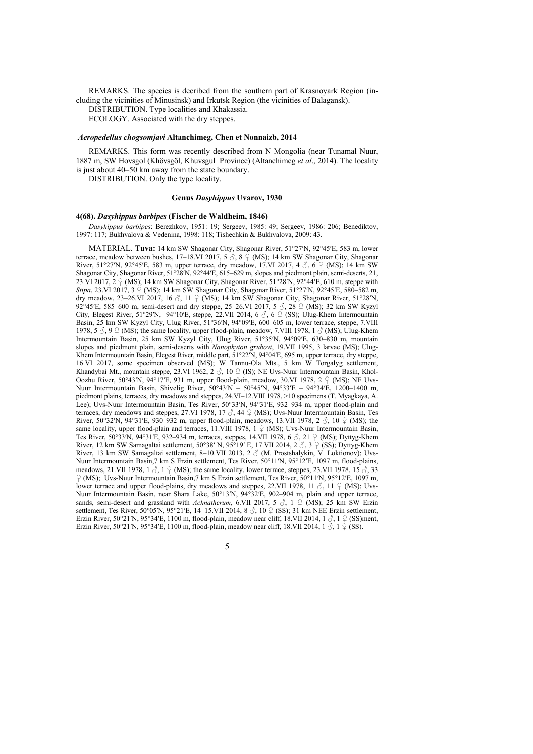REMARKS. The species is decribed from the southern part of Krasnoyark Region (including the vicinities of Minusinsk) and Irkutsk Region (the vicinities of Balagansk).

DISTRIBUTION. Type localities and Khakassia.

ECOLOGY. Associated with the dry steppes.

#### *Aeropedellus chogsomjavi* **Altanchimeg, Chen et Nonnaizb, 2014**

REMARKS. This form was recently described from N Mongolia (near Tunamal Nuur, 1887 m, SW Hovsgol (Khövsgöl, Khuvsgul Province) (Altanchimeg *et al*., 2014). The locality is just about 40–50 km away from the state boundary.

DISTRIBUTION. Only the type locality.

#### **Genus** *Dasyhippus* **Uvarov, 1930**

### **4(68).** *Dasyhippus barbipes* **(Fischer de Waldheim, 1846)**

*Dasyhippus barbipes*: Berezhkov, 1951: 19; Sergeev, 1985: 49; Sergeev, 1986: 206; Benediktov, 1997: 117; Bukhvalova & Vedenina, 1998: 118; Tishechkin & Bukhvalova, 2009: 43.

MATERIAL. **Tuva:** 14 km SW Shagonar City, Shagonar River, 51°27ʹN, 92°45ʹE, 583 m, lower terrace, meadow between bushes, 17-18.VI 2017, 5 3, 8  $\circ$  (MS); 14 km SW Shagonar City, Shagonar River, 51°27′N, 92°45′E, 583 m, upper terrace, dry meadow, 17.VI 2017, 4  $\delta$ , 6  $\Omega$  (MS); 14 km SW Shagonar City, Shagonar River, 51°28′N, 92°44′E, 615–629 m, slopes and piedmont plain, semi-deserts, 21, 23.VI 2017,  $2 \nsubseteq (MS)$ ; 14 km SW Shagonar City, Shagonar River, 51°28′N, 92°44′E, 610 m, steppe with *Stipa*, 23.VI 2017, 3  $\frac{6}{5}$  (MS); 14 km SW Shagonar City, Shagonar River, 51°27′N, 92°45′E, 580–582 m, dry meadow, 23-26.VI 2017, 16  $\Im$ , 11  $\Im$  (MS); 14 km SW Shagonar City, Shagonar River, 51°28′N, 92°45′E, 585–600 m, semi-desert and dry steppe, 25–26.VI 2017, 5  $\Im$ , 28  $\Im$  (MS); 32 km SW Kyzyl City, Elegest River, 51°29′N, 94°10′E, steppe, 22.VII 2014, 6  $\delta$ , 6  $\circ$  (SS); Ulug-Khem Intermountain Basin, 25 km SW Kyzyl City, Ulug River, 51°36′N, 94°09′E, 600–605 m, lower terrace, steppe, 7.VIII 1978, 5  $\Im$ , 9  $\Im$  (MS); the same locality, upper flood-plain, meadow, 7.VIII 1978, 1  $\Im$  (MS); Ulug-Khem Intermountain Basin, 25 km SW Kyzyl City, Ulug River, 51°35ʹN, 94°09ʹE, 630–830 m, mountain slopes and piedmont plain, semi-deserts with *Nanophyton grubovi*, 19.VII 1995, 3 larvae (MS); Ulug-Khem Intermountain Basin, Elegest River, middle part, 51°22ʹN, 94°04ʹE, 695 m, upper terrace, dry steppe, 16.VI 2017, some specimen observed (MS); W Tannu-Ola Mts., 5 km W Torgalyg settlement, Khandybai Mt., mountain steppe, 23.VI 1962, 2  $\Im$ , 10  $\Im$  (IS); NE Uvs-Nuur Intermountain Basin, Khol-Oozhu River, 50°43ʹN, 94°17ʹE, 931 m, upper flood-plain, meadow, 30.VI 1978, 2 ♀ (MS); NE Uvs-Nuur Intermountain Basin, Shivelig River, 50°43′N – 50°45′N, 94°33′E – 94°34′E, 1200–1400 m, piedmont plains, terraces, dry meadows and steppes, 24.VI–12.VIII 1978, >10 specimens (T. Myagkaya, A. Lee); Uvs-Nuur Intermountain Basin, Tes River, 50°33ʹN, 94°31ʹE, 932–934 m, upper flood-plain and terraces, dry meadows and steppes, 27.VI 1978, 17  $\delta$ , 44  $\Omega$  (MS); Uvs-Nuur Intermountain Basin, Tes River, 50°32′N, 94°31′E, 930–932 m, upper flood-plain, meadows, 13.VII 1978, 2  $\circled{S}$ , 10  $\circled{P}$  (MS); the same locality, upper flood-plain and terraces, 11.VIII 1978, 1  $\varphi$  (MS); Uvs-Nuur Intermountain Basin, Tes River, 50°33<sup> $\hat{N}$ </sup>, 94°31′E, 932–934 m, terraces, steppes, 14.VII 1978, 6  $\hat{\circ}$ , 21  $\hat{\circ}$  (MS); Dyttyg-Khem River, 12 km SW Samagaltai settlement, 50°38′ N, 95°19′ E, 17.VII 2014, 2  $\circ$ , 3  $\circ$  (SS); Dyttyg-Khem River, 13 km SW Samagaltai settlement, 8-10.VII 2013, 2  $\circled$  (M. Prostshalykin, V. Loktionov); Uvs-Nuur Intermountain Basin,7 km S Erzin settlement, Tes River, 50°11ʹN, 95°12ʹE, 1097 m, flood-plains, meadows, 21.VII 1978, 1  $\Im$ , 1  $\Im$  (MS); the same locality, lower terrace, steppes, 23.VII 1978, 15  $\Im$ , 33 ♀ (MS); Uvs-Nuur Intermountain Basin,7 km S Erzin settlement, Tes River, 50°11ʹN, 95°12ʹE, 1097 m, lower terrace and upper flood-plains, dry meadows and steppes, 22.VII 1978, 11  $\beta$ , 11  $\beta$  (MS); Uvs-Nuur Intermountain Basin, near Shara Lake, 50°13ʹN, 94°32ʹE, 902–904 m, plain and upper terrace, sands, semi-desert and grassland with *Achnatherum*, 6.VII 2017, 5 ♂, 1 ♀ (MS); 25 km SW Erzin settlement, Tes River, 50°05′N, 95°21′E, 14–15.VII 2014, 8 ♂, 10 ♀ (SS); 31 km NEE Erzin settlement, Erzin River, 50°21′N, 95°34′E, 1100 m, flood-plain, meadow near cliff, 18.VII 2014, 1  $\circ$ , 1  $\circ$  (SS)ment, Erzin River, 50°21′N, 95°34′E, 1100 m, flood-plain, meadow near cliff, 18.VII 2014, 1  $\circ$ , 1  $\circ$  (SS).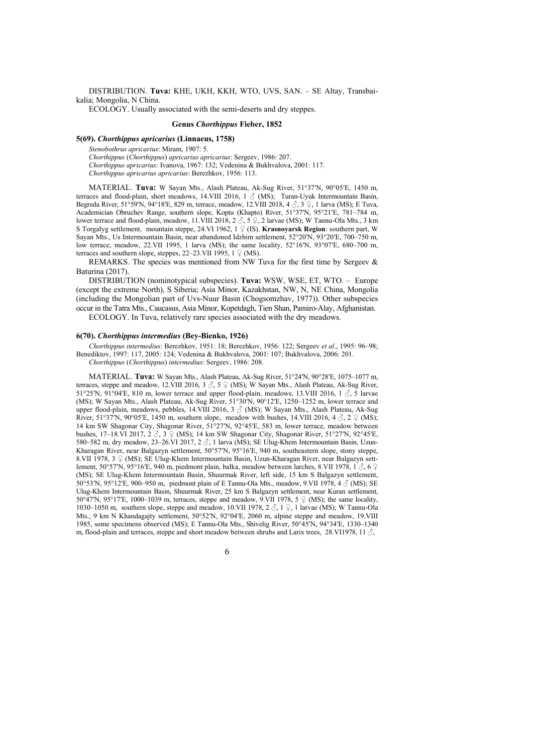DISTRIBUTION. **Tuva:** KHE, UKH, KKH, WTO, UVS, SAN. – SE Altay, Transbaikalia; Mongolia, N China.

ECOLOGY. Usually associated with the semi-deserts and dry steppes.

#### **Genus** *Chorthippus* **Fieber, 1852**

#### **5(69).** *Chorthippus apricarius* **(Linnaeus, 1758)**

*Stenobothrus apricarius*: Miram, 1907: 5.

*Chorthippus* (*Chorthippus*) *apricarius apricarius*: Sergeev, 1986: 207. *Chorthippus apricarius*: Ivanova, 1967: 132; Vedenina & Bukhvalova, 2001: 117. *Chorthippus apricarius apricarius*: Berezhkov, 1956: 113.

MATERIAL. **Tuva:** W Sayan Mts., Alash Plateau, Ak-Sug River, 51°37ʹN, 90°05ʹE, 1450 m, terraces and flood-plain, short meadows, 14.VIII 2016, 1  $\circ$  (MS); Turan-Uyuk Intermountain Basin, Begreda River, 51°59ʹN, 94°18ʹE, 829 m, terrace, meadow, 12.VIII 2018, 4 ♂, 3 ♀, 1 larva (MS); E Tuva, Academician Obruchev Range, southern slope, Koptu (Khapto) River, 51°37ʹN, 95°21ʹE, 781–784 m, lower terrace and flood-plain, meadow, 11.VIII 2018, 2  $\overset{\circ}{\circ}$ , 5  $\overset{\circ}{\div}$ , 2 larvae (MS); W Tannu-Ola Mts., 3 km S Torgalyg settlement, mountain steppe, 24.VI 1962, 1 ♀ (IS). **Krasnoyarsk Region**: southern part, W Sayan Mts., Us Intermountain Basin, near abandoned Idzhim settlement, 52°20′N, 93°20′E, 700–750 m, low terrace, meadow, 22.VII 1995, 1 larva (MS); the same locality, 52°16′N, 93°07′E, 680–700 m, terraces and southern slope, steppes,  $22-23$ .VII 1995, 1  $\circ$  (MS).

REMARKS. The species was mentioned from NW Tuva for the first time by Sergeev  $\&$ Baturina (2017).

DISTRIBUTION (nominotypical subspecies). **Tuva:** WSW, WSE, ET, WTO. – Europe (except the extreme North), S Siberia; Asia Minor, Kazakhstan, NW, N, NE China, Mongolia (including the Mongolian part of Uvs-Nuur Basin (Chogsomzhav, 1977)). Other subspecies occur in the Tatra Mts., Caucasus, Asia Minor, Kopetdagh, Tien Shan, Pamiro-Alay, Afghanistan. ECOLOGY. In Tuva, relatively rare species associated with the dry meadows.

#### **6(70).** *Chorthippus intermedius* **(Bey-Bienko, 1926)**

*Chorthippus intermedius*: Berezhkov, 1951: 18; Berezhkov, 1956: 122; Sergeev *et al*., 1995: 96–98; Benediktov, 1997: 117, 2005: 124; Vedenina & Bukhvalova, 2001: 107; Bukhvalova, 2006: 201. *Chorthippus* (*Chorthippus*) *intermedius*: Sergeev, 1986: 208.

MATERIAL. **Tuva:** W Sayan Mts., Alash Plateau, Ak-Sug River, 51°24ʹN, 90°28ʹE, 1075–1077 m, terraces, steppe and meadow, 12.VIII 2016, 3  $\circ$ , 5  $\circ$  (MS); W Sayan Mts., Alash Plateau, Ak-Sug River, 51°25′N, 91°04′E, 810 m, lower terrace and upper flood-plain, meadows, 13.VIII 2016, 1  $\delta$ , 5 larvae (MS); W Sayan Mts., Alash Plateau, Ak-Sug River, 51°30ʹN, 90°12ʹE, 1250–1252 m, lower terrace and upper flood-plain, meadows, pebbles, 14.VIII 2016, 3  $\circ$  (MS); W Sayan Mts., Alash Plateau, Ak-Sug River, 51°37′N, 90°05′E, 1450 m, southern slope, meadow with bushes, 14.VIII 2016, 4  $\Im$ , 2  $\Im$  (MS); 14 km SW Shagonar City, Shagonar River, 51°27ʹN, 92°45ʹE, 583 m, lower terrace, meadow between bushes, 17–18.VI 2017, 2  $\delta$ , 3  $\Omega$  (MS); 14 km SW Shagonar City, Shagonar River, 51°27′N, 92°45′E, 580–582 m, dry meadow, 23–26.VI 2017, 2  $\Diamond$ , 1 larva (MS); SE Ulug-Khem Intermountain Basin, Uzun-Kharagan River, near Balgazyn settlement, 50°57ʹN, 95°16ʹE, 940 m, southeastern slope, stony steppe, 8.VII 1978, 3 ♀ (MS); SE Ulug-Khem Intermountain Basin, Uzun-Kharagan River, near Balgazyn settlement, 50°57′N, 95°16′E, 940 m, piedmont plain, balka, meadow between larches, 8.VII 1978, 1  $\Im$ , 6  $\Im$ (MS); SE Ulug-Khem Intermountain Basin, Shuurmak River, left side, 15 km S Balgazyn settlement, 50°53′N, 95°12′E, 900–950 m, piedmont plain of E Tannu-Ola Mts., meadow, 9.VII 1978, 4  $\mathcal{J}$  (MS); SE Ulug-Khem Intermountain Basin, Shuurmak River, 25 km S Balgazyn settlement, near Kuran settlement, 50°47′N, 95°17′E, 1000–1039 m, terraces, steppe and meadow, 9.VII 1978, 5  $\circ$  (MS); the same locality, 1030–1050 m, southern slope, steppe and meadow, 10.VII 1978,  $2 \land 1 \lor 1$  larvae (MS); W Tannu-Ola Mts., 9 km N Khandagajty settlement, 50°52′N, 92°04′E, 2060 m, alpine steppe and meadow, 19.VIII 1985, some specimens observed (MS); E Tannu-Ola Mts., Shivelig River, 50°45ʹN, 94°34ʹE, 1330–1340 m, flood-plain and terraces, steppe and short meadow between shrubs and Larix trees, 28.VI1978, 11  $\delta$ ,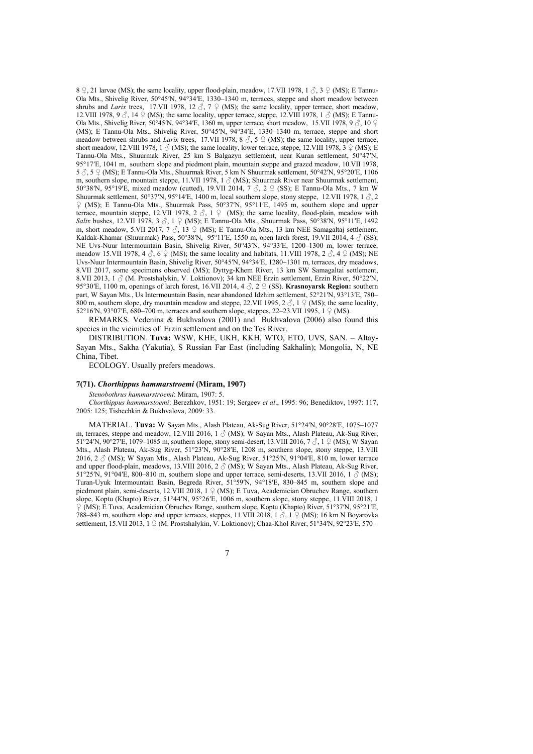8  $\degree$ , 21 larvae (MS); the same locality, upper flood-plain, meadow, 17.VII 1978, 1  $\degree$ , 3  $\degree$  (MS); E Tannu-Ola Mts., Shivelig River, 50°45ʹN, 94°34ʹE, 1330–1340 m, terraces, steppe and short meadow between shrubs and *Larix* trees, 17.VII 1978, 12  $\Im$ , 7  $\Im$  (MS); the same locality, upper terrace, short meadow, 12.VIII 1978, 9  $\Im$ , 14  $\Im$  (MS); the same locality, upper terrace, steppe, 12.VIII 1978, 1  $\Im$  (MS); E Tannu-Ola Mts., Shivelig River, 50°45′N, 94°34′E, 1360′m, upper terrace, short meadow, 15.VII 1978, 9  $\circ$ , 10  $\circ$ (MS); E Tannu-Ola Mts., Shivelig River, 50°45ʹN, 94°34ʹE, 1330–1340 m, terrace, steppe and short meadow between shrubs and *Larix* trees, 17.VII 1978, 8 ♂, 5 ♀ (MS); the same locality, upper terrace, short meadow, 12.VIII 1978, 1  $\circ$  (MS); the same locality, lower terrace, steppe, 12.VIII 1978,  $3 \circ \circ$  (MS); E Tannu-Ola Mts., Shuurmak River, 25 km S Balgazyn settlement, near Kuran settlement, 50°47ʹN, 95°17ʹE, 1041 m, southern slope and piedmont plain, mountain steppe and grazed meadow, 10.VII 1978, 5 ♂, 5 ♀ (MS); E Tannu-Ola Mts., Shuurmak River, 5 km N Shuurmak settlement, 50°42ʹN, 95°20ʹE, 1106 m, southern slope, mountain steppe, 11.VII 1978, 1  $\circ$  (MS); Shuurmak River near Shuurmak settlement, 50°38′N, 95°19′E, mixed meadow (cutted), 19.VII 2014,  $7 \text{ } \textcircled{} \text{ } 2 \text{ } \textcircled{}$  (SS); E Tannu-Ola Mts., 7 km W Shuurmak settlement, 50°37′N, 95°14′E, 1400 m, local southern slope, stony steppe, 12.VII 1978, 1 $\beta$ , 2 ♀ (MS); E Tannu-Ola Mts., Shuurmak Pass, 50°37ʹN, 95°11ʹE, 1495 m, southern slope and upper terrace, mountain steppe, 12.VII 1978, 2  $\Diamond$ , 1  $\Diamond$  (MS); the same locality, flood-plain, meadow with *Salix* bushes, 12.VII 1978, 3 ♂, 1 ♀ (MS); E Tannu-Ola Mts., Shuurmak Pass, 50°38′N, 95°11′E, 1492 m, short meadow, 5.VII 2017,  $7\sigma$ , 13  $\sigma$  (MS); E Tannu-Ola Mts., 13 km NEE Samagaltaj settlement, Kaldak-Khamar (Shuurmak) Pass, 50°38′N, 95°11′E, 1550 m, open larch forest, 19.VII 2014, 4  $\circ$  (SS); NE Uvs-Nuur Intermountain Basin, Shivelig River, 50°43ʹN, 94°33ʹE, 1200–1300 m, lower terrace, meadow 15.VII 1978, 4  $\Im$ , 6  $\Im$  (MS); the same locality and habitats, 11.VIII 1978, 2  $\Im$ , 4  $\Im$  (MS); NE Uvs-Nuur Intermountain Basin, Shivelig River, 50°45ʹN, 94°34ʹE, 1280–1301 m, terraces, dry meadows, 8.VII 2017, some specimens observed (MS); Dyttyg-Khem River, 13 km SW Samagaltai settlement, 8.VII 2013, 1  $\circ$  (M. Prostshalykin, V. Loktionov); 34 km NEE Erzin settlement, Erzin River, 50°22′N, 95°30ʹE, 1100 m, openings of larch forest, 16.VII 2014, 4 ♂, 2 ♀ (SS). **Krasnoyarsk Region:** southern part, W Sayan Mts., Us Intermountain Basin, near abandoned Idzhim settlement, 52°21′N, 93°13′E, 780– 800 m, southern slope, dry mountain meadow and steppe, 22.VII 1995, 2  $\Im$ , 1  $\Im$  (MS); the same locality, 52°16′N, 93°07′E, 680–700 m, terraces and southern slope, steppes, 22–23. VII 1995, 1  $\Omega$  (MS).

REMARKS. Vedenina & Bukhvalova (2001) and Bukhvalova (2006) also found this species in the vicinities of Erzin settlement and on the Tes River.

DISTRIBUTION. **Tuva:** WSW, KHE, UKH, KKH, WTO, ETO, UVS, SAN. – Altay-Sayan Mts., Sakha (Yakutia), S Russian Far East (including Sakhalin); Mongolia, N, NE China, Tibet.

ECOLOGY. Usually prefers meadows.

# **7(71).** *Chorthippus hammarstroemi* **(Miram, 1907)**

*Stenobothrus hammarstroemi*: Miram, 1907: 5.

*Chorthippus hammarstoemi*: Berezhkov, 1951: 19; Sergeev *et al*., 1995: 96; Benediktov, 1997: 117, 2005: 125; Tishechkin & Bukhvalova, 2009: 33.

MATERIAL. **Tuva:** W Sayan Mts., Alash Plateau, Ak-Sug River, 51°24ʹN, 90°28ʹE, 1075–1077 m, terraces, steppe and meadow, 12.VIII 2016, 1  $\circ$  (MS); W Sayan Mts., Alash Plateau, Ak-Sug River, 51°24′N, 90°27′E, 1079–1085 m, southern slope, stony semi-desert, 13.VIII 2016, 7 $\Im$ , 1 $\Im$  (MS); W Sayan Mts., Alash Plateau, Ak-Sug River, 51°23′N, 90°28′E, 1208 m, southern slope, stony steppe, 13.VIII 2016, 2 ♂ (MS); W Sayan Mts., Alash Plateau, Ak-Sug River, 51°25ʹN, 91°04ʹE, 810 m, lower terrace and upper flood-plain, meadows, 13.VIII 2016, 2  $\circ$  (MS); W Sayan Mts., Alash Plateau, Ak-Sug River, 51°25′N, 91°04′E, 800–810 m, southern slope and upper terrace, semi-deserts, 13. VII 2016, 1  $\delta$  (MS); Turan-Uyuk Intermountain Basin, Begreda River, 51°59ʹN, 94°18ʹE, 830–845 m, southern slope and piedmont plain, semi-deserts, 12.VIII 2018, 1 ♀ (MS); E Tuva, Academician Obruchev Range, southern slope, Koptu (Khapto) River, 51°44′N, 95°26′E, 1006 m, southern slope, stony steppe, 11. VIII 2018, 1 ♀ (MS); E Tuva, Academician Obruchev Range, southern slope, Koptu (Khapto) River, 51°37ʹN, 95°21ʹE, 788–843 m, southern slope and upper terraces, steppes, 11.VIII 2018, 1  $\beta$ , 1  $\gamma$  (MS); 16 km N Boyarovka settlement, 15.VII 2013, 1 ♀ (M. Prostshalykin, V. Loktionov); Chaa-Khol River, 51°34′N, 92°23′E, 570–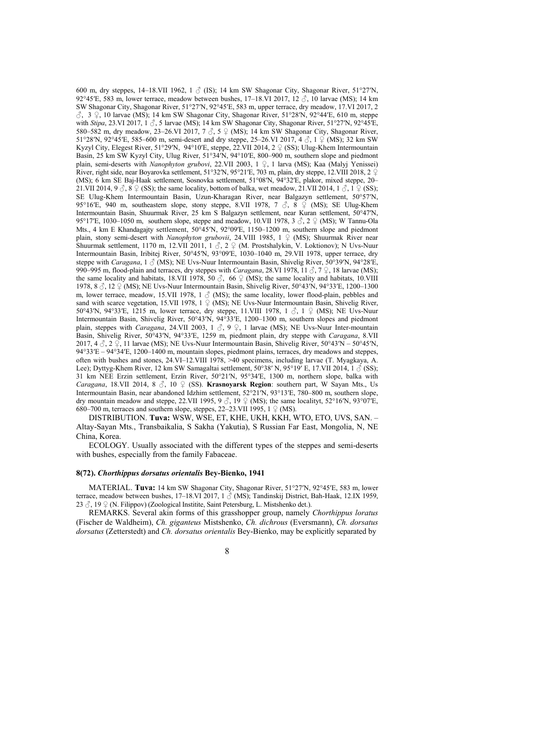600 m, dry steppes, 14–18.VII 1962, 1  $\delta$  (IS); 14 km SW Shagonar City, Shagonar River, 51°27′N. 92°45′E, 583 m, lower terrace, meadow between bushes,  $17-18$ .VI 2017,  $12\text{ }\frac{3}{2}$ , 10 larvae (MS); 14 km SW Shagonar City, Shagonar River, 51°27ʹN, 92°45ʹE, 583 m, upper terrace, dry meadow, 17.VI 2017, 2  $\hat{\zeta}$ , 3  $\hat{\zeta}$ , 10 larvae (MS); 14 km SW Shagonar City, Shagonar River, 51°28′N, 92°44′E, 610 m, steppe with *Stipa*, 23.VI 2017, 1  $\beta$ , 5 larvae (MS); 14 km SW Shagonar City, Shagonar River, 51°27′N, 92°45<sup>'</sup>E, 580–582 m, dry meadow, 23–26.VI 2017, 7  $\Im$ , 5  $\Im$  (MS); 14 km SW Shagonar City, Shagonar River, 51°28′N, 92°45′E, 585–600 m, semi-desert and dry steppe, 25–26.VI 2017, 4 3, 1 ♀ (MS); 32 km SW Kyzyl City, Elegest River, 51°29ʹN, 94°10ʹE, steppe, 22.VII 2014, 2 ♀ (SS); Ulug-Khem Intermountain Basin, 25 km SW Kyzyl City, Ulug River, 51°34ʹN, 94°10ʹE, 800–900 m, southern slope and piedmont plain, semi-deserts with *Nanophyton grubovi*, 22.VII 2003, 1 ♀, 1 larva (MS); Kaa (Malyj Yenissei) River, right side, near Boyarovka settlement, 51°32′N, 95°21′E, 703 m, plain, dry steppe, 12.VIII 2018, 2 ♀ (MS); 6 km SE Baj-Haak settlement, Sosnovka settlement, 51°08ʹN, 94°32ʹE, plakor, mixed steppe, 20– 21.VII 2014, 9  $\delta$ , 8  $\circ$  (SS); the same locality, bottom of balka, wet meadow, 21.VII 2014, 1  $\delta$ , 1  $\circ$  (SS); SE Ulug-Khem Intermountain Basin, Uzun-Kharagan River, near Balgazyn settlement, 50°57ʹN, 95°16′E, 940 m, southeastern slope, stony steppe, 8.VII 1978, 7  $\Im$ , 8  $\Im$  (MS); SE Ulug-Khem Intermountain Basin, Shuurmak River, 25 km S Balgazyn settlement, near Kuran settlement, 50°47ʹN, 95°17′E, 1030–1050 m, southern slope, steppe and meadow, 10.VII 1978, 3  $\Im$ , 2  $\Im$  (MS); W Tannu-Ola Mts., 4 km E Khandagajty settlement, 50°45ʹN, 92°09ʹE, 1150–1200 m, southern slope and piedmont plain, stony semi-desert with *Nanophyton grubovii*, 24.VIII 1985, 1 ♀ (MS); Shuurmak River near Shuurmak settlement, 1170 m, 12.VII 2011, 1  $\Im$ , 2  $\Im$  (M. Prostshalykin, V. Loktionov); N Uvs-Nuur Intermountain Basin, Iribitej River, 50°45′N, 93°09′E, 1030–1040 m, 29.VII 1978, upper terrace, dry steppe with *Caragana*, 1 ♂ (MS); NE Uvs-Nuur Intermountain Basin, Shivelig River, 50°39ʹN, 94°28ʹE, 990–995 m, flood-plain and terraces, dry steppes with *Caragana*, 28.VI 1978, 11 ♂, 7 ♀, 18 larvae (MS); the same locality and habitats, 18.VII 1978, 50  $\circ$ , 66  $\circ$  (MS); the same locality and habitats, 10.VIII 1978,  $8 \text{ }\partial$ , 12  $\varphi$  (MS); NE Uvs-Nuur Intermountain Basin, Shivelig River, 50°43′N, 94°33′E, 1200–1300 m, lower terrace, meadow, 15.VII 1978,  $1 \text{ } \textcircled{}$  (MS); the same locality, lower flood-plain, pebbles and sand with scarce vegetation, 15.VII 1978, 1  $\varphi$  (MS); NE Uvs-Nuur Intermountain Basin, Shivelig River, 50°43′N, 94°33′E, 1215 m, lower terrace, dry steppe, 11.VIII 1978, 1  $\Im$ , 1  $\Im$  (MS); NE Uvs-Nuur Intermountain Basin, Shivelig River, 50°43ʹN, 94°33ʹE, 1200–1300 m, southern slopes and piedmont plain, steppes with *Caragana*, 24.VII 2003, 1  $\beta$ , 9  $\frac{1}{2}$ , 1 larvae (MS); NE Uvs-Nuur Inter-mountain Basin, Shivelig River, 50°43ʹN, 94°33ʹE, 1259 m, piedmont plain, dry steppe with *Caragana*, 8.VII 2017, 4  $\Im$ , 2  $\Im$ , 11 larvae (MS); NE Uvs-Nuur Intermountain Basin, Shivelig River, 50°43′N – 50°45′N, 94°33ʹE – 94°34ʹE, 1200–1400 m, mountain slopes, piedmont plains, terraces, dry meadows and steppes, often with bushes and stones, 24.VI–12.VIII 1978, >40 specimens, including larvae (T. Myagkaya, A. Lee); Dyttyg-Khem River, 12 km SW Samagaltai settlement, 50°38′ N, 95°19<sup>′</sup> E, 17.VII 2014, 1  $\check{\mathcal{O}}$  (SS); 31 km NEE Erzin settlement, Erzin River, 50°21ʹN, 95°34ʹE, 1300 m, northern slope, balka with *Caragana*, 18.VII 2014, 8 ♂, 10 ♀ (SS). **Krasnoyarsk Region**: southern part, W Sayan Mts., Us Intermountain Basin, near abandoned Idzhim settlement, 52°21′N, 93°13′E, 780–800 m, southern slope, dry mountain meadow and steppe, 22.VII 1995, 9  $\Im$ , 19  $\Im$  (MS); the same localityt, 52°16′N, 93°07<sup>TE</sup>, 680–700 m, terraces and southern slope, steppes, 22–23. VII 1995,  $1 \nsubseteq (MS)$ .

DISTRIBUTION. **Tuva:** WSW, WSE, ET, KHE, UKH, KKH, WTO, ETO, UVS, SAN. – Altay-Sayan Mts., Transbaikalia, S Sakha (Yakutia), S Russian Far East, Mongolia, N, NE China, Korea.

ECOLOGY. Usually associated with the different types of the steppes and semi-deserts with bushes, especially from the family Fabaceae.

#### **8(72).** *Chorthippus dorsatus orientalis* **Bey-Bienko, 1941**

MATERIAL. **Tuva:** 14 km SW Shagonar City, Shagonar River, 51°27ʹN, 92°45ʹE, 583 m, lower terrace, meadow between bushes, 17–18.VI 2017, 1 $\hat{\beta}$  (MS); Tandinskij District, Bah-Haak, 12.IX 1959, 23  $\Diamond$ , 19  $\Diamond$  (N. Filippov) (Zoological Institite, Saint Petersburg, L. Mistshenko det.).

REMARKS. Several akin forms of this grasshopper group, namely *Chorthippus loratus*  (Fischer de Waldheim), *Ch. giganteus* Mistshenko, *Ch. dichrous* (Eversmann), *Ch. dorsatus dorsatus* (Zetterstedt) and *Ch. dorsatus orientalis* Bey-Bienko, may be explicitly separated by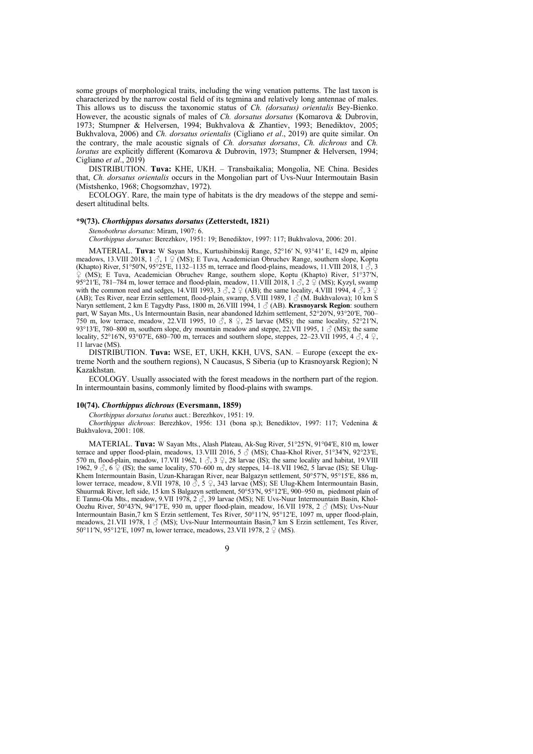some groups of morphological traits, including the wing venation patterns. The last taxon is characterized by the narrow costal field of its tegmina and relatively long antennae of males. This allows us to discuss the taxonomic status of *Ch. (dorsatus) orientalis* Bey-Bienko. However, the acoustic signals of males of *Ch. dorsatus dorsatus* (Komarova & Dubrovin, 1973; Stumpner & Helversen, 1994; Bukhvalova & Zhantiev, 1993; Benediktov, 2005; Bukhvalova, 2006) and *Ch. dorsatus orientalis* (Cigliano *et al*., 2019) are quite similar. On the contrary, the male acoustic signals of *Ch. dorsatus dorsatus*, *Ch. dichrous* and *Ch. loratus* are explicitly different (Komarova & Dubrovin, 1973; Stumpner & Helversen, 1994; Cigliano *et al*., 2019)

DISTRIBUTION. **Tuva:** KHE, UKH. – Transbaikalia; Mongolia, NE China. Besides that, *Ch. dorsatus orientalis* occurs in the Mongolian part of Uvs-Nuur Intermoutain Basin (Mistshenko, 1968; Chogsomzhav, 1972).

ECOLOGY. Rare, the main type of habitats is the dry meadows of the steppe and semidesert altitudinal belts.

# **\*9(73).** *Chorthippus dorsatus dorsatus* **(Zetterstedt, 1821)**

*Stenobothrus dorsatus*: Miram, 1907: 6.

*Chorthippus dorsatus*: Berezhkov, 1951: 19; Benediktov, 1997: 117; Bukhvalova, 2006: 201.

MATERIAL. **Tuva:** W Sayan Mts., Kurtushibinskij Range, 52°16ʹ N, 93°41ʹ E, 1429 m, alpine meadows, 13.VIII 2018, 1  $\beta$ , 1  $\beta$  (MS); E Tuva, Academician Obruchev Range, southern slope, Koptu (Khapto) River, 51°50′N, 95°25′E, 1132–1135 m, terrace and flood-plains, meadows, 11.VIII 2018, 1 $\hat{\phi}$ , 3 ♀ (MS); E Tuva, Academician Obruchev Range, southern slope, Koptu (Khapto) River, 51°37ʹN, 95°21′E, 781–784 m, lower terrace and flood-plain, meadow, 11.VIII 2018, 1  $\Im$ , 2  $\Im$  (MS); Kyzyl, swamp with the common reed and sedges, 14.VIII 1993, 3  $\sigma$ , 2  $\sigma$  (AB); the same locality, 4.VIII 1994, 4  $\sigma$ , 3  $\sigma$ (AB); Tes River, near Erzin settlement, flood-plain, swamp, 5.VIII 1989, 1 ♂ (M. Bukhvalova); 10 km S Naryn settlement, 2 km E Tagydty Pass, 1800 m, 26.VIII 1994, 1 ♂ (AB). **Krasnoyarsk Region**: southern part, W Sayan Mts., Us Intermountain Basin, near abandoned Idzhim settlement, 52°20′N, 93°20′E, 700– 750 m, low terrace, meadow, 22.VII 1995, 10  $\circ$ , 8  $\circ$ , 25 larvae (MS); the same locality, 52°21′N, 93°13′E, 780–800 m, southern slope, dry mountain meadow and steppe, 22.VII 1995, 1  $\sigma$  (MS); the same locality, 52°16′N, 93°07′E, 680–700 m, terraces and southern slope, steppes, 22–23.VII 1995, 4  $\delta$ , 4  $\Omega$ , 11 larvae (MS).

DISTRIBUTION. **Tuva:** WSE, ET, UKH, KKH, UVS, SAN. – Europe (except the extreme North and the southern regions), N Caucasus, S Siberia (up to Krasnoyarsk Region); N Kazakhstan.

ECOLOGY. Usually associated with the forest meadows in the northern part of the region. In intermountain basins, commonly limited by flood-plains with swamps.

# **10(74).** *Chorthippus dichrous* **(Eversmann, 1859)**

*Chorthippus dorsatus loratus* auct.: Berezhkov, 1951: 19.

*Chorthippus dichrous*: Berezhkov, 1956: 131 (bona sp.); Benediktov, 1997: 117; Vedenina & Bukhvalova, 2001: 108.

MATERIAL. **Tuva:** W Sayan Mts., Alash Plateau, Ak-Sug River, 51°25ʹN, 91°04ʹE, 810 m, lower terrace and upper flood-plain, meadows, 13.VIII 2016, 5  $\circ$  (MS); Chaa-Khol River, 51°34′N, 92°23′E, 570 m, flood-plain, meadow, 17.VII 1962, 1  $\leq$ , 3  $\subseteq$ , 28 larvae (IS); the same locality and habitat, 19.VIII 1962, 9  $\circ$ , 6  $\circ$  (IS); the same locality, 570–600 m, dry steppes, 14–18.VII 1962, 5 larvae (IS); SE Ulug-Khem Intermountain Basin, Uzun-Kharagan River, near Balgazyn settlement, 50°57′N, 95°15′E, 886 m, lower terrace, meadow, 8.VII 1978, 10  $\circ$ , 5  $\circ$ , 343 larvae (MS); SE Ulug-Khem Intermountain Basin, Shuurmak River, left side, 15 km S Balgazyn settlement, 50°53ʹN, 95°12ʹE, 900–950 m, piedmont plain of E Tannu-Ola Mts., meadow, 9.VII 1978,  $2 \text{ } \textcircled{}$ , 39 larvae (MS); NE Uvs-Nuur Intermountain Basin, Khol-Oozhu River, 50°43′N, 94°17′E, 930 m, upper flood-plain, meadow, 16.VII 1978, 2  $\circ$  (MS); Uvs-Nuur Intermountain Basin,7 km S Erzin settlement, Tes River, 50°11ʹN, 95°12ʹE, 1097 m, upper flood-plain, meadows, 21.VII 1978, 1  $\delta$  (MS); Uvs-Nuur Intermountain Basin, 7 km S Erzin settlement, Tes River, 50°11′N, 95°12′E, 1097 m, lower terrace, meadows, 23.VII 1978, 2 ♀ (MS).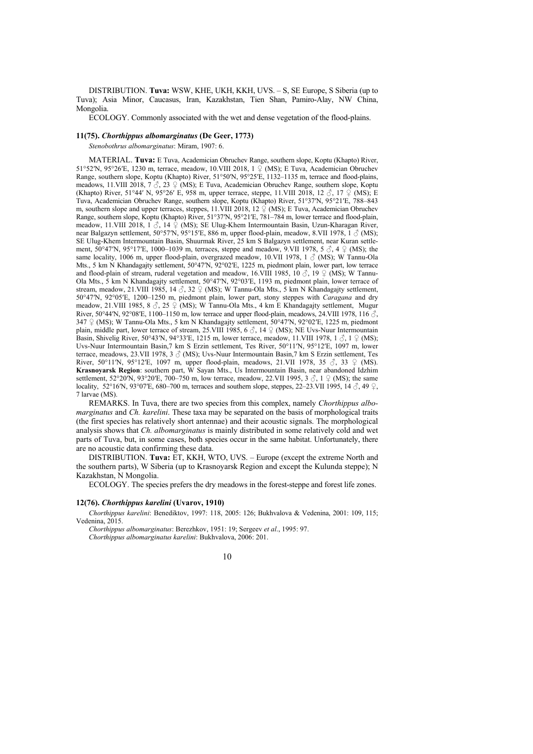DISTRIBUTION. **Tuva:** WSW, KHE, UKH, KKH, UVS. – S, SE Europe, S Siberia (up to Tuva); Asia Minor, Caucasus, Iran, Kazakhstan, Tien Shan, Pamiro-Alay, NW China, Mongolia.

ECOLOGY. Commonly associated with the wet and dense vegetation of the flood-plains.

#### **11(75).** *Chorthippus albomarginatus* **(De Geer, 1773)**

*Stenobothrus albomarginatus*: Miram, 1907: 6.

MATERIAL. **Tuva:** E Tuva, Academician Obruchev Range, southern slope, Koptu (Khapto) River, 51°52′N, 95°26′E, 1230 m, terrace, meadow, 10.VIII 2018, 1  $\varphi$  (MS); E Tuva, Academician Obruchev Range, southern slope, Koptu (Khapto) River, 51°50ʹN, 95°25ʹE, 1132–1135 m, terrace and flood-plains, meadows, 11.VIII 2018, 7  $\Im$ , 23  $\Im$  (MS); E Tuva, Academician Obruchev Range, southern slope, Koptu (Khapto) River, 51°44′ N, 95°26′ E, 958 m, upper terrace, steppe, 11. VIII 2018, 12  $\Im$ , 17  $\Im$  (MS); E Tuva, Academician Obruchev Range, southern slope, Koptu (Khapto) River, 51°37ʹN, 95°21ʹE, 788–843 m, southern slope and upper terraces, steppes, 11.VIII 2018, 12  $\frac{1}{2}$  (MS); E Tuva, Academician Obruchev Range, southern slope, Koptu (Khapto) River, 51°37'N, 95°21'E, 781-784 m, lower terrace and flood-plain, meadow, 11.VIII 2018, 1 ♂, 14 ♀ (MS); SE Ulug-Khem Intermountain Basin, Uzun-Kharagan River, near Balgazyn settlement,  $50^{\circ}57^{\prime}\text{N}$ ,  $95^{\circ}15^{\prime}E$ , 886 m, upper flood-plain, meadow, 8.VII 1978,  $1 \text{ } \text{\ensuremath{\mathcal{S}}}$  (MS); SE Ulug-Khem Intermountain Basin, Shuurmak River, 25 km S Balgazyn settlement, near Kuran settlement,  $50^{\circ}47'N$ ,  $95^{\circ}17'E$ ,  $1000-1039$  m, terraces, steppe and meadow, 9.VII 1978,  $5\textcircled{3}$ ,  $4\textcircled{2}$  (MS); the same locality, 1006 m, upper flood-plain, overgrazed meadow, 10.VII 1978, 1  $\circled$  (MS); W Tannu-Ola Mts., 5 km N Khandagajty settlement, 50°47′N, 92°02′E, 1225 m, piedmont plain, lower part, low terrace and flood-plain of stream, ruderal vegetation and meadow, 16.VIII 1985, 10  $\beta$ , 19  $\beta$  (MS); W Tannu-Ola Mts., 5 km N Khandagajty settlement, 50°47ʹN, 92°03ʹE, 1193 m, piedmont plain, lower terrace of stream, meadow, 21.VIII 1985, 14  $\circled{?}$ , 32  $\circled{2}$  (MS); W Tannu-Ola Mts., 5 km N Khandagajty settlement, 50°47ʹN, 92°05ʹE, 1200–1250 m, piedmont plain, lower part, stony steppes with *Caragana* and dry meadow, 21.VIII 1985, 8  $\Diamond$ , 25  $\Diamond$  (MS); W Tannu-Ola Mts., 4 km E Khandagajty settlement, Mugur River, 50°44′N, 92°08′E, 1100–1150 m, low terrace and upper flood-plain, meadows, 24.VIII 1978, 116  $\circ$ , 347  $\circ$  (MS); W Tannu-Ola Mts., 5 km N Khandagajty settlement, 50°47′N, 92°02′E, 1225 m, piedmont plain, middle part, lower terrace of stream, 25.VIII 1985, 6  $\circ$ , 14  $\circ$  (MS); NE Uvs-Nuur Intermountain Basin, Shivelig River, 50°43′N, 94°33′E, 1215 m, lower terrace, meadow, 11.VIII 1978, 1  $\circ$ , 1  $\circ$  (MS); Uvs-Nuur Intermountain Basin,7 km S Erzin settlement, Tes River, 50°11ʹN, 95°12ʹE, 1097 m, lower terrace, meadows, 23.VII 1978, 3 ♂ (MS); Uvs-Nuur Intermountain Basin,7 km S Erzin settlement, Tes River,  $50^{\circ}11'N$ ,  $95^{\circ}12'E$ ,  $1097$  m, upper flood-plain, meadows,  $21.$ VII  $1978$ ,  $35 \, \beta$ ,  $33 \, \Omega$  (MS). **Krasnoyarsk Region**: southern part, W Sayan Mts., Us Intermountain Basin, near abandoned Idzhim settlement,  $52^{\circ}20^{\prime}N$ ,  $93^{\circ}20^{\prime}E$ ,  $700-750$  m, low terrace, meadow, 22.VII 1995, 3  $\Im$ , 1  $\Im$  (MS); the same locality, 52°16′N, 93°07′E, 680–700 m, terraces and southern slope, steppes, 22–23. VII 1995, 14  $\delta$ , 49  $\Omega$ , 7 larvae (MS).

REMARKS. In Tuva, there are two species from this complex, namely *Chorthippus albomarginatus* and *Ch. karelini*. These taxa may be separated on the basis of morphological traits (the first species has relatively short antennae) and their acoustic signals. The morphological analysis shows that *Ch. albomarginatus* is mainly distributed in some relatively cold and wet parts of Tuva, but, in some cases, both species occur in the same habitat. Unfortunately, there are no acoustic data confirming these data.

DISTRIBUTION. **Tuva:** ET, KKH, WTO, UVS. – Europe (except the extreme North and the southern parts), W Siberia (up to Krasnoyarsk Region and except the Kulunda steppe); N Kazakhstan, N Mongolia.

ECOLOGY. The species prefers the dry meadows in the forest-steppe and forest life zones.

# **12(76).** *Chorthippus karelini* **(Uvarov, 1910)**

*Chorthippus karelini*: Benediktov, 1997: 118, 2005: 126; Bukhvalova & Vedenina, 2001: 109, 115; Vedenina, 2015.

*Chorthippus albomarginatus*: Berezhkov, 1951: 19; Sergeev *et al*., 1995: 97. *Chorthippus albomarginatus karelini*: Bukhvalova, 2006: 201.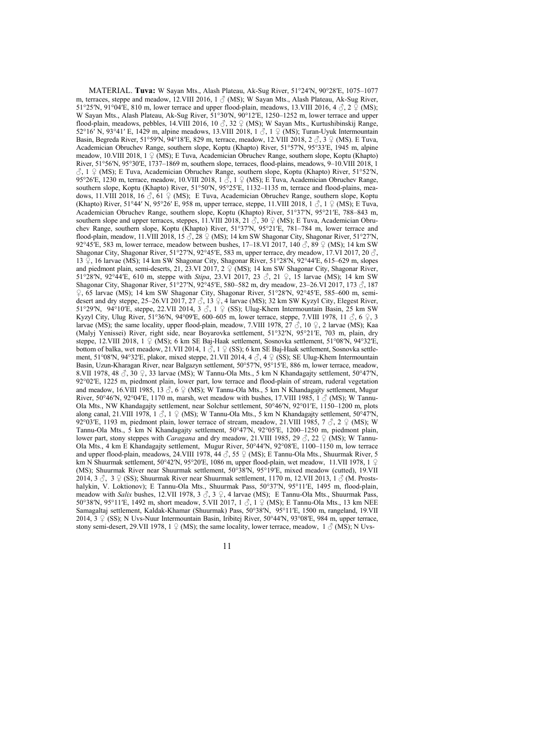MATERIAL. **Tuva:** W Sayan Mts., Alash Plateau, Ak-Sug River, 51°24ʹN, 90°28ʹE, 1075–1077 m, terraces, steppe and meadow, 12.VIII 2016, 1  $\circ$  (MS); W Sayan Mts., Alash Plateau, Ak-Sug River, 51°25′N, 91°04′E, 810 m, lower terrace and upper flood-plain, meadows, 13.VIII 2016, 4 $\beta$ , 2 $\frac{1}{2}$  (MS); W Sayan Mts., Alash Plateau, Ak-Sug River, 51°30′N, 90°12′E, 1250–1252 m, lower terrace and upper flood-plain, meadows, pebbles, 14.VIII 2016, 10  $\delta$ , 32  $\Omega$  (MS); W Sayan Mts., Kurtushibinskij Range, 52°16<sup>'</sup> N, 93°41′ E, 1429 m, alpine meadows, 13. VIII 2018, 1  $\circ$ , 1  $\circ$  (MS); Turan-Uyuk Intermountain Basin, Begreda River, 51°59ʹN, 94°18ʹE, 829 m, terrace, meadow, 12.VIII 2018, 2 ♂, 3 ♀ (MS). E Tuva, Academician Obruchev Range, southern slope, Koptu (Khapto) River, 51°57ʹN, 95°33ʹE, 1945 m, alpine meadow, 10.VIII 2018, 1 ♀ (MS); E Tuva, Academician Obruchev Range, southern slope, Koptu (Khapto) River, 51°56ʹN, 95°30ʹE, 1737–1869 m, southern slope, terraces, flood-plains, meadows, 9–10.VIII 2018, 1  $\Im$ , 1  $\Im$  (MS); E Tuva, Academician Obruchev Range, southern slope, Koptu (Khapto) River, 51°52′N, 95°26′E, 1230 m, terrace, meadow, 10.VIII 2018, 1  $\Im$ , 1  $\Im$  (MS); E Tuva, Academician Obruchev Range, southern slope, Koptu (Khapto) River, 51°50′N, 95°25′E, 1132–1135 m, terrace and flood-plains, meadows, 11.VIII 2018, 16  $\beta$ , 61  $\circ$  (MS); E Tuva, Academician Obruchev Range, southern slope, Koptu (Khapto) River, 51°44′ N, 95°26′ E, 958 m, upper terrace, steppe, 11.VIII 2018, 1  $\circ$ , 1  $\circ$  (MS); E Tuva, Academician Obruchev Range, southern slope, Koptu (Khapto) River, 51°37ʹN, 95°21ʹE, 788–843 m, southern slope and upper terraces, steppes, 11.VIII 2018, 21  $\tilde{\mathcal{S}}$ , 30  $\varphi$  (MS); E Tuva, Academician Obruchev Range, southern slope, Koptu (Khapto) River, 51°37ʹN, 95°21ʹE, 781–784 m, lower terrace and flood-plain, meadow, 11.VIII 2018, 15  $\Im$ , 28  $\Im$  (MS); 14 km SW Shagonar City, Shagonar River, 51°27′N, 92°45<sup>'</sup>E, 583 m, lower terrace, meadow between bushes, 17-18.VI 2017, 140 ♂, 89 ♀ (MS); 14 km SW Shagonar City, Shagonar River, 51°27′N, 92°45′E, 583 m, upper terrace, dry meadow, 17.VI 2017, 20  $\circled$ , 13  $\hat{P}$ , 16 larvae (MS); 14 km SW Shagonar City, Shagonar River, 51°28′N, 92°44′E, 615–629 m, slopes and piedmont plain, semi-deserts, 21, 23.VI 2017, 2  $\frac{1}{2}$  (MS); 14 km SW Shagonar City, Shagonar River, 51°28ʹN, 92°44ʹE, 610 m, steppe with *Stipa*, 23.VI 2017, 23 ♂, 21 ♀, 15 larvae (MS); 14 km SW Shagonar City, Shagonar River, 51°27′N, 92°45′E, 580–582 m, dry meadow, 23–26.VI 2017, 173  $\frac{3}{2}$ , 187 ♀, 65 larvae (MS); 14 km SW Shagonar City, Shagonar River, 51°28ʹN, 92°45ʹE, 585–600 m, semidesert and dry steppe, 25–26.VI 2017, 27  $\circled{3}$ , 13  $\circled{2}$ , 4 larvae (MS); 32 km SW Kyzyl City, Elegest River, 51°29′N, 94°10′E, steppe, 22.VII 2014,  $3 \stackrel{\frown}{\circ}$ ,  $1 \stackrel{\frown}{\circ}$  (SS); Ulug-Khem Intermountain Basin, 25 km SW Kyzyl City, Ulug River, 51°36′N, 94°09′E, 600–605 m, lower terrace, steppe, 7.VIII 1978, 11  $\Im$ , 6  $\Im$ , 3 larvae (MS); the same locality, upper flood-plain, meadow, 7.VIII 1978, 27  $\circled{3}$ , 10  $\circled{2}$ , 2 larvae (MS); Kaa (Malyj Yenissei) River, right side, near Boyarovka settlement, 51°32ʹN, 95°21ʹE, 703 m, plain, dry steppe, 12.VIII 2018, 1  $\circ$  (MS); 6 km SE Baj-Haak settlement, Sosnovka settlement, 51°08′N, 94°32′E, bottom of balka, wet meadow, 21.VII 2014, 1  $\beta$ , 1  $\beta$  (SS); 6 km SE Baj-Haak settlement, Sosnovka settlement, 51°08′N, 94°32′E, plakor, mixed steppe, 21.VII 2014, 4  $\circ$ , 4  $\circ$  (SS); SE Ulug-Khem Intermountain Basin, Uzun-Kharagan River, near Balgazyn settlement, 50°57ʹN, 95°15ʹE, 886 m, lower terrace, meadow, 8.VII 1978, 48  $\Im$ , 30  $\Im$ , 33 larvae (MS); W Tannu-Ola Mts., 5 km N Khandagajty settlement, 50°47′N, 92°02ʹE, 1225 m, piedmont plain, lower part, low terrace and flood-plain of stream, ruderal vegetation and meadow, 16.VIII 1985, 13  $\beta$ , 6  $\beta$  (MS); W Tannu-Ola Mts., 5 km N Khandagajty settlement, Mugur River, 50°46′N, 92°04′E, 1170 m, marsh, wet meadow with bushes, 17.VIII 1985, 1 $\beta$  (MS); W Tannu-Ola Mts., NW Khandagajty settlement, near Solchur settlement, 50°46ʹN, 92°01ʹE, 1150–1200 m, plots along canal, 21.VIII 1978, 1  $\circled{S}$ , 1  $\circled{S}$  (MS); W Tannu-Ola Mts., 5 km N Khandagajty settlement, 50°47′N, 92°03′E, 1193 m, piedmont plain, lower terrace of stream, meadow, 21.VIII 1985, 7  $\Im$ , 2  $\Im$  (MS); W Tannu-Ola Mts., 5 km N Khandagajty settlement, 50°47ʹN, 92°05ʹE, 1200–1250 m, piedmont plain, lower part, stony steppes with *Caragana* and dry meadow, 21.VIII 1985, 29 ♂, 22 ♀ (MS); W Tannu-Ola Mts., 4 km E Khandagajty settlement, Mugur River, 50°44ʹN, 92°08ʹE, 1100–1150 m, low terrace and upper flood-plain, meadows, 24.VIII 1978,  $\overline{44} \circledcirc$ , 55  $\circledcirc$  (MS); E Tannu-Ola Mts., Shuurmak River, 5 km N Shuurmak settlement, 50°42ʹN, 95°20ʹE, 1086 m, upper flood-plain, wet meadow, 11.VII 1978, 1 ♀ (MS); Shuurmak River near Shuurmak settlement, 50°38ʹN, 95°19ʹE, mixed meadow (cutted), 19.VII 2014, 3  $\circled{3}$ , 3  $\circled{2}$  (SS); Shuurmak River near Shuurmak settlement, 1170 m, 12.VII 2013, 1  $\circled{3}$  (M. Prostshalykin, V. Loktionov); E Tannu-Ola Mts., Shuurmak Pass, 50°37ʹN, 95°11ʹE, 1495 m, flood-plain, meadow with *Salix* bushes, 12.VII 1978, 3 ♂, 3 ♀, 4 larvae (MS); E Tannu-Ola Mts., Shuurmak Pass, 50°38′N, 95°11′E, 1492 m, short meadow, 5.VII 2017, 1  $\circ$ , 1  $\circ$  (MS); E Tannu-Ola Mts., 13 km NEE Samagaltaj settlement, Kaldak-Khamar (Shuurmak) Pass, 50°38ʹN, 95°11ʹE, 1500 m, rangeland, 19.VII 2014, 3 ♀ (SS); N Uvs-Nuur Intermountain Basin, Iribitej River, 50°44′N, 93°08′E, 984 m, upper terrace, stony semi-desert, 29.VII 1978, 1  $\circ$  (MS); the same locality, lower terrace, meadow, 1  $\circ$  (MS); N Uvs-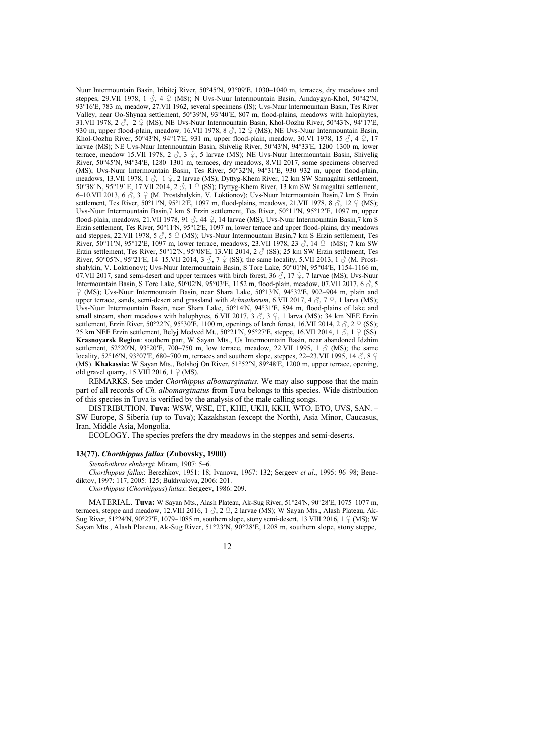Nuur Intermountain Basin, Iribitej River, 50°45′N, 93°09′E, 1030–1040 m, terraces, dry meadows and steppes, 29.VII 1978, 1  $\hat{\circ}$ , 4  $\hat{\varphi}$  (MS); N Uvs-Nuur Intermountain Basin, Amdaygyn-Khol, 50°42′N, 93°16ʹE, 783 m, meadow, 27.VII 1962, several specimens (IS); Uvs-Nuur Intermountain Basin, Tes River Valley, near Oo-Shynaa settlement, 50°39ʹN, 93°40ʹE, 807 m, flood-plains, meadows with halophytes, 31.VII 1978, 2  $\zeta$ , 2  $\cong$  (MS); NE Uvs-Nuur Intermountain Basin, Khol-Oozhu River, 50°43′N, 94°17′E, 930 m, upper flood-plain, meadow*,* 16.VII 1978, 8 ♂, 12 ♀ (MS); NE Uvs-Nuur Intermountain Basin, Khol-Oozhu River, 50°43′N, 94°17′E, 931 m, upper flood-plain, meadow, 30.VI 1978, 15  $\Im$ , 4  $\Im$ , 17 larvae (MS); NE Uvs-Nuur Intermountain Basin, Shivelig River, 50°43′N, 94°33′E, 1200–1300 m, lower terrace, meadow 15.VII 1978, 2  $\Im$ , 3  $\Im$ , 5 larvae (MS); NE Uvs-Nuur Intermountain Basin, Shivelig River, 50°45ʹN, 94°34ʹE, 1280–1301 m, terraces, dry meadows, 8.VII 2017, some specimens observed (MS); Uvs-Nuur Intermountain Basin, Tes River, 50°32ʹN, 94°31ʹE, 930–932 m, upper flood-plain, meadows, 13.VII 1978, 1  $\Im$ , 1  $\Im$ , 2 larvae (MS); Dyttyg-Khem River, 12 km SW Samagaltai settlement, 50°38′ N, 95°19′ E, 17.VII 2014, 2  $\hat{\beta}$ , 1  $\hat{\beta}$  (SS); Dyttyg-Khem River, 13 km SW Samagaltai settlement, 6–10.VII 2013, 6 ♂, 3 ♀ (M. Prostshalykin, V. Loktionov); Uvs-Nuur Intermountain Basin,7 km S Erzin settlement, Tes River, 50°11′N, 95°12′E, 1097 m, flood-plains, meadows, 21.VII 1978, 8  $\delta$ , 12  $\Omega$  (MS); Uvs-Nuur Intermountain Basin,7 km S Erzin settlement, Tes River, 50°11ʹN, 95°12ʹE, 1097 m, upper flood-plain, meadows, 21.VII 1978, 91  $\beta$ , 44  $\beta$ , 14 larvae (MS); Uvs-Nuur Intermountain Basin, 7 km S Erzin settlement, Tes River, 50°11ʹN, 95°12ʹE, 1097 m, lower terrace and upper flood-plains, dry meadows and steppes, 22. VII 1978,  $5 \circled{3}$ ,  $5 \circled{9}$  (MS); Uvs-Nuur Intermountain Basin, 7 km S Erzin settlement, Tes River,  $50^{\circ}11'N$ ,  $95^{\circ}12'E$ ,  $1097$  m, lower terrace, meadows, 23. VII 1978, 23  $\partial$ , 14  $\Omega$  (MS); 7 km SW Erzin settlement, Tes River, 50°12′N, 95°08′E, 13.VII 2014, 2  $\beta$  (SS); 25 km SW Erzin settlement. Tes River, 50°05′N, 95°21′E, 14–15.VII 2014, 3  $\hat{\circ}$ , 7  $\hat{\varphi}$  (SS); the same locality, 5.VII 2013, 1  $\hat{\circ}$  (M. Prostshalykin, V. Loktionov); Uvs-Nuur Intermountain Basin, S Tore Lake, 50°01′N, 95°04′E, 1154-1166 m, 07.VII 2017, sand semi-desert and upper terraces with birch forest, 36  $\hat{\beta}$ , 17  $\hat{\gamma}$ , 7 larvae (MS); Uvs-Nuur Intermountain Basin, S Tore Lake,  $\overline{50}^{\circ}02^{\prime}N$ , 95°03′E, 1152 m, flood-plain, meadow, 07.VII 2017, 6  $\circ$ , 5 ♀ (MS); Uvs-Nuur Intermountain Basin, near Shara Lake, 50°13ʹN, 94°32ʹE, 902–904 m, plain and upper terrace, sands, semi-desert and grassland with *Achnatherum*, 6.VII 2017, 4  $\beta$ , 7  $\beta$ , 1 larva (MS); Uvs-Nuur Intermountain Basin, near Shara Lake, 50°14ʹN, 94°31ʹE, 894 m, flood-plains of lake and small stream, short meadows with halophytes, 6.VII 2017,  $3 \textdegree$ ,  $3 \textdegree$ , 1 larva (MS); 34 km NEE Erzin settlement, Erzin River, 50°22′N, 95°30′E, 1100 m, openings of larch forest, 16.VII 2014, 2  $\delta$ , 2  $\Im$  (SS); 25 km NEE Erzin settlement, Belvi Medved Mt., 50°21′N, 95°27′E, steppe, 16.VII 2014, 1 $\alpha$ , 1  $\beta$  (SS). **Krasnoyarsk Region**: southern part, W Sayan Mts., Us Intermountain Basin, near abandoned Idzhim settlement, 52°20′N, 93°20′E, 700–750 m, low terrace, meadow, 22.VII 1995, 1  $\circ$  (MS); the same locality, 52°16′N, 93°07′E, 680–700 m, terraces and southern slope, steppes, 22–23.VII 1995, 14  $\circledcirc$ , 8  $\circledcirc$ (MS). **Khakassia:** W Sayan Mts., Bolshoj On River, 51°52′N, 89°48′E, 1200 m, upper terrace, opening, old gravel quarry, 15.VIII 2016,  $1 \nsubseteq (MS)$ .

REMARKS. See under *Chorthippus albomarginatus*. We may also suppose that the main part of all records of *Ch. albomarginatus* from Tuva belongs to this species. Wide distribution of this species in Tuva is verified by the analysis of the male calling songs.

DISTRIBUTION. **Tuva:** WSW, WSE, ET, KHE, UKH, KKH, WTO, ETO, UVS, SAN. – SW Europe, S Siberia (up to Tuva); Kazakhstan (except the North), Asia Minor, Caucasus, Iran, Middle Asia, Mongolia.

ECOLOGY. The species prefers the dry meadows in the steppes and semi-deserts.

#### **13(77).** *Chorthippus fallax* **(Zubovsky, 1900)**

*Stenobothrus ehnbergi*: Miram, 1907: 5–6.

*Chorthippus fallax*: Berezhkov, 1951: 18; Ivanova, 1967: 132; Sergeev *et al*., 1995: 96–98; Benediktov, 1997: 117, 2005: 125; Bukhvalova, 2006: 201.

*Chorthippus* (*Chorthippus*) *fallax*: Sergeev, 1986: 209.

MATERIAL. **Tuva:** W Sayan Mts., Alash Plateau, Ak-Sug River, 51°24ʹN, 90°28ʹE, 1075–1077 m, terraces, steppe and meadow, 12.VIII 2016, 1  $\delta$ , 2  $\Omega$ , 2 larvae (MS); W Sayan Mts., Alash Plateau, Ak-Sug River, 51°24′N, 90°27′E, 1079–1085 m, southern slope, stony semi-desert, 13.VIII 2016, 1  $\frac{1}{2}$  (MS); W Sayan Mts., Alash Plateau, Ak-Sug River, 51°23ʹN, 90°28ʹE, 1208 m, southern slope, stony steppe,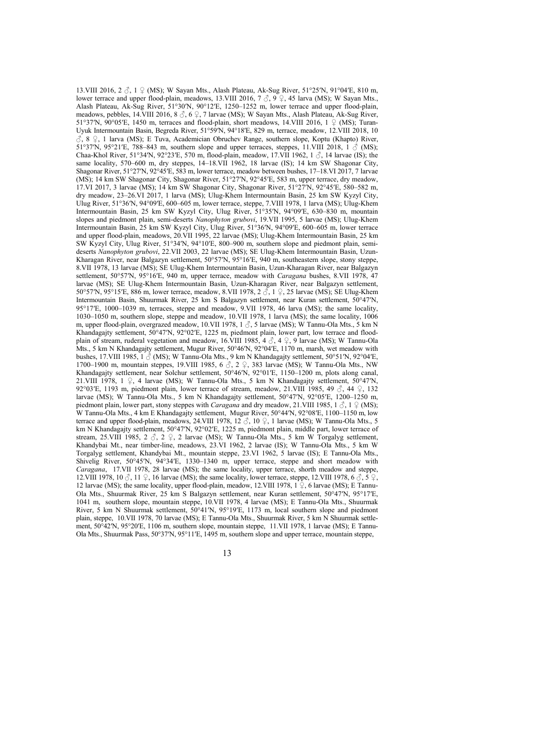13.VIII 2016, 2  $\beta$ , 1  $\beta$  (MS); W Sayan Mts., Alash Plateau, Ak-Sug River, 51°25′N, 91°04′E, 810 m, lower terrace and upper flood-plain, meadows, 13.VIII 2016, 7  $\beta$ , 9  $\beta$ , 45 larva (MS); W Sayan Mts., Alash Plateau, Ak-Sug River, 51°30ʹN, 90°12ʹE, 1250–1252 m, lower terrace and upper flood-plain, meadows, pebbles, 14.VIII 2016, 8  $\beta$ , 6  $\beta$ , 7 larvae (MS); W Sayan Mts., Alash Plateau, Ak-Sug River, 51°37′N, 90°05′E, 1450 m, terraces and flood-plain, short meadows, 14.VIII 2016, 1  $\frac{1}{2}$  (MS); Turan-Uyuk Intermountain Basin, Begreda River, 51°59ʹN, 94°18ʹE, 829 m, terrace, meadow, 12.VIII 2018, 10 ♂, 8 ♀, 1 larva (MS); E Tuva, Academician Obruchev Range, southern slope, Koptu (Khapto) River, 51°37′N, 95°21′E, 788–843 m, southern slope and upper terraces, steppes, 11.VIII 2018, 1  $\acute{\phi}$  (MS); Chaa-Khol River, 51°34′N, 92°23′E, 570 m, flood-plain, meadow, 17.VII 1962, 1  $\beta$ , 14 larvae (IS); the same locality, 570–600 m, dry steppes, 14–18.VII 1962, 18 larvae (IS); 14 km SW Shagonar City, Shagonar River, 51°27′N, 92°45′E, 583 m, lower terrace, meadow between bushes, 17–18.VI 2017, 7 larvae (MS); 14 km SW Shagonar City, Shagonar River, 51°27ʹN, 92°45ʹE, 583 m, upper terrace, dry meadow, 17.VI 2017, 3 larvae (MS); 14 km SW Shagonar City, Shagonar River, 51°27ʹN, 92°45ʹE, 580–582 m, dry meadow, 23–26.VI 2017, 1 larva (MS); Ulug-Khem Intermountain Basin, 25 km SW Kyzyl City, Ulug River, 51°36′N, 94°09′E, 600–605 m, lower terrace, steppe, 7.VIII 1978, 1 larva (MS); Ulug-Khem Intermountain Basin, 25 km SW Kyzyl City, Ulug River, 51°35ʹN, 94°09ʹE, 630–830 m, mountain slopes and piedmont plain, semi-deserts *Nanophyton grubovi*, 19.VII 1995, 5 larvae (MS); Ulug-Khem Intermountain Basin, 25 km SW Kyzyl City, Ulug River, 51°36ʹN, 94°09ʹE, 600–605 m, lower terrace and upper flood-plain, meadows, 20.VII 1995, 22 larvae (MS); Ulug-Khem Intermountain Basin, 25 km SW Kyzyl City, Ulug River, 51°34ʹN, 94°10ʹE, 800–900 m, southern slope and piedmont plain, semideserts *Nanophyton grubovi*, 22.VII 2003, 22 larvae (MS); SE Ulug-Khem Intermountain Basin, Uzun-Kharagan River, near Balgazyn settlement, 50°57ʹN, 95°16ʹE, 940 m, southeastern slope, stony steppe, 8.VII 1978, 13 larvae (MS); SE Ulug-Khem Intermountain Basin, Uzun-Kharagan River, near Balgazyn settlement, 50°57'N, 95°16'E, 940 m, upper terrace, meadow with *Caragana* bushes, 8.VII 1978, 47 larvae (MS); SE Ulug-Khem Intermountain Basin, Uzun-Kharagan River, near Balgazyn settlement, 50°57′N, 95°15′E, 886 m, lower terrace, meadow, 8.VII 1978, 2 Å, 1 ♀, 25 larvae (MS); SE Ulug-Khem Intermountain Basin, Shuurmak River, 25 km S Balgazyn settlement, near Kuran settlement, 50°47ʹN, 95°17′E, 1000-1039 m, terraces, steppe and meadow, 9.VII 1978, 46 larva (MS); the same locality, 1030–1050 m, southern slope, steppe and meadow, 10.VII 1978, 1 larva (MS); the same locality, 1006 m, upper flood-plain, overgrazed meadow, 10.VII 1978, 1  $\circ$ , 5 larvae (MS); W Tannu-Ola Mts., 5 km N Khandagajty settlement, 50°47ʹN, 92°02ʹE, 1225 m, piedmont plain, lower part, low terrace and floodplain of stream, ruderal vegetation and meadow, 16.VIII 1985, 4 ♂, 4 ♀, 9 larvae (MS); W Tannu-Ola Mts., 5 km N Khandagajty settlement, Mugur River, 50°46ʹN, 92°04ʹE, 1170 m, marsh, wet meadow with bushes, 17.VIII 1985,  $1\text{ }\mathcal{J}$  (MS); W Tannu-Ola Mts., 9 km N Khandagajty settlement, 50°51′N, 92°04′E, 1700–1900 m, mountain steppes, 19.VIII 1985, 6  $\beta$ , 2  $\beta$ , 383 larvae (MS); W Tannu-Ola Mts., NW Khandagajty settlement, near Solchur settlement, 50°46ʹN, 92°01ʹE, 1150–1200 m, plots along canal, 21.VIII 1978, 1  $\varphi$ , 4 larvae (MS); W Tannu-Ola Mts., 5 km N Khandagajty settlement, 50°47′N, 92°03′E, 1193 m, piedmont plain, lower terrace of stream, meadow, 21.VIII 1985, 49  $\beta$ , 44  $\circ$ , 132 larvae (MS); W Tannu-Ola Mts., 5 km N Khandagajty settlement, 50°47ʹN, 92°05ʹE, 1200–1250 m, piedmont plain, lower part, stony steppes with *Caragana* and dry meadow, 21.VIII 1985, 1  $\Im$ , 1  $\Im$  (MS); W Tannu-Ola Mts., 4 km E Khandagajty settlement, Mugur River, 50°44′N, 92°08′E, 1100–1150 m, low terrace and upper flood-plain, meadows, 24.VIII 1978, 12  $\Im$ , 10  $\Im$ , 1 larvae (MS); W Tannu-Ola Mts., 5 km N Khandagajty settlement, 50°47′N, 92°02′E, 1225 m, piedmont plain, middle part, lower terrace of stream, 25.VIII 1985, 2  $\beta$ , 2  $\beta$ , 2 larvae (MS); W Tannu-Ola Mts., 5 km W Torgalyg settlement, Khandybai Mt., near timber-line, meadows, 23.VI 1962, 2 larvae (IS); W Tannu-Ola Mts., 5 km W Torgalyg settlement, Khandybai Mt., mountain steppe, 23.VI 1962, 5 larvae (IS); E Tannu-Ola Mts., Shivelig River, 50°45′N, 94°34′E, 1330–1340 m, upper terrace, steppe and short meadow with *Caragana*, 17.VII 1978, 28 larvae (MS); the same locality, upper terrace, shorth meadow and steppe, 12.VIII 1978, 10  $\Diamond$ , 11  $\Diamond$ , 16 larvae (MS); the same locality, lower terrace, steppe, 12.VIII 1978, 6  $\Diamond$ , 5  $\Diamond$ . 12 larvae (MS); the same locality, upper flood-plain, meadow, 12.VIII 1978,  $1 \nsubseteq 6$  larvae (MS); E Tannu-Ola Mts., Shuurmak River, 25 km S Balgazyn settlement, near Kuran settlement, 50°47ʹN, 95°17ʹE, 1041 m, southern slope, mountain steppe, 10.VII 1978, 4 larvae (MS); E Tannu-Ola Mts., Shuurmak River, 5 km N Shuurmak settlement, 50°41ʹN, 95°19ʹE, 1173 m, local southern slope and piedmont plain, steppe, 10.VII 1978, 70 larvae (MS); E Tannu-Ola Mts., Shuurmak River, 5 km N Shuurmak settlement, 50°42′N, 95°20′E, 1106 m, southern slope, mountain steppe, 11.VII 1978, 1 larvae (MS); E Tannu-Ola Mts., Shuurmak Pass, 50°37ʹN, 95°11ʹE, 1495 m, southern slope and upper terrace, mountain steppe,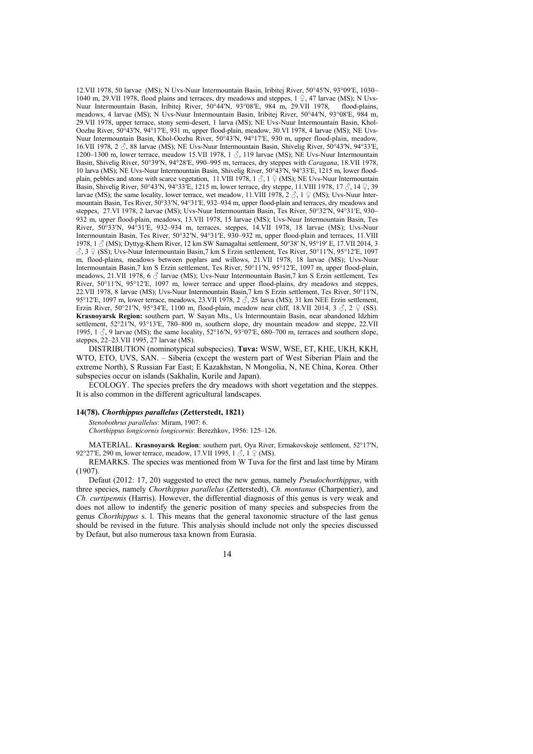12.VII 1978, 50 larvae (MS); N Uvs-Nuur Intermountain Basin, Iribitej River, 50°45′N, 93°09′E, 1030– 1040 m, 29.VII 1978, flood plains and terraces, dry meadows and steppes, 1  $\hat{P}$ , 47 larvae (MS); N Uvs-Nuur Intermountain Basin, Iribitej River, 50°44′N, 93°08′E, 984 m, 29.VII 1978, flood-plains, meadows, 4 larvae (MS); N Uvs-Nuur Intermountain Basin, Iribitej River, 50°44′N, 93°08′E, 984 m, 29.VII 1978, upper terrace, stony semi-desert, 1 larva (MS); NE Uvs-Nuur Intermountain Basin, Khol-Oozhu River, 50°43ʹN, 94°17ʹE, 931 m, upper flood-plain, meadow, 30.VI 1978, 4 larvae (MS); NE Uvs-Nuur Intermountain Basin, Khol-Oozhu River, 50°43ʹN, 94°17ʹE, 930 m, upper flood-plain, meadow*,* 16.VII 1978, 2  $\beta$ , 88 larvae (MS); NE Uvs-Nuur Intermountain Basin, Shivelig River, 50°43′N, 94°33′E, 1200–1300 m, lower terrace, meadow 15.VII 1978, 1  $\Im$ , 119 larvae (MS); NE Uvs-Nuur Intermountain Basin, Shivelig River, 50°39ʹN, 94°28ʹE, 990–995 m, terraces, dry steppes with *Caragana*, 18.VII 1978, 10 larva (MS); NE Uvs-Nuur Intermountain Basin, Shivelig River, 50°43ʹN, 94°33ʹE, 1215 m, lower floodplain, pebbles and stone with scarce vegetation, 11.VIII 1978,  $1 \circled{S}$ ,  $1 \circled{S}$  (MS); NE Uvs-Nuur Intermountain Basin, Shivelig River, 50°43ʹN, 94°33ʹE, 1215 m, lower terrace, dry steppe, 11.VIII 1978, 17 ♂, 14 ♀, 39 larvae (MS); the same locality, lower terrace, wet meadow, 11.VIII 1978,  $2 \text{ } \circlearrowleft$ , 1  $\text{ } \circlearrowright$  (MS); Uvs-Nuur Intermountain Basin, Tes River, 50°33ʹN, 94°31ʹE, 932–934 m, upper flood-plain and terraces, dry meadows and steppes, 27.VI 1978, 2 larvae (MS); Uvs-Nuur Intermountain Basin, Tes River, 50°32′N, 94°31′E, 930– 932 m, upper flood-plain, meadows, 13.VII 1978, 15 larvae (MS); Uvs-Nuur Intermountain Basin, Tes River, 50°33ʹN, 94°31ʹE, 932–934 m, terraces, steppes, 14.VII 1978, 18 larvae (MS); Uvs-Nuur Intermountain Basin, Tes River, 50°32ʹN, 94°31ʹE, 930–932 m, upper flood-plain and terraces, 11.VIII 1978, 1  $\circ$  (MS); Dyttyg-Khem River, 12 km SW Samagaltai settlement, 50°38′ N, 95°19′ E, 17.VII 2014, 3 ♂, 3 ♀ (SS); Uvs-Nuur Intermountain Basin,7 km S Erzin settlement, Tes River, 50°11ʹN, 95°12ʹE, 1097 m, flood-plains, meadows between poplars and willows, 21.VII 1978, 18 larvae (MS); Uvs-Nuur Intermountain Basin,7 km S Erzin settlement, Tes River, 50°11ʹN, 95°12ʹE, 1097 m, upper flood-plain, meadows, 21.VII 1978, 6  $\beta$  larvae (MS); Uvs-Nuur Intermountain Basin, 7 km S Erzin settlement, Tes River, 50°11′N, 95°12′E, 1097 m, lower terrace and upper flood-plains, dry meadows and steppes, 22.VII 1978, 8 larvae (MS); Uvs-Nuur Intermountain Basin,7 km S Erzin settlement, Tes River, 50°11ʹN, 95°12′E, 1097 m, lower terrace, meadows, 23.VII 1978, 2 $\beta$ , 25 larva (MS); 31 km NEE Erzin settlement, Erzin River, 50°21′N, 95°34′E, 1100 m, flood-plain, meadow near cliff, 18.VII 2014, 3  $\delta$ , 2  $\circ$  (SS). **Krasnoyarsk Region:** southern part, W Sayan Mts., Us Intermountain Basin, near abandoned Idzhim settlement, 52°21′N, 93°13′E, 780–800 m, southern slope, dry mountain meadow and steppe, 22.VII 1995, 1  $\beta$ , 9 larvae (MS); the same locality, 52°16′N, 93°07′E, 680–700 m, terraces and southern slope, steppes, 22–23.VII 1995, 27 larvae (MS).

DISTRIBUTION (nominotypical subspecies). **Tuva:** WSW, WSE, ET, KHE, UKH, KKH, WTO, ETO, UVS, SAN. – Siberia (except the western part of West Siberian Plain and the extreme North), S Russian Far East; E Kazakhstan, N Mongolia, N, NE China, Korea. Other subspecies occur on islands (Sakhalin, Kurile and Japan).

ECOLOGY. The species prefers the dry meadows with short vegetation and the steppes. It is also common in the different agricultural landscapes.

#### **14(78).** *Chorthippus parallelus* **(Zetterstedt, 1821)**

*Stenobothrus parallelus*: Miram, 1907: 6.

*Chorthippus longicornis longicornis*: Berezhkov, 1956: 125–126.

MATERIAL. **Krasnoyarsk Region**: southern part, Oya River, Ermakovskoje settlement, 52°17′N, 92°27′E, 290 m, lower terrace, meadow, 17.VII 1995,  $1 \text{ } \overset{\circ}{\circ}$ ,  $1 \text{ } \frac{\circ}{\circ}$  (MS).

REMARKS. The species was mentioned from W Tuva for the first and last time by Miram (1907).

Defaut (2012: 17, 20) suggested to erect the new genus, namely *Pseudochorthippus*, with three species, namely *Chorthippus parallelus* (Zetterstedt), *Ch. montanus* (Charpentier), and *Ch. curtipennis* (Harris). However, the differential diagnosis of this genus is very weak and does not allow to indentify the generic position of many species and subspecies from the genus *Chorthippus* s. l. This means that the general taxonomic structure of the last genus should be revised in the future. This analysis should include not only the species discussed by Defaut, but also numerous taxa known from Eurasia.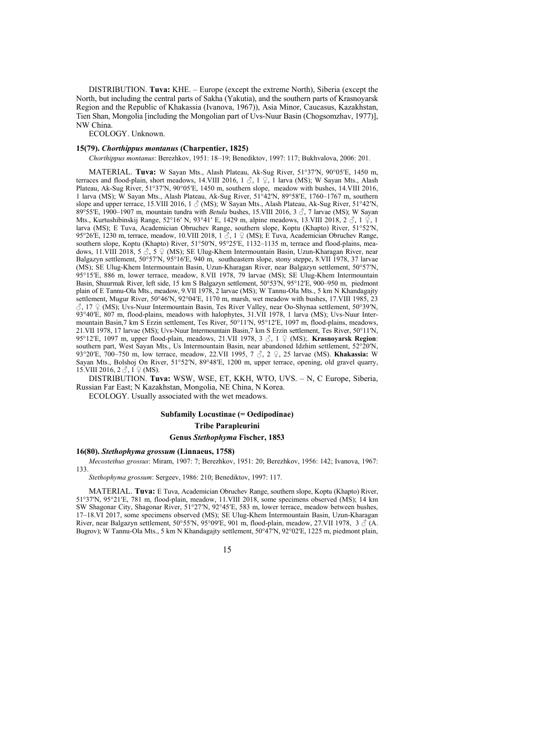DISTRIBUTION. **Tuva:** KHE. – Europe (except the extreme North), Siberia (except the North, but including the central parts of Sakha (Yakutia), and the southern parts of Krasnoyarsk Region and the Republic of Khakassia (Ivanova, 1967)), Asia Minor, Caucasus, Kazakhstan, Tien Shan, Mongolia [including the Mongolian part of Uvs-Nuur Basin (Chogsomzhav, 1977)], NW China.

ECOLOGY. Unknown.

#### **15(79).** *Chorthippus montanus* **(Charpentier, 1825)**

*Chorthippus montanus*: Berezhkov, 1951: 18–19; Benediktov, 1997: 117; Bukhvalova, 2006: 201.

MATERIAL. **Tuva:** W Sayan Mts., Alash Plateau, Ak-Sug River, 51°37ʹN, 90°05ʹE, 1450 m, terraces and flood-plain, short meadows, 14.VIII 2016, 1  $\beta$ , 1  $\beta$ , 1 larva (MS); W Sayan Mts., Alash Plateau, Ak-Sug River, 51°37ʹN, 90°05ʹE, 1450 m, southern slope, meadow with bushes, 14.VIII 2016, 1 larva (MS); W Sayan Mts., Alash Plateau, Ak-Sug River, 51°42ʹN, 89°58ʹE, 1760–1767 m, southern slope and upper terrace, 15.VIII 2016, 1  $\circ$  (MS); W Sayan Mts., Alash Plateau, Ak-Sug River, 51°42′N, 89°55ʹE, 1900–1907 m, mountain tundra with *Betula* bushes, 15.VIII 2016, 3 ♂, 7 larvae (MS); W Sayan Mts., Kurtushibinskij Range, 52°16′ N, 93°41′ E, 1429 m, alpine meadows, 13.VIII 2018, 2 3, 1 ♀, 1 larva (MS); E Tuva, Academician Obruchev Range, southern slope, Koptu (Khapto) River, 51°52ʹN, 95°26′E, 1230 m, terrace, meadow, 10.VIII 2018, 1 ℃, 1 ♀ (MS); E Tuva, Academician Obruchev Range, southern slope, Koptu (Khapto) River, 51°50′N, 95°25′E, 1132-1135 m, terrace and flood-plains, meadows, 11.VIII 2018, 5  $\overset{\rightarrow}{\mathcal{S}}$ , 5  $\overset{\leftarrow}{\mathcal{L}}$  (MS); SE Ulug-Khem Intermountain Basin, Uzun-Kharagan River, near Balgazyn settlement, 50°57′N, 95°16′E, 940 m, southeastern slope, stony steppe, 8.VII 1978, 37 larvae (MS); SE Ulug-Khem Intermountain Basin, Uzun-Kharagan River, near Balgazyn settlement, 50°57ʹN, 95°15ʹE, 886 m, lower terrace, meadow, 8.VII 1978, 79 larvae (MS); SE Ulug-Khem Intermountain Basin, Shuurmak River, left side, 15 km S Balgazyn settlement, 50°53ʹN, 95°12ʹE, 900–950 m, piedmont plain of E Tannu-Ola Mts., meadow, 9.VII 1978, 2 larvae (MS); W Tannu-Ola Mts., 5 km N Khandagajty settlement, Mugur River, 50°46′N, 92°04′E, 1170 m, marsh, wet meadow with bushes, 17.VIII 1985, 23  $\Im$ , 17  $\Im$  (MS); Uvs-Nuur Intermountain Basin, Tes River Valley, near Oo-Shynaa settlement, 50°39′N, 93°40ʹE, 807 m, flood-plains, meadows with halophytes, 31.VII 1978, 1 larva (MS); Uvs-Nuur Intermountain Basin,7 km S Erzin settlement, Tes River, 50°11ʹN, 95°12ʹE, 1097 m, flood-plains, meadows, 21.VII 1978, 17 larvae (MS); Uvs-Nuur Intermountain Basin,7 km S Erzin settlement, Tes River, 50°11ʹN, 95°12ʹE, 1097 m, upper flood-plain, meadows, 21.VII 1978, 3 ♂, 1 ♀ (MS);. **Krasnoyarsk Region**: southern part, West Sayan Mts., Us Intermountain Basin, near abandoned Idzhim settlement, 52°20′N, 93°20′E, 700–750 m, low terrace, meadow, 22.VII 1995, 7 ♂, 2 ♀, 25 larvae (MS). **Khakassia:** W Sayan Mts., Bolshoj On River, 51°52′N, 89°48′E, 1200 m, upper terrace, opening, old gravel quarry, 15.VIII 2016, 2  $\delta$ , 1  $\Omega$  (MS).

DISTRIBUTION. **Tuva:** WSW, WSE, ET, KKH, WTO, UVS. – N, C Europe, Siberia, Russian Far East; N Kazakhstan, Mongolia, NE China, N Korea.

ECOLOGY. Usually associated with the wet meadows.

# **Subfamily Locustinae (= Oedipodinae) Tribe Parapleurini Genus** *Stethophyma* **Fischer, 1853**

#### **16(80).** *Stethophyma grossum* **(Linnaeus, 1758)**

*Mecostethus grossus*: Miram, 1907: 7; Berezhkov, 1951: 20; Berezhkov, 1956: 142; Ivanova, 1967: 133.

*Stethophyma grossum*: Sergeev, 1986: 210; Benediktov, 1997: 117.

MATERIAL. **Tuva:** E Tuva, Academician Obruchev Range, southern slope, Koptu (Khapto) River, 51°37ʹN, 95°21ʹE, 781 m, flood-plain, meadow, 11.VIII 2018, some specimens observed (MS); 14 km SW Shagonar City, Shagonar River, 51°27ʹN, 92°45ʹE, 583 m, lower terrace, meadow between bushes, 17–18.VI 2017, some specimens observed (MS); SE Ulug-Khem Intermountain Basin, Uzun-Kharagan River, near Balgazyn settlement, 50°55′N, 95°09′E, 901 m, flood-plain, meadow, 27.VII 1978, 3  $\circ$  (A. Bugrov); W Tannu-Ola Mts., 5 km N Khandagajty settlement, 50°47ʹN, 92°02ʹE, 1225 m, piedmont plain,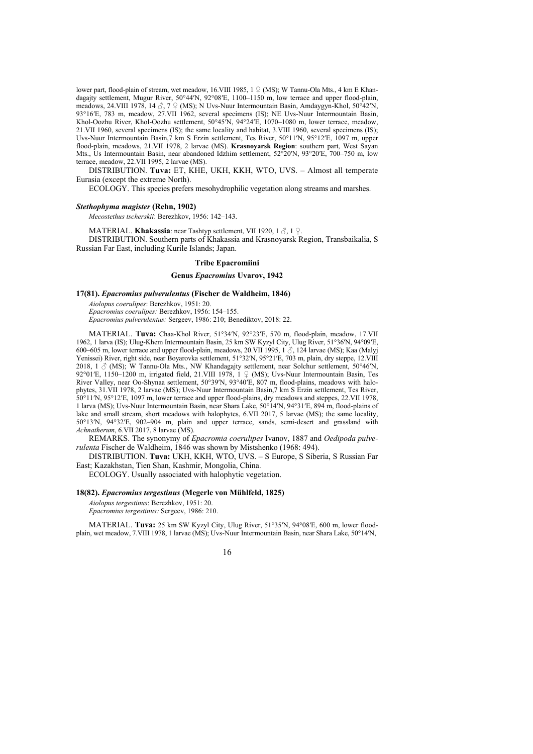lower part, flood-plain of stream, wet meadow, 16.VIII 1985, 1 ♀ (MS); W Tannu-Ola Mts., 4 km E Khandagajty settlement, Mugur River, 50°44′N, 92°08′E, 1100–1150 m, low terrace and upper flood-plain, meadows, 24.VIII 1978, 14  $\Im$ , 7  $\Im$  (MS); N Uvs-Nuur Intermountain Basin, Amdaygyn-Khol, 50°42′N, 93°16ʹE, 783 m, meadow, 27.VII 1962, several specimens (IS); NE Uvs-Nuur Intermountain Basin, Khol-Oozhu River, Khol-Oozhu settlement, 50°45ʹN, 94°24ʹE, 1070–1080 m, lower terrace, meadow, 21.VII 1960, several specimens (IS); the same locality and habitat, 3.VIII 1960, several specimens (IS); Uvs-Nuur Intermountain Basin,7 km S Erzin settlement, Tes River, 50°11ʹN, 95°12ʹE, 1097 m, upper flood-plain, meadows, 21.VII 1978, 2 larvae (MS). **Krasnoyarsk Region**: southern part, West Sayan Mts., Us Intermountain Basin, near abandoned Idzhim settlement, 52°20′N, 93°20′E, 700–750 m, low terrace, meadow, 22.VII 1995, 2 larvae (MS).

DISTRIBUTION. **Tuva:** ET, KHE, UKH, KKH, WTO, UVS. – Almost all temperate Eurasia (except the extreme North).

ECOLOGY. This species prefers mesohydrophilic vegetation along streams and marshes.

#### *Stethophyma magister* **(Rehn, 1902)**

*Mecostethus tscherskii*: Berezhkov, 1956: 142–143.

MATERIAL. **Khakassia**: near Tashtyp settlement, VII 1920, 1 ♂, 1 ♀.

DISTRIBUTION. Southern parts of Khakassia and Krasnoyarsk Region, Transbaikalia, S Russian Far East, including Kurile Islands; Japan.

# **Tribe Epacromiini**

#### **Genus** *Epacromius* **Uvarov, 1942**

#### **17(81).** *Epacromius pulverulentus* **(Fischer de Waldheim, 1846)**

*Aiolopus coerulipes*: Berezhkov, 1951: 20. *Epacromius coerulipes:* Berezhkov, 1956: 154–155. *Epacromius pulverulentus:* Sergeev, 1986: 210; Benediktov, 2018: 22.

MATERIAL. **Tuva:** Chaa-Khol River, 51°34′N, 92°23′E, 570 m, flood-plain, meadow, 17.VII 1962, 1 larva (IS); Ulug-Khem Intermountain Basin, 25 km SW Kyzyl City, Ulug River, 51°36ʹN, 94°09ʹE, 600–605 m, lower terrace and upper flood-plain, meadows, 20.VII 1995, 1 3, 124 larvae (MS); Kaa (Malvi Yenissei) River, right side, near Boyarovka settlement, 51°32ʹN, 95°21ʹE, 703 m, plain, dry steppe, 12.VIII 2018, 1  $\circ$  (MS); W Tannu-Ola Mts., NW Khandagajty settlement, near Solchur settlement, 50°46′N, 92°01′E, 1150–1200 m, irrigated field, 21.VIII 1978,  $1 \nsubseteq (MS)$ ; Uvs-Nuur Intermountain Basin, Tes River Valley, near Oo-Shynaa settlement, 50°39ʹN, 93°40ʹE, 807 m, flood-plains, meadows with halophytes, 31.VII 1978, 2 larvae (MS); Uvs-Nuur Intermountain Basin,7 km S Erzin settlement, Tes River, 50°11ʹN, 95°12ʹE, 1097 m, lower terrace and upper flood-plains, dry meadows and steppes, 22.VII 1978, 1 larva (MS); Uvs-Nuur Intermountain Basin, near Shara Lake, 50°14ʹN, 94°31ʹE, 894 m, flood-plains of lake and small stream, short meadows with halophytes, 6.VII 2017, 5 larvae (MS); the same locality, 50°13ʹN, 94°32ʹE, 902–904 m, plain and upper terrace, sands, semi-desert and grassland with *Achnatherum*, 6.VII 2017, 8 larvae (MS).

REMARKS. The synonymy of *Epacromia coerulipes* Ivanov, 1887 and *Oedipoda pulverulenta* Fischer de Waldheim, 1846 was shown by Mistshenko (1968: 494).

DISTRIBUTION. **Tuva:** UKH, KKH, WTO, UVS. – S Europe, S Siberia, S Russian Far East; Kazakhstan, Tien Shan, Kashmir, Mongolia, China.

ECOLOGY. Usually associated with halophytic vegetation.

#### **18(82).** *Epacromius tergestinus* **(Megerle von Mühlfeld, 1825)**

*Aiolopus tergestinus*: Berezhkov, 1951: 20. *Epacromius tergestinus:* Sergeev, 1986: 210.

MATERIAL. **Tuva:** 25 km SW Kyzyl City, Ulug River, 51°35′N, 94°08′E, 600 m, lower floodplain, wet meadow, 7.VIII 1978, 1 larvae (MS); Uvs-Nuur Intermountain Basin, near Shara Lake, 50°14′N,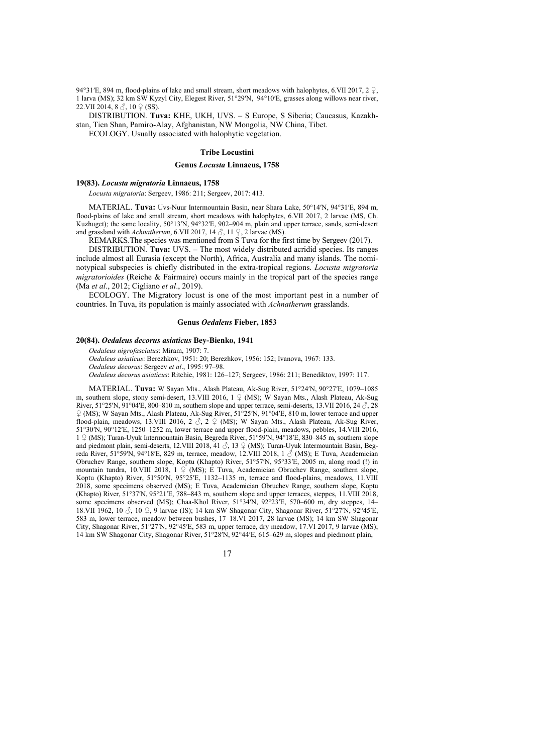94°31′E, 894 m, flood-plains of lake and small stream, short meadows with halophytes, 6.VII 2017, 2  $\varphi$ , 1 larva (MS); 32 km SW Kyzyl City, Elegest River, 51°29ʹN, 94°10ʹE, grasses along willows near river, 22.VII 2014,  $8 \text{ } \textcircled{}$ ,  $10 \text{ } \textcircled{}$  (SS).

DISTRIBUTION. **Tuva:** KHE, UKH, UVS. – S Europe, S Siberia; Caucasus, Kazakhstan, Tien Shan, Pamiro-Alay, Afghanistan, NW Mongolia, NW China, Tibet. ECOLOGY. Usually associated with halophytic vegetation.

#### **Tribe Locustini**

#### **Genus** *Locusta* **Linnaeus, 1758**

# **19(83).** *Locusta migratoria* **Linnaeus, 1758**

*Locusta migratoria*: Sergeev, 1986: 211; Sergeev, 2017: 413.

MATERIAL. **Tuva:** Uvs-Nuur Intermountain Basin, near Shara Lake, 50°14ʹN, 94°31ʹE, 894 m, flood-plains of lake and small stream, short meadows with halophytes, 6.VII 2017, 2 larvae (MS, Ch. Kuzhuget); the same locality, 50°13ʹN, 94°32ʹE, 902–904 m, plain and upper terrace, sands, semi-desert and grassland with *Achnatherum*, 6.VII 2017,  $14 \text{ } \textcircled{}$ , 11  $\textcircled{}$ , 2 larvae (MS).

REMARKS.The species was mentioned from S Tuva for the first time by Sergeev (2017).

DISTRIBUTION. **Tuva:** UVS. – The most widely distributed acridid species. Its ranges include almost all Eurasia (except the North), Africa, Australia and many islands. The nominotypical subspecies is chiefly distributed in the extra-tropical regions. *Locusta migratoria migratorioides* (Reiche & Fairmaire) occurs mainly in the tropical part of the species range (Ma *et al*., 2012; Cigliano *et al*., 2019).

ECOLOGY. The Migratory locust is one of the most important pest in a number of countries. In Tuva, its population is mainly associated with *Achnatherum* grasslands.

### **Genus** *Oedaleus* **Fieber, 1853**

#### **20(84).** *Oedaleus decorus asiaticus* **Bey-Bienko, 1941**

*Oedaleus nigrofasciatus*: Miram, 1907: 7. *Oedaleus asiaticus*: Berezhkov, 1951: 20; Berezhkov, 1956: 152; Ivanova, 1967: 133. *Oedaleus decorus*: Sergeev *et al*., 1995: 97–98. *Oedaleus decorus asiaticus*: Ritchie, 1981: 126–127; Sergeev, 1986: 211; Benediktov, 1997: 117.

MATERIAL. **Tuva:** W Sayan Mts., Alash Plateau, Ak-Sug River, 51°24ʹN, 90°27ʹE, 1079–1085 m, southern slope, stony semi-desert, 13.VIII 2016,  $1 \nsubseteq (MS)$ ; W Sayan Mts., Alash Plateau, Ak-Sug River, 51°25′N, 91°04′E, 800–810 m, southern slope and upper terrace, semi-deserts, 13.VII 2016, 24  $\circ$ , 28 ♀ (MS); W Sayan Mts., Alash Plateau, Ak-Sug River, 51°25ʹN, 91°04ʹE, 810 m, lower terrace and upper flood-plain, meadows, 13.VIII 2016, 2  $\Im$ , 2  $\Im$  (MS); W Sayan Mts., Alash Plateau, Ak-Sug River, 51°30ʹN, 90°12ʹE, 1250–1252 m, lower terrace and upper flood-plain, meadows, pebbles, 14.VIII 2016, 1 ♀ (MS); Turan-Uyuk Intermountain Basin, Begreda River, 51°59ʹN, 94°18ʹE, 830–845 m, southern slope and piedmont plain, semi-deserts, 12.VIII 2018, 41  $\delta$ , 13  $\frac{O}{A}$  (MS); Turan-Uyuk Intermountain Basin, Begreda River, 51°59′N, 94°18′E, 829 m, terrace, meadow, 12.VIII 2018, 1 ♂ (MS); E Tuva, Academician Obruchev Range, southern slope, Koptu (Khapto) River, 51°57ʹN, 95°33ʹE, 2005 m, along road (!) in mountain tundra, 10.VIII 2018, 1  $\frac{1}{2}$  (MS); E Tuva, Academician Obruchev Range, southern slope, Koptu (Khapto) River, 51°50′N, 95°25′E, 1132–1135 m, terrace and flood-plains, meadows, 11.VIII<br>Koptu (Khapto) River, 51°50′N, 95°25′E, 1132–1135 m, terrace and flood-plains, meadows, 11.VIII 2018, some specimens observed (MS); E Tuva, Academician Obruchev Range, southern slope, Koptu (Khapto) River, 51°37ʹN, 95°21ʹE, 788–843 m, southern slope and upper terraces, steppes, 11.VIII 2018, some specimens observed (MS); Chaa-Khol River, 51°34′N, 92°23′E, 570–600 m, dry steppes, 14– 18.VII 1962, 10 ♂, 10 ♀, 9 larvae (IS); 14 km SW Shagonar City, Shagonar River, 51°27ʹN, 92°45ʹE, 583 m, lower terrace, meadow between bushes, 17–18.VI 2017, 28 larvae (MS); 14 km SW Shagonar City, Shagonar River, 51°27ʹN, 92°45ʹE, 583 m, upper terrace, dry meadow, 17.VI 2017, 9 larvae (MS); 14 km SW Shagonar City, Shagonar River, 51°28ʹN, 92°44ʹE, 615–629 m, slopes and piedmont plain,

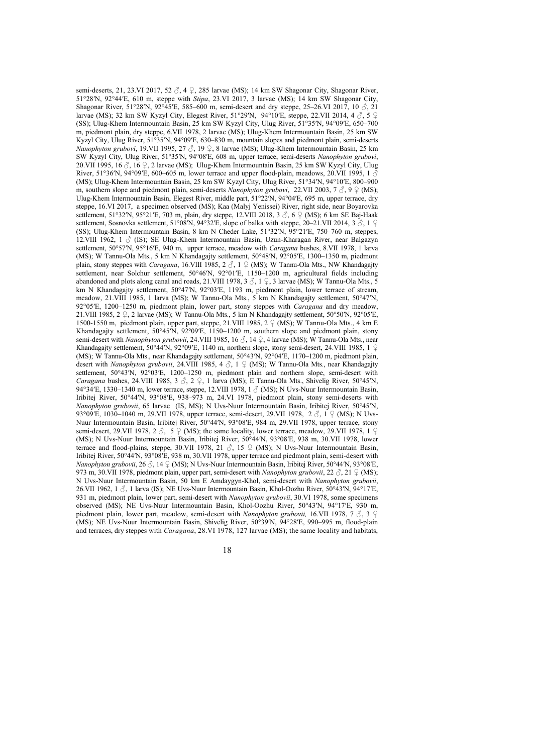semi-deserts, 21, 23.VI 2017, 52  $\Im$ , 4  $\Im$ , 285 larvae (MS); 14 km SW Shagonar City, Shagonar River, 51°28ʹN, 92°44ʹE, 610 m, steppe with *Stipa*, 23.VI 2017, 3 larvae (MS); 14 km SW Shagonar City, Shagonar River, 51°28′N, 92°45′E, 585–600 m, semi-desert and dry steppe, 25–26.VI 2017, 10  $\delta$ , 21 larvae (MS); 32 km SW Kyzyl City, Elegest River, 51°29′N, 94°10′E, steppe, 22.VII 2014, 4  $\delta$ , 5  $\Omega$ (SS); Ulug-Khem Intermountain Basin, 25 km SW Kyzyl City, Ulug River, 51°35′N, 94°09′E, 650–700 m, piedmont plain, dry steppe, 6.VII 1978, 2 larvae (MS); Ulug-Khem Intermountain Basin, 25 km SW Kyzyl City, Ulug River, 51°35ʹN, 94°09ʹE, 630–830 m, mountain slopes and piedmont plain, semi-deserts *Nanophyton grubovi*, 19.VII 1995, 27 ♂, 19 ♀, 8 larvae (MS); Ulug-Khem Intermountain Basin, 25 km SW Kyzyl City, Ulug River, 51°35ʹN, 94°08ʹE, 608 m, upper terrace, semi-deserts *Nanophyton grubovi*, 20.VII 1995, 16  $\Diamond$ , 16  $\Diamond$ , 2 larvae (MS); Ulug-Khem Intermountain Basin, 25 km SW Kyzyl City, Ulug River, 51°36′N, 94°09′E, 600–605 m, lower terrace and upper flood-plain, meadows, 20.VII 1995, 1  $\delta$ (MS); Ulug-Khem Intermountain Basin, 25 km SW Kyzyl City, Ulug River, 51°34ʹN, 94°10ʹE, 800–900 m, southern slope and piedmont plain, semi-deserts *Nanophyton grubovi*, 22.VII 2003, 7 ♂, 9 ♀ (MS); Ulug-Khem Intermountain Basin, Elegest River, middle part, 51°22ʹN, 94°04ʹE, 695 m, upper terrace, dry steppe, 16.VI 2017, a specimen observed (MS); Kaa (Malyj Yenissei) River, right side, near Boyarovka settlement, 51°32′N, 95°21′E, 703 m, plain, dry steppe, 12.VIII 2018, 3  $\Im$ , 6  $\Im$  (MS); 6 km SE Baj-Haak settlement, Sosnovka settlement, 51°08′N, 94°32′E, slope of balka with steppe, 20–21.VII 2014, 3  $\delta$ , 1  $\beta$ (SS); Ulug-Khem Intermountain Basin, 8 km N Cheder Lake, 51°32ʹN, 95°21ʹE, 750–760 m, steppes, 12.VIII 1962, 1 ♂ (IS); SE Ulug-Khem Intermountain Basin, Uzun-Kharagan River, near Balgazyn settlement, 50°57′N, 95°16′E, 940 m, upper terrace, meadow with *Caragana* bushes, 8.VII 1978, 1 larva (MS); W Tannu-Ola Mts., 5 km N Khandagajty settlement, 50°48ʹN, 92°05ʹE, 1300–1350 m, piedmont plain, stony steppes with *Caragana*, 16.VIII 1985, 2  $\circ$ , 1  $\circ$  (MS); W Tannu-Ola Mts., NW Khandagaity settlement, near Solchur settlement, 50°46′N, 92°01′E, 1150–1200 m, agricultural fields including abandoned and plots along canal and roads, 21.VIII 1978, 3  $\beta$ , 1  $\beta$ , 3 larvae (MS); W Tannu-Ola Mts., 5 km N Khandagajty settlement, 50°47′N, 92°03′E, 1193 m, piedmont plain, lower terrace of stream, meadow, 21.VIII 1985, 1 larva (MS); W Tannu-Ola Mts., 5 km N Khandagajty settlement, 50°47ʹN, 92°05ʹE, 1200–1250 m, piedmont plain, lower part, stony steppes with *Caragana* and dry meadow, 21.VIII 1985, 2 ♀, 2 larvae (MS); W Tannu-Ola Mts., 5 km N Khandagajty settlement, 50°50ʹN, 92°05ʹE, 1500-1550 m, piedmont plain, upper part, steppe, 21.VIII 1985, 2 ♀ (MS); W Tannu-Ola Mts., 4 km E Khandagajty settlement, 50°45ʹN, 92°09ʹE, 1150–1200 m, southern slope and piedmont plain, stony semi-desert with *Nanophyton grubovii*, 24.VIII 1985, 16 ♂, 14 ♀, 4 larvae (MS); W Tannu-Ola Mts., near Khandagajty settlement, 50°44′N, 92°09′E, 1140 m, northern slope, stony semi-desert, 24.VIII 1985, 1 ♀ (MS); W Tannu-Ola Mts., near Khandagajty settlement, 50°43′N, 92°04′E, 1170–1200 m, piedmont plain, desert with *Nanophyton grubovii*, 24.VIII 1985, 4 ♂, 1 ♀ (MS); W Tannu-Ola Mts., near Khandagajty settlement, 50°43<sup>'</sup>N, 92°03'E, 1200-1250 m, piedmont plain and northern slope, semi-desert with *Caragana* bushes, 24.VIII 1985, 3 ♂, 2 ♀, 1 larva (MS); E Tannu-Ola Mts., Shivelig River, 50°45ʹN, 94°34′E, 1330–1340 m, lower terrace, steppe, 12.VIII 1978, 1  $\circ$  (MS); N Uvs-Nuur Intermountain Basin, Iribitej River, 50°44′N, 93°08′E, 938-973 m, 24.VI 1978, piedmont plain, stony semi-deserts with *Nanophyton grubovii*, 65 larvae (IS, MS); N Uvs-Nuur Intermountain Basin, Iribitej River, 50°45′N, 93°09′E, 1030–1040 m, 29.VII 1978, upper terrace, semi-desert, 29.VII 1978, 2  $\Im$ , 1  $\Im$  (MS); N Uvs-Nuur Intermountain Basin, Iribitej River, 50°44′N, 93°08′E, 984 m, 29.VII 1978, upper terrace, stony semi-desert, 29.VII 1978, 2  $\circled{S}$ , 5  $\circled{S}$  (MS); the same locality, lower terrace, meadow, 29.VII 1978, 1  $\circled{S}$ (MS); N Uvs-Nuur Intermountain Basin, Iribitej River, 50°44′N, 93°08′E, 938 m, 30.VII 1978, lower terrace and flood-plains, steppe, 30.VII 1978, 21  $\Im$ , 15  $\Im$  (MS); N Uvs-Nuur Intermountain Basin, Iribitej River, 50°44′N, 93°08′E, 938 m, 30.VII 1978, upper terrace and piedmont plain, semi-desert with *Nanophyton grubovii*, 26 ♂, 14 ♀ (MS); N Uvs-Nuur Intermountain Basin, Iribitej River, 50°44′N, 93°08′E, 973 m, 30.VII 1978, piedmont plain, upper part, semi-desert with *Nanophyton grubovii*, 22 ♂, 21 ♀ (MS); N Uvs-Nuur Intermountain Basin, 50 km E Amdaygyn-Khol, semi-desert with *Nanophyton grubovii*, 26.VII 1962, 1  $\Im$ , 1 larva (IS); NE Uvs-Nuur Intermountain Basin, Khol-Oozhu River, 50°43′N, 94°17′E, 931 m, piedmont plain, lower part, semi-desert with *Nanophyton grubovii*, 30.VI 1978, some specimens observed (MS); NE Uvs-Nuur Intermountain Basin, Khol-Oozhu River, 50°43ʹN, 94°17ʹE, 930 m, piedmont plain, lower part, meadow, semi-desert with *Nanophyton grubovii*, 16.VII 1978, 7  $\delta$ , 3  $\circ$ (MS); NE Uvs-Nuur Intermountain Basin, Shivelig River, 50°39ʹN, 94°28ʹE, 990–995 m, flood-plain and terraces, dry steppes with *Caragana*, 28.VI 1978, 127 larvae (MS); the same locality and habitats,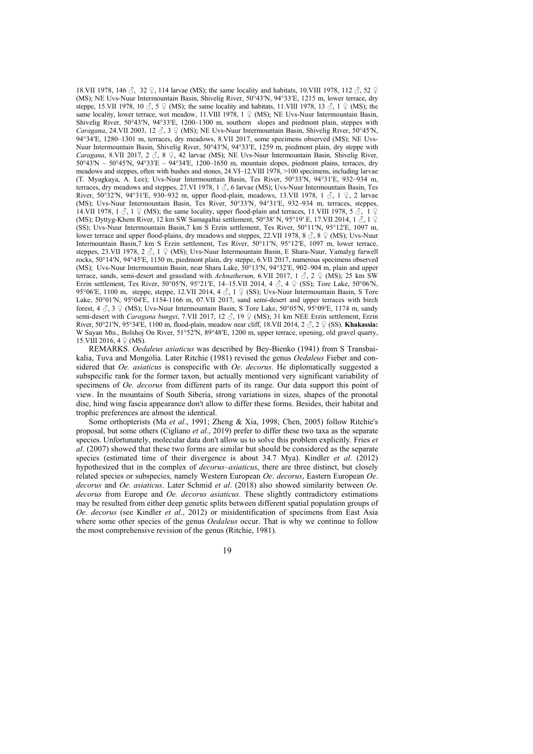18.VII 1978, 146  $\Im$ , 32  $\Im$ , 114 larvae (MS); the same locality and habitats, 10.VIII 1978, 112  $\Im$ , 52  $\Im$ (MS); NE Uvs-Nuur Intermountain Basin, Shivelig River, 50°43ʹN, 94°33ʹE, 1215 m, lower terrace, dry steppe, 15.VII 1978, 10  $\sigma$ , 5  $\Omega$  (MS); the same locality and habitats, 11.VIII 1978, 13  $\sigma$ , 1  $\Omega$  (MS); the same locality, lower terrace, wet meadow, 11.VIII 1978, 1  $\Omega$  (MS); NE Uvs-Nuur Intermountain Basin, Shivelig River, 50°43′N, 94°33′E, 1200–1300 m, southern slopes and piedmont plain, steppes with *Caragana*, 24.VII 2003, 12  $\beta$ , 3  $\frac{1}{2}$  (MS); NE Uvs-Nuur Intermountain Basin, Shivelig River, 50°45′N, 94°34ʹE, 1280–1301 m, terraces, dry meadows, 8.VII 2017, some specimens observed (MS); NE Uvs-Nuur Intermountain Basin, Shivelig River, 50°43ʹN, 94°33ʹE, 1259 m, piedmont plain, dry steppe with *Caragana*, 8.VII 2017, 2 ♂, 8 ♀, 42 larvae (MS); NE Uvs-Nuur Intermountain Basin, Shivelig River,  $50^{\circ}43\text{N} - 50^{\circ}45\text{N}$ ,  $94^{\circ}33\text{E} - 94^{\circ}34\text{E}$ , 1200–1650 m, mountain slopes, piedmont plains, terraces, dry meadows and steppes, often with bushes and stones, 24.VI–12.VIII 1978, >100 specimens, including larvae (T. Myagkaya, A. Lee); Uvs-Nuur Intermountain Basin, Tes River, 50°33ʹN, 94°31ʹE, 932–934 m, terraces, dry meadows and steppes, 27.VI 1978, 1  $\delta$ , 6 larvae (MS); Uvs-Nuur Intermountain Basin, Tes River, 50°32′N, 94°31′E, 930–932 m, upper flood-plain, meadows, 13.VII 1978, 1  $\Im$ , 1  $\Im$ , 2 larvae (MS); Uvs-Nuur Intermountain Basin, Tes River, 50°33ʹN, 94°31ʹE, 932–934 m, terraces, steppes, 14.VII 1978, 1  $\Diamond$ , 1  $\Diamond$  (MS); the same locality, upper flood-plain and terraces, 11.VIII 1978, 5  $\Diamond$ , 1  $\Diamond$ (MS); Dyttyg-Khem River, 12 km SW Samagaltai settlement, 50°38′ N, 95°19′ E, 17.VII 2014, 1  $\circ$ , 1  $\circ$ (SS); Uvs-Nuur Intermountain Basin,7 km S Erzin settlement, Tes River, 50°11ʹN, 95°12ʹE, 1097 m, lower terrace and upper flood-plains, dry meadows and steppes, 22.VII 1978, 8  $\circ$ , 8  $\circ$  (MS); Uvs-Nuur Intermountain Basin,7 km S Erzin settlement, Tes River, 50°11ʹN, 95°12ʹE, 1097 m, lower terrace, steppes, 23.VII 1978, 2 3, 1 ♀ (MS); Uvs-Nuur Intermountain Basin, E Shara-Nuur, Yamalyg farwell rocks, 50°14ʹN, 94°45ʹE, 1150 m, piedmont plain, dry steppe, 6.VII 2017, numerous specimens observed (MS); Uvs-Nuur Intermountain Basin, near Shara Lake, 50°13ʹN, 94°32ʹE, 902–904 m, plain and upper terrace, sands, semi-desert and grassland with *Achnatherum*, 6.VII 2017, 1  $\delta$ , 2  $\circ$  (MS); 25 km SW Erzin settlement, Tes River, 50°05′N, 95°21′E, 14–15.VII 2014, 4  $\beta$ , 4  $\beta$  (SS); Tore Lake, 50°06′N, 95°06′E, 1100 m, steppe, steppe, 12.VII 2014, 4  $\delta$ , 1  $\circ$  (SS); Uvs-Nuur Intermountain Basin, S Tore Lake, 50°01′N, 95°04′E, 1154-1166 m, 07.VII 2017, sand semi-desert and upper terraces with birch forest,  $4 \text{ } \diamondsuit$ ,  $3 \text{ } \diamondsuit$  (MS); Uvs-Nuur Intermountain Basin, S Tore Lake,  $50^{\circ}05^{\prime}N$ ,  $95^{\circ}09^{\prime}E$ , 1174 m, sandy semi-desert with *Caragana bungei*, 7.VII 2017, 12 ♂, 19 ♀ (MS); 31 km NEE Erzin settlement, Erzin River, 50°21ʹN, 95°34ʹE, 1100 m, flood-plain, meadow near cliff, 18.VII 2014, 2 ♂, 2 ♀ (SS). **Khakassia:**  W Sayan Mts., Bolshoj On River, 51°52′N, 89°48′E, 1200 m, upper terrace, opening, old gravel quarry, 15.VIII 2016,  $4 \nsubseteq (MS)$ .

REMARKS. *Oedaleus asiaticus* was described by Bey-Bienko (1941) from S Transbaikalia, Tuva and Mongolia. Later Ritchie (1981) revised the genus *Oedaleus* Fieber and considered that *Oe. asiaticus* is conspecific with *Oe. decorus*. He diplomatically suggested a subspecific rank for the former taxon, but actually mentioned very significant variability of specimens of *Oe. decorus* from different parts of its range. Our data support this point of view. In the mountains of South Siberia, strong variations in sizes, shapes of the pronotal disc, hind wing fascia appearance don't allow to differ these forms. Besides, their habitat and trophic preferences are almost the identical.

Some orthopterists (Ma *et al*., 1991; Zheng & Xia, 1998; Chen, 2005) follow Ritchie's proposal, but some others (Cigliano *et al*., 2019) prefer to differ these two taxa as the separate species. Unfortunately, molecular data don't allow us to solve this problem explicitly. Fries *et al*. (2007) showed that these two forms are similar but should be considered as the separate species (estimated time of their divergence is about 34.7 Mya). Kindler *et al*. (2012) hypothesized that in the complex of *decorus–asiaticus*, there are three distinct, but closely related species or subspecies, namely Western European *Oe*. *decorus*, Eastern European *Oe*. *decorus* and *Oe*. *asiaticus*. Later Schmid *et al*. (2018) also showed similarity between *Oe. decorus* from Europe and *Oe. decorus asiaticus*. These slightly contradictory estimations may be resulted from either deep genetic splits between different spatial population groups of *Oe. decorus* (see Kindler *et al*., 2012) or misidentification of specimens from East Asia where some other species of the genus *Oedaleus* occur. That is why we continue to follow the most comprehensive revision of the genus (Ritchie, 1981).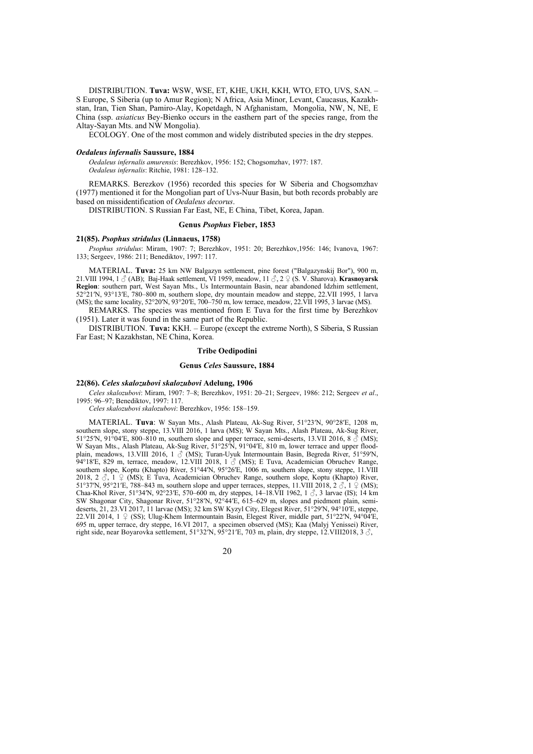DISTRIBUTION. **Tuva:** WSW, WSE, ET, KHE, UKH, KKH, WTO, ETO, UVS, SAN. – S Europe, S Siberia (up to Amur Region); N Africa, Asia Minor, Levant, Caucasus, Kazakhstan, Iran, Tien Shan, Pamiro-Alay, Kopetdagh, N Afghanistam, Mongolia, NW, N, NE, E China (ssp. *asiaticus* Bey-Bienko occurs in the easthern part of the species range, from the Altay-Sayan Mts. and NW Mongolia).

ECOLOGY. One of the most common and widely distributed species in the dry steppes.

#### *Oedaleus infernalis* **Saussure, 1884**

*Oedaleus infernalis amurensis*: Berezhkov, 1956: 152; Chogsomzhav, 1977: 187. *Oedaleus infernalis*: Ritchie, 1981: 128–132.

REMARKS. Berezkov (1956) recorded this species for W Siberia and Chogsomzhav (1977) mentioned it for the Mongolian part of Uvs-Nuur Basin, but both records probably are based on missidentification of *Oedaleus decorus*.

DISTRIBUTION. S Russian Far East, NE, E China, Tibet, Korea, Japan.

#### **Genus** *Psophus* **Fieber, 1853**

# **21(85).** *Psophus stridulus* **(Linnaeus, 1758)**

*Psophus stridulus*: Miram, 1907: 7; Berezhkov, 1951: 20; Berezhkov,1956: 146; Ivanova, 1967: 133; Sergeev, 1986: 211; Benediktov, 1997: 117.

MATERIAL. **Tuva:** 25 km NW Balgazyn settlement, pine forest ("Balgazynskij Bor"), 900 m, 21.VIII 1994, 1 ♂ (AB); Baj-Haak settlement, VI 1959, meadow, 11 ♂, 2 ♀ (S. V. Sharova). **Krasnoyarsk Region**: southern part, West Sayan Mts., Us Intermountain Basin, near abandoned Idzhim settlement, 52°21′N, 93°13′E, 780–800 m, southern slope, dry mountain meadow and steppe, 22.VII 1995, 1 larva (MS); the same locality, 52°20′N, 93°20′E, 700–750 m, low terrace, meadow, 22.VII 1995, 3 larvae (MS).

REMARKS. The species was mentioned from E Tuva for the first time by Berezhkov (1951). Later it was found in the same part of the Republic.

DISTRIBUTION. **Tuva:** KKH. – Europe (except the extreme North), S Siberia, S Russian Far East; N Kazakhstan, NE China, Korea.

#### **Tribe Oedipodini**

# **Genus** *Celes* **Saussure, 1884**

# **22(86).** *Celes skalozubovi skalozubovi* **Adelung, 1906**

*Celes skalozubovi*: Miram, 1907: 7–8; Berezhkov, 1951: 20–21; Sergeev, 1986: 212; Sergeev *et al*., 1995: 96–97; Benediktov, 1997: 117.

*Celes skalozubovi skalozubovi*: Berezhkov, 1956: 158–159.

MATERIAL. **Tuva**: W Sayan Mts., Alash Plateau, Ak-Sug River, 51°23ʹN, 90°28ʹE, 1208 m, southern slope, stony steppe, 13.VIII 2016, 1 larva (MS); W Sayan Mts., Alash Plateau, Ak-Sug River, 51°25′N, 91°04′E, 800–810 m, southern slope and upper terrace, semi-deserts, 13.VII 2016, 8  $\mathcal{S}$  (MS); W Sayan Mts., Alash Plateau, Ak-Sug River, 51°25ʹN, 91°04ʹE, 810 m, lower terrace and upper floodplain, meadows, 13.VIII 2016, 1  $\circ$  (MS); Turan-Uyuk Intermountain Basin, Begreda River, 51°59′N, 94°18′E, 829 m, terrace, meadow, 12.VIII 2018, 1  $\circ$  (MS); E Tuva, Academician Obruchev Range, southern slope, Koptu (Khapto) River, 51°44′N, 95°26′E, 1006 m, southern slope, stony steppe, 11.VIII 2018, 2  $\Im$ , 1  $\Im$  (MS); E Tuva, Academician Obruchev Range, southern slope, Koptu (Khapto) River, 51°37′N, 95°21′E, 788–843 m, southern slope and upper terraces, steppes, 11.VIII 2018, 2  $\Im$ , 1  $\Im$  (MS); Chaa-Khol River, 51°34′N, 92°23′E, 570–600 m, dry steppes, 14–18.VII 1962, 1  $\Im$ , 3 larvae (IS); 14 km SW Shagonar City, Shagonar River, 51°28ʹN, 92°44ʹE, 615–629 m, slopes and piedmont plain, semideserts, 21, 23. VI 2017, 11 larvae (MS); 32 km SW Kyzyl City, Elegest River, 51°29′N, 94°10′E, steppe, 22.VII 2014,  $1 \nsubseteq$  (SS); Ulug-Khem Intermountain Basin, Elegest River, middle part, 51°22′N, 94°04′E, 695 m, upper terrace, dry steppe, 16.VI 2017, a specimen observed (MS); Kaa (Malyj Yenissei) River, right side, near Boyarovka settlement,  $51^{\circ}32'N$ ,  $95^{\circ}21'E$ , 703 m, plain, dry steppe, 12.VIII2018, 3  $\circ$ ,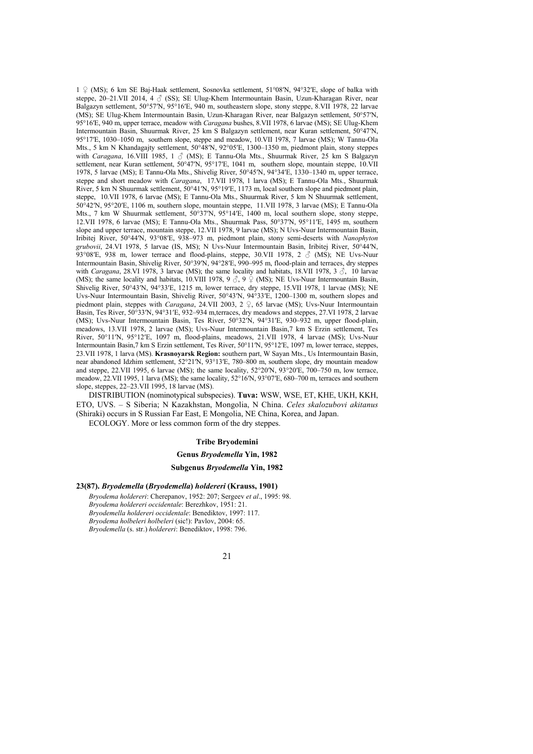1 ♀ (MS); 6 km SE Baj-Haak settlement, Sosnovka settlement, 51°08ʹN, 94°32ʹE, slope of balka with steppe, 20–21.VII 2014, 4  $\beta$  (SS); SE Ulug-Khem Intermountain Basin, Uzun-Kharagan River, near Balgazyn settlement, 50°57'N, 95°16'E, 940 m, southeastern slope, stony steppe, 8.VII 1978, 22 larvae (MS); SE Ulug-Khem Intermountain Basin, Uzun-Kharagan River, near Balgazyn settlement, 50°57ʹN, 95°16ʹE, 940 m, upper terrace, meadow with *Caragana* bushes, 8.VII 1978, 6 larvae (MS); SE Ulug-Khem Intermountain Basin, Shuurmak River, 25 km S Balgazyn settlement, near Kuran settlement, 50°47ʹN, 95°17ʹE, 1030–1050 m, southern slope, steppe and meadow, 10.VII 1978, 7 larvae (MS); W Tannu-Ola Mts., 5 km N Khandagajty settlement, 50°48ʹN, 92°05ʹE, 1300–1350 m, piedmont plain, stony steppes with *Caragana*, 16.VIII 1985, 1 ♂ (MS); E Tannu-Ola Mts., Shuurmak River, 25 km S Balgazyn settlement, near Kuran settlement, 50°47′N, 95°17′E, 1041 m, southern slope, mountain steppe, 10.VII 1978, 5 larvae (MS); E Tannu-Ola Mts., Shivelig River, 50°45ʹN, 94°34ʹE, 1330–1340 m, upper terrace, steppe and short meadow with *Caragana*, 17.VII 1978, 1 larva (MS); E Tannu-Ola Mts., Shuurmak River, 5 km N Shuurmak settlement, 50°41ʹN, 95°19ʹE, 1173 m, local southern slope and piedmont plain, steppe, 10.VII 1978, 6 larvae (MS); E Tannu-Ola Mts., Shuurmak River, 5 km N Shuurmak settlement, 50°42ʹN, 95°20ʹE, 1106 m, southern slope, mountain steppe, 11.VII 1978, 3 larvae (MS); E Tannu-Ola Mts., 7 km W Shuurmak settlement, 50°37′N, 95°14′E, 1400 m, local southern slope, stony steppe, 12.VII 1978, 6 larvae (MS); E Tannu-Ola Mts., Shuurmak Pass, 50°37ʹN, 95°11ʹE, 1495 m, southern slope and upper terrace, mountain steppe, 12.VII 1978, 9 larvae (MS); N Uvs-Nuur Intermountain Basin, Iribitej River, 50°44′N, 93°08′E, 938–973 m, piedmont plain, stony semi-deserts with *Nanophyton grubovii*, 24.VI 1978, 5 larvae (IS, MS); N Uvs-Nuur Intermountain Basin, Iribitej River, 50°44′N, 93°08′E, 938 m, lower terrace and flood-plains, steppe, 30.VII 1978, 2  $\delta$  (MS); NE Uvs-Nuur Intermountain Basin, Shivelig River, 50°39ʹN, 94°28ʹE, 990–995 m, flood-plain and terraces, dry steppes with *Caragana*, 28.VI 1978, 3 larvae (MS); the same locality and habitats, 18.VII 1978, 3  $\hat{\phi}$ , 10 larvae (MS); the same locality and habitats, 10.VIII 1978, 9  $\stackrel{\circ}{\circ}$ , 9  $\stackrel{\circ}{\circ}$  (MS); NE Uvs-Nuur Intermountain Basin, Shivelig River, 50°43′N, 94°33′E, 1215 m, lower terrace, dry steppe, 15.VII 1978, 1 larvae (MS); NE Uvs-Nuur Intermountain Basin, Shivelig River, 50°43ʹN, 94°33ʹE, 1200–1300 m, southern slopes and piedmont plain, steppes with *Caragana*, 24.VII 2003, 2 ♀, 65 larvae (MS); Uvs-Nuur Intermountain Basin, Tes River, 50°33ʹN, 94°31ʹE, 932–934 m,terraces, dry meadows and steppes, 27.VI 1978, 2 larvae (MS); Uvs-Nuur Intermountain Basin, Tes River, 50°32ʹN, 94°31ʹE, 930–932 m, upper flood-plain, meadows, 13.VII 1978, 2 larvae (MS); Uvs-Nuur Intermountain Basin,7 km S Erzin settlement, Tes River, 50°11ʹN, 95°12ʹE, 1097 m, flood-plains, meadows, 21.VII 1978, 4 larvae (MS); Uvs-Nuur Intermountain Basin,7 km S Erzin settlement, Tes River, 50°11ʹN, 95°12ʹE, 1097 m, lower terrace, steppes, 23.VII 1978, 1 larva (MS). **Krasnoyarsk Region:** southern part, W Sayan Mts., Us Intermountain Basin, near abandoned Idzhim settlement, 52°21′N, 93°13′E, 780–800 m, southern slope, dry mountain meadow and steppe, 22.VII 1995, 6 larvae (MS); the same locality, 52°20′N, 93°20′E, 700–750 m, low terrace, meadow, 22.VII 1995, 1 larva (MS); the same locality,  $52^{\circ}16'N$ ,  $93^{\circ}07'E$ ,  $680-700$  m, terraces and southern slope, steppes, 22–23.VII 1995, 18 larvae (MS).

DISTRIBUTION (nominotypical subspecies). **Tuva:** WSW, WSE, ET, KHE, UKH, KKH, ETO, UVS. – S Siberia; N Kazakhstan, Mongolia, N China. *Celes skalozubovi akitanus* (Shiraki) occurs in S Russian Far East, E Mongolia, NE China, Korea, and Japan.

ECOLOGY. More or less common form of the dry steppes.

# **Tribe Bryodemini**

# **Genus** *Bryodemella* **Yin, 1982**

# **Subgenus** *Bryodemella* **Yin, 1982**

# **23(87).** *Bryodemella* **(***Bryodemella***)** *holdereri* **(Krauss, 1901)**

*Bryodema holdereri*: Cherepanov, 1952: 207; Sergeev *et al*., 1995: 98. *Bryodema holdereri occidentale*: Berezhkov, 1951: 21. *Bryodemella holdereri occidentale*: Benediktov, 1997: 117. *Bryodema holbeleri holbeleri* (sic!): Pavlov, 2004: 65. *Bryodemella* (s. str.) *holdereri*: Benediktov, 1998: 796.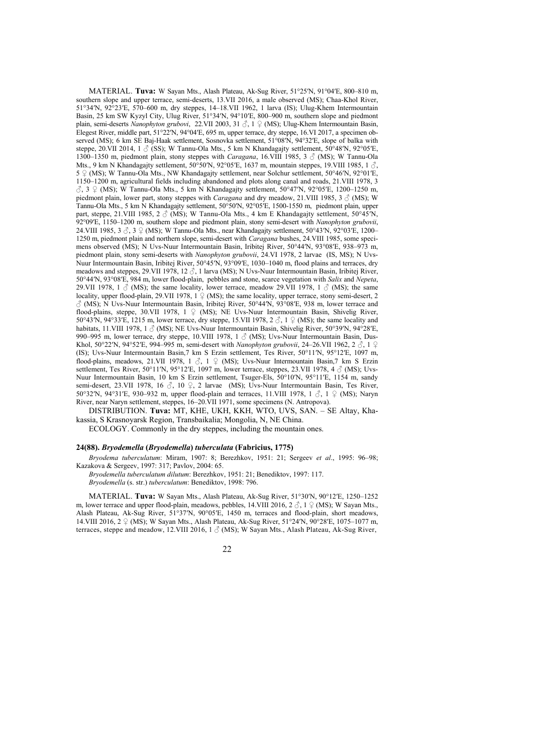MATERIAL. **Tuva:** W Sayan Mts., Alash Plateau, Ak-Sug River, 51°25ʹN, 91°04ʹE, 800–810 m, southern slope and upper terrace, semi-deserts, 13.VII 2016, a male observed (MS); Chaa-Khol River, 51°34′N, 92°23′E, 570–600 m, dry steppes, 14–18.VII 1962, 1 larva (IS); Ulug-Khem Intermountain Basin, 25 km SW Kyzyl City, Ulug River, 51°34ʹN, 94°10ʹE, 800–900 m, southern slope and piedmont plain, semi-deserts *Nanophyton grubovi*, 22.VII 2003, 31 ♂, 1 ♀ (MS); Ulug-Khem Intermountain Basin, Elegest River, middle part, 51°22′N, 94°04′E, 695 m, upper terrace, dry steppe, 16.VI 2017, a specimen observed (MS); 6 km SE Baj-Haak settlement, Sosnovka settlement, 51°08′N, 94°32′E, slope of balka with steppe, 20.VII 2014, 1  $\delta$  (SS); W Tannu-Ola Mts., 5 km N Khandagajty settlement, 50°48′N, 92°05′E, 1300–1350 m, piedmont plain, stony steppes with *Caragana*, 16.VIII 1985, 3 ♂ (MS); W Tannu-Ola Mts., 9 km N Khandagajty settlement, 50°50′N, 92°05′E, 1637 m, mountain steppes, 19.VIII 1985, 1  $\delta$ ,  $5 \nsubseteq (MS)$ ; W Tannu-Ola Mts., NW Khandagajty settlement, near Solchur settlement,  $50^{\circ}46^{\prime}N$ ,  $92^{\circ}01^{\prime}E$ , 1150–1200 m, agricultural fields including abandoned and plots along canal and roads, 21.VIII 1978, 3  $\Im$ , 3  $\Im$  (MS); W Tannu-Ola Mts., 5 km N Khandagajty settlement, 50°47′N, 92°05′E, 1200–1250 m, piedmont plain, lower part, stony steppes with *Caragana* and dry meadow, 21.VIII 1985, 3 ♂ (MS); W Tannu-Ola Mts., 5 km N Khandagajty settlement, 50°50ʹN, 92°05ʹE, 1500-1550 m, piedmont plain, upper part, steppe, 21.VIII 1985, 2  $\beta$  (MS); W Tannu-Ola Mts., 4 km E Khandagajty settlement, 50°45′N. 92°09ʹE, 1150–1200 m, southern slope and piedmont plain, stony semi-desert with *Nanophyton grubovii*, 24. VIII 1985,  $3 \text{ } \textcircled{}$ ,  $3 \text{ } \textcircled{}$  (MS); W Tannu-Ola Mts., near Khandagajty settlement,  $50^{\circ}43'N$ ,  $92^{\circ}03'E$ ,  $1200-$ 1250 m, piedmont plain and northern slope, semi-desert with *Caragana* bushes, 24.VIII 1985, some specimens observed (MS); N Uvs-Nuur Intermountain Basin, Iribitej River, 50°44′N, 93°08′E, 938–973 m, piedmont plain, stony semi-deserts with *Nanophyton grubovii*, 24.VI 1978, 2 larvae (IS, MS); N Uvs-Nuur Intermountain Basin, Iribitej River, 50°45′N, 93°09′E, 1030–1040 m, flood plains and terraces, dry meadows and steppes, 29.VII 1978, 12  $\hat{\beta}$ , 1 larva (MS); N Uvs-Nuur Intermountain Basin, Iribitej River, 50°44′N, 93°08′E, 984 m, lower flood-plain, pebbles and stone, scarce vegetation with *Salix* and *Nepeta*, 29.VII 1978, 1  $\circled{}$  (MS); the same locality, lower terrace, meadow 29.VII 1978, 1  $\circled{}$  (MS); the same locality, upper flood-plain, 29.VII 1978, 1 ♀ (MS); the same locality, upper terrace, stony semi-desert, 2  $\circ$  (MS); N Uvs-Nuur Intermountain Basin, Iribitej River, 50°44′N, 93°08′E, 938 m, lower terrace and flood-plains, steppe, 30.VII 1978, 1 ♀ (MS); NE Uvs-Nuur Intermountain Basin, Shivelig River, 50°43<sup>'</sup>N, 94°33'E, 1215 m, lower terrace, dry steppe, 15.VII 1978, 2  $\Im$ , 1  $\Im$  (MS); the same locality and habitats, 11.VIII 1978, 1  $\circ$  (MS); NE Uvs-Nuur Intermountain Basin, Shivelig River, 50°39′N, 94°28′E, 990–995 m, lower terrace, dry steppe, 10.VIII 1978, 1  $\circ$  (MS); Uvs-Nuur Intermountain Basin, Dus-Khol, 50°22′N, 94°52′E, 994–995 m, semi-desert with *Nanophyton grubovii*, 24–26.VII 1962, 2  $\hat{\phi}$ , 1  $\hat{\phi}$ (IS); Uvs-Nuur Intermountain Basin,7 km S Erzin settlement, Tes River, 50°11ʹN, 95°12ʹE, 1097 m, flood-plains, meadows, 21.VII 1978, 1  $\Im$ , 1  $\Im$  (MS); Uvs-Nuur Intermountain Basin,7 km S Erzin settlement, Tes River, 50°11′N, 95°12′E, 1097 m, lower terrace, steppes, 23.VII 1978, 4  $\beta$  (MS); Uvs-Nuur Intermountain Basin, 10 km S Erzin settlement, Tsuger-Els, 50°10ʹN, 95°11ʹE, 1154 m, sandy semi-desert, 23.VII 1978, 16  $\Im$ , 10  $\Im$ , 2 larvae (MS); Uvs-Nuur Intermountain Basin, Tes River, 50°32′N, 94°31′E, 930–932 m, upper flood-plain and terraces, 11.VIII 1978, 1  $\Im$ , 1  $\Im$  (MS); Naryn River, near Naryn settlement, steppes, 16–20.VII 1971, some specimens (N. Antropova).

DISTRIBUTION. **Tuva:** MT, KHE, UKH, KKH, WTO, UVS, SAN. – SE Altay, Khakassia, S Krasnoyarsk Region, Transbaikalia; Mongolia, N, NE China.

ECOLOGY. Commonly in the dry steppes, including the mountain ones.

# **24(88).** *Bryodemella* **(***Bryodemella***)** *tuberculata* **(Fabricius, 1775)**

*Bryodema tuberculatum*: Miram, 1907: 8; Berezhkov, 1951: 21; Sergeev *et al*., 1995: 96–98; Kazakova & Sergeev, 1997: 317; Pavlov, 2004: 65.

*Bryodemella tuberculatum dilutum*: Berezhkov, 1951: 21; Benediktov, 1997: 117. *Bryodemella* (s. str.) *tuberculatum*: Benediktov, 1998: 796.

MATERIAL. **Tuva:** W Sayan Mts., Alash Plateau, Ak-Sug River, 51°30ʹN, 90°12ʹE, 1250–1252 m, lower terrace and upper flood-plain, meadows, pebbles, 14.VIII 2016, 2  $\circ$ , 1  $\circ$  (MS); W Sayan Mts., Alash Plateau, Ak-Sug River, 51°37ʹN, 90°05ʹE, 1450 m, terraces and flood-plain, short meadows, 14.VIII 2016, 2 ♀ (MS); W Sayan Mts., Alash Plateau, Ak-Sug River, 51°24ʹN, 90°28ʹE, 1075–1077 m, terraces, steppe and meadow, 12.VIII 2016,  $1 \text{ Å}$  (MS); W Sayan Mts., Alash Plateau, Ak-Sug River,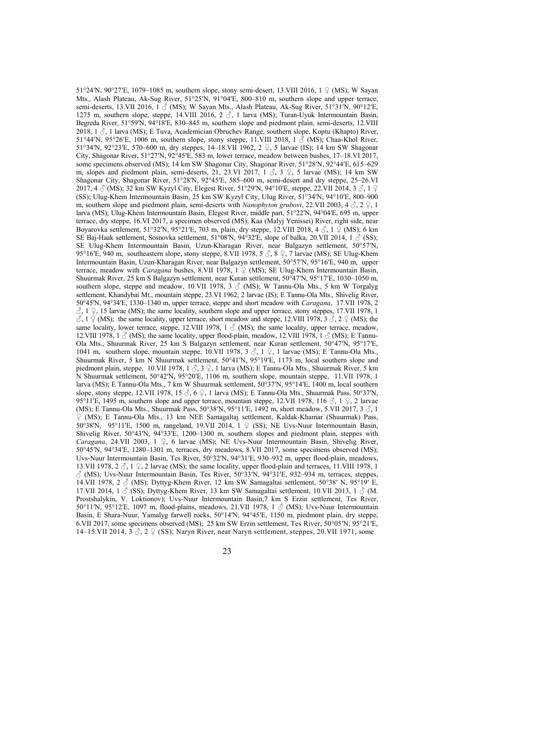51°24′N, 90°27′E, 1079–1085 m, southern slope, stony semi-desert, 13.VIII 2016, 1  $\circ$  (MS); W Sayan Mts., Alash Plateau, Ak-Sug River, 51°25′N, 91°04′E, 800-810 m, southern slope and upper terrace, semi-deserts, 13.VII 2016, 1  $\textcircled{S}$  (MS); W Sayan Mts., Alash Plateau, Ak-Sug River, 51°31′N, 90°12′E, 1275 m, southern slope, steppe, 14.VIII 2016, 2  $\delta$ , 1 larva (MS); Turan-Uyuk Intermountain Basin, Begreda River, 51°59'N, 94°18'E, 830–845 m, southern slope and piedmont plain, semi-deserts, 12.VIII 2018, 1  $\beta$ , 1 larva (MS); E Tuva, Academician Obruchev Range, southern slope, Koptu (Khapto) River, 51°44′N, 95°26′E, 1006 m, southern slope, stony steppe, 11.VIII 2018, 1 3 (MS); Chaa-Khol River, 51°34′N, 92°23′E, 570–600 m, dry steppes, 14–18.VII 1962, 2 ♀, 5 larvae (IS); 14 km SW Shagonar City, Shagonar River, 51°27ʹN, 92°45ʹE, 583 m, lower terrace, meadow between bushes, 17–18.VI 2017, some specimens observed (MS); 14 km SW Shagonar City, Shagonar River, 51°28′N, 92°44′E, 615–629 m, slopes and piedmont plain, semi-deserts, 21, 23.VI 2017,  $1 \text{ } \text{\&} 3 \text{ } \text{\&} 7$ , 5 larvae (MS); 14 km SW Shagonar City, Shagonar River, 51°28ʹN, 92°45ʹE, 585–600 m, semi-desert and dry steppe, 25–26.VI 2017, 4  $\circ$  (MS); 32 km SW Kyzyl City, Elegest River, 51°29′N, 94°10′E, steppe, 22.VII 2014, 3  $\circ$ , 1  $\circ$ (SS); Ulug-Khem Intermountain Basin, 25 km SW Kyzyl City, Ulug River, 51°34ʹN, 94°10ʹE, 800–900 m, southern slope and piedmont plain, semi-deserts with *Nanophyton grubovi*, 22.VII 2003, 4 ♂, 2 ♀, 1 larva (MS); Ulug-Khem Intermountain Basin, Elegest River, middle part, 51°22ʹN, 94°04ʹE, 695 m, upper terrace, dry steppe, 16.VI 2017, a specimen observed (MS); Kaa (Malyj Yenissei) River, right side, near Boyarovka settlement, 51°32′N, 95°21′E, 703 m, plain, dry steppe, 12. VIII 2018, 4  $\circ$ , 1  $\circ$  (MS); 6 km SE Bai-Haak settlement, Sosnovka settlement, 51°08′N, 94°32′E, slope of balka, 20.VII 2014, 1  $\circ$  (SS); SE Ulug-Khem Intermountain Basin, Uzun-Kharagan River, near Balgazyn settlement, 50°57ʹN, 95°16′E, 940 m, southeastern slope, stony steppe, 8.VII 1978, 5  $\beta$ , 8  $\gamma$ , 7 larvae (MS); SE Ulug-Khem Intermountain Basin, Uzun-Kharagan River, near Balgazyn settlement, 50°57ʹN, 95°16ʹE, 940 m, upper terrace, meadow with *Caragana* bushes, 8.VII 1978, 1 ♀ (MS); SE Ulug-Khem Intermountain Basin, Shuurmak River, 25 km S Balgazyn settlement, near Kuran settlement, 50°47ʹN, 95°17ʹE, 1030–1050 m, southern slope, steppe and meadow, 10.VII 1978, 3  $\circ$  (MS); W Tannu-Ola Mts., 5 km W Torgalyg settlement, Khandybai Mt., mountain steppe, 23.VI 1962, 2 larvae (IS); E Tannu-Ola Mts., Shivelig River, 50°45ʹN, 94°34ʹE, 1330–1340 m, upper terrace, steppe and short meadow with *Caragana*, 17.VII 1978, 2  $\circ$ , 1  $\circ$ , 15 larvae (MS); the same locality, southern slope and upper terrace, stony steppes, 17.VII 1978, 1  $\check{C}$ ,  $1 \leq (MS)$ ; the same locality, upper terrace, short meadow and steppe, 12.VIII 1978,  $3 \check{C}$ ,  $2 \circ (MS)$ ; the same locality, lower terrace, steppe, 12.VIII 1978, 1  $\circ$  (MS); the same locality, upper terrace, meadow, 12.VIII 1978, 1  $\circled{S}$  (MS); the same locality, upper flood-plain, meadow, 12.VIII 1978, 1  $\circled{S}$  (MS); E Tannu-Ola Mts., Shuurmak River, 25 km S Balgazyn settlement, near Kuran settlement, 50°47ʹN, 95°17ʹE, 1041 m, southern slope, mountain steppe, 10.VII 1978, 3  $\Im$ , 1  $\Im$ , 1 larvae (MS); E Tannu-Ola Mts. Shuurmak River, 5 km N Shuurmak settlement,  $50^{\circ}41^{\prime}N$ ,  $95^{\circ}19^{\prime}E$ , 1173 m, local southern slope and piedmont plain, steppe, 10.VII 1978, 1  $\beta$ , 3  $\beta$ , 1 larva (MS); E Tannu-Ola Mts., Shuurmak River, 5 km N Shuurmak settlement, 50°42ʹN, 95°20ʹE, 1106 m, southern slope, mountain steppe, 11.VII 1978, 1 larva (MS); E Tannu-Ola Mts., 7 km W Shuurmak settlement, 50°37ʹN, 95°14ʹE, 1400 m, local southern slope, stony steppe, 12.VII 1978, 15  $\Im$ , 6  $\Im$ , 1 larva (MS); E Tannu-Ola Mts., Shuurmak Pass, 50°37′N, 95°11′E, 1495 m, southern slope and upper terrace, mountain steppe, 12.VII 1978, 116  $\Im$ , 1  $\Im$ , 2 larvae (MS); E Tannu-Ola Mts., Shuurmak Pass, 50°38′N, 95°11′E, 1492 m, short meadow, 5.VII 2017, 3  $\zeta$ , 1 ♀ (MS); E Tannu-Ola Mts., 13 km NEE Samagaltaj settlement, Kaldak-Khamar (Shuurmak) Pass, 50°38ʹN, 95°11ʹE, 1500 m, rangeland, 19.VII 2014, 1 ♀ (SS); NE Uvs-Nuur Intermountain Basin, Shivelig River, 50°43ʹN, 94°33ʹE, 1200–1300 m, southern slopes and piedmont plain, steppes with *Caragana*, 24.VII 2003, 1 ♀, 6 larvae (MS); NE Uvs-Nuur Intermountain Basin, Shivelig River, 50°45ʹN, 94°34ʹE, 1280–1301 m, terraces, dry meadows, 8.VII 2017, some specimens observed (MS); Uvs-Nuur Intermountain Basin, Tes River, 50°32ʹN, 94°31ʹE, 930–932 m, upper flood-plain, meadows, 13.VII 1978,  $2 \text{ } \diamond$ ,  $1 \text{ } \diamond$ ,  $2$  larvae (MS); the same locality, upper flood-plain and terraces, 11.VIII 1978, 1  $\circ$  (MS); Uvs-Nuur Intermountain Basin, Tes River, 50°33′N, 94°31′E, 932–934 m, terraces, steppes, 14.VII 1978, 2  $\circ$  (MS); Dyttyg-Khem River, 12 km SW Samagaltai settlement, 50°38′ N, 95°19′ E, 17.VII 2014, 1  $\circ$  (SS); Dyttyg-Khem River, 13 km SW Samagaltai settlement, 10.VII 2013, 1  $\circ$  (M. Prostshalykin, V. Loktionov); Uvs-Nuur Intermountain Basin,7 km S Erzin settlement, Tes River, 50°11′N, 95°12′E, 1097 m, flood-plains, meadows, 21.VII 1978, 1  $\beta$  (MS); Uvs-Nuur Intermountain Basin, E Shara-Nuur, Yamalyg farwell rocks, 50°14′N, 94°45′E, 1150 m, piedmont plain, dry steppe, 6.VII 2017, some specimens observed (MS); 25 km SW Erzin settlement, Tes River, 50°05ʹN, 95°21ʹE, 14–15.VII 2014, 3  $\delta$ , 2  $\circ$  (SS); Naryn River, near Naryn settlement, steppes, 20.VII 1971, some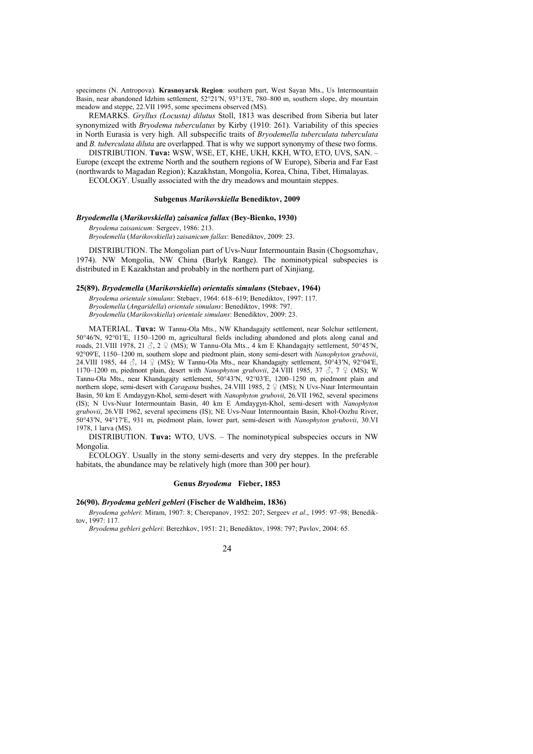specimens (N. Antropova). **Krasnoyarsk Region**: southern part, West Sayan Mts., Us Intermountain Basin, near abandoned Idzhim settlement, 52°21′N, 93°13′E, 780–800 m, southern slope, dry mountain meadow and steppe, 22.VII 1995, some specimens observed (MS).

REMARKS. *Gryllus (Locusta) dilutus* Stoll, 1813 was described from Siberia but later synonymized with *Bryodema tuberculatus* by Kirby (1910: 261). Variability of this species in North Eurasia is very high. All subspecific traits of *Bryodemella tuberculata tuberculata* and *B. tuberculata diluta* are overlapped. That is why we support synonymy of these two forms.

DISTRIBUTION. **Tuva:** WSW, WSE, ET, KHE, UKH, KKH, WTO, ETO, UVS, SAN. – Europe (except the extreme North and the southern regions of W Europe), Siberia and Far East (northwards to Magadan Region); Kazakhstan, Mongolia, Korea, China, Tibet, Himalayas. ECOLOGY. Usually associated with the dry meadows and mountain steppes.

# **Subgenus** *Marikovskiella* **Benediktov, 2009**

#### *Bryodemella* **(***Marikovskiella***)** *zaisanica fallax* **(Bey-Bienko, 1930)**

*Bryodema zaisanicum:* Sergeev, 1986: 213. *Bryodemella* (*Marikovskiella*) *zaisanicum fallax*: Benediktov, 2009: 23.

DISTRIBUTION. The Mongolian part of Uvs-Nuur Intermountain Basin (Chogsomzhav, 1974). NW Mongolia, NW China (Barlyk Range). The nominotypical subspecies is distributed in E Kazakhstan and probably in the northern part of Xinjiang.

#### **25(89).** *Bryodemella* **(***Marikovskiella***)** *orientalis simulans* **(Stebaev, 1964)**

*Bryodema orientale simulans*: Stebaev, 1964: 618–619; Benediktov, 1997: 117. *Bryodemella* (*Angaridella*) *orientale simulans*: Benediktov, 1998: 797. *Bryodemella* (*Marikovskiella*) *orientale simulans*: Benediktov, 2009: 23.

MATERIAL. **Tuva:** W Tannu-Ola Mts., NW Khandagajty settlement, near Solchur settlement, 50°46ʹN, 92°01ʹE, 1150–1200 m, agricultural fields including abandoned and plots along canal and roads, 21.VIII 1978, 21  $\Im$ , 2  $\Im$  (MS); W Tannu-Ola Mts., 4 km E Khandagajty settlement, 50°45′N, 92°09ʹE, 1150–1200 m, southern slope and piedmont plain, stony semi-desert with *Nanophyton grubovii*, 24.VIII 1985, 44  $\Im$ , 14  $\Im$  (MS); W Tannu-Ola Mts., near Khandagajty settlement, 50°43′N, 92°04′E, 1170–1200 m, piedmont plain, desert with *Nanophyton grubovii*, 24.VIII 1985, 37  $\Im$ , 7  $\Im$  (MS); W Tannu-Ola Mts., near Khandagajty settlement, 50°43′N, 92°03′E, 1200–1250 m, piedmont plain and northern slope, semi-desert with *Caragana* bushes, 24.VIII 1985, 2  $\subseteq$  (MS); N Uvs-Nuur Intermountain Basin, 50 km E Amdaygyn-Khol, semi-desert with *Nanophyton grubovii*, 26.VII 1962, several specimens (IS); N Uvs-Nuur Intermountain Basin, 40 km E Amdaygyn-Khol, semi-desert with *Nanophyton grubovii*, 26.VII 1962, several specimens (IS); NE Uvs-Nuur Intermountain Basin, Khol-Oozhu River, 50°43ʹN, 94°17ʹE, 931 m, piedmont plain, lower part, semi-desert with *Nanophyton grubovii*, 30.VI 1978, 1 larva (MS).

DISTRIBUTION. **Tuva:** WTO, UVS. – The nominotypical subspecies occurs in NW Mongolia.

ECOLOGY. Usually in the stony semi-deserts and very dry steppes. In the preferable habitats, the abundance may be relatively high (more than 300 per hour).

# **Genus** *Bryodema* **Fieber, 1853**

#### **26(90).** *Bryodema gebleri gebleri* **(Fischer de Waldheim, 1836)**

*Bryodema gebleri*: Miram, 1907: 8; Cherepanov, 1952: 207; Sergeev *et al*., 1995: 97–98; Benediktov, 1997: 117.

*Bryodema gebleri gebleri*: Berezhkov, 1951: 21; Benediktov, 1998: 797; Pavlov, 2004: 65.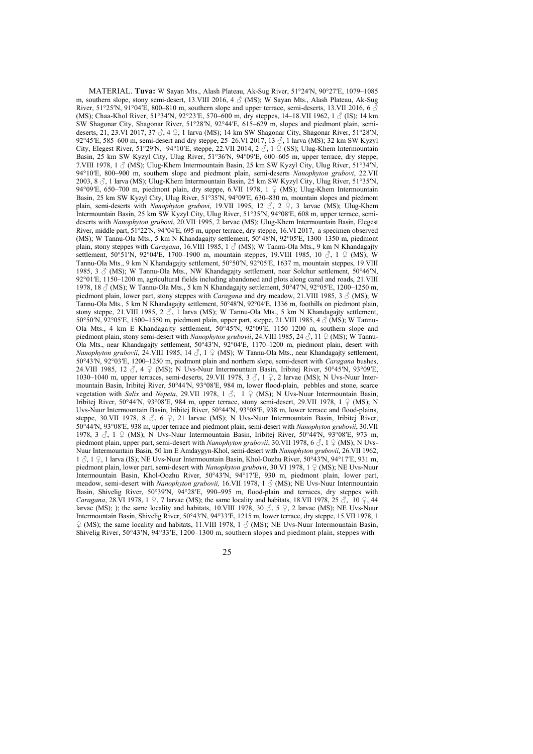MATERIAL. **Tuva:** W Sayan Mts., Alash Plateau, Ak-Sug River, 51°24ʹN, 90°27ʹE, 1079–1085 m, southern slope, stony semi-desert, 13.VIII 2016,  $4 \text{ } \circledcirc$  (MS); W Sayan Mts., Alash Plateau, Ak-Sug River, 51°25′N, 91°04′E, 800–810 m, southern slope and upper terrace, semi-deserts, 13.VII 2016, 6  $\delta$ (MS); Chaa-Khol River, 51°34′N, 92°23′E, 570–600 m, dry steppes, 14–18.VII 1962, 1  $\beta$  (IS); 14 km SW Shagonar City, Shagonar River, 51°28ʹN, 92°44ʹE, 615–629 m, slopes and piedmont plain, semideserts, 21, 23.VI 2017, 37 ♂, 4 ♀, 1 larva (MS); 14 km SW Shagonar City, Shagonar River, 51°28ʹN, 92°45′E, 585–600 m, semi-desert and dry steppe, 25–26.VI 2017, 13 3, 1 larva (MS); 32 km SW Kyzyl City, Elegest River, 51°29′N, 94°10′E, steppe, 22.VII 2014, 2  $\hat{\Diamond}$ , 1  $\hat{\Diamond}$  (SS); Ulug-Khem Intermountain Basin, 25 km SW Kyzyl City, Ulug River, 51°36′N, 94°09′E, 600–605 m, upper terrace, dry steppe, 7.VIII 1978, 1  $\circ$  (MS); Ulug-Khem Intermountain Basin, 25 km SW Kyzyl City, Ulug River, 51°34′N. 94°10ʹE, 800–900 m, southern slope and piedmont plain, semi-deserts *Nanophyton grubovi*, 22.VII 2003, 8 ♂, 1 larva (MS); Ulug-Khem Intermountain Basin, 25 km SW Kyzyl City, Ulug River, 51°35′N, 94°09′E, 650–700 m, piedmont plain, dry steppe, 6.VII 1978, 1 ♀ (MS); Ulug-Khem Intermountain Basin, 25 km SW Kyzyl City, Ulug River, 51°35ʹN, 94°09ʹE, 630–830 m, mountain slopes and piedmont plain, semi-deserts with *Nanophyton grubovi*, 19.VII 1995, 12 ♂, 2 ♀, 3 larvae (MS); Ulug-Khem Intermountain Basin, 25 km SW Kyzyl City, Ulug River, 51°35ʹN, 94°08ʹE, 608 m, upper terrace, semideserts with *Nanophyton grubovi*, 20.VII 1995, 2 larvae (MS); Ulug-Khem Intermountain Basin, Elegest River, middle part, 51°22ʹN, 94°04ʹE, 695 m, upper terrace, dry steppe, 16.VI 2017, a specimen observed (MS); W Tannu-Ola Mts., 5 km N Khandagajty settlement, 50°48ʹN, 92°05ʹE, 1300–1350 m, piedmont plain, stony steppes with *Caragana*, 16.VIII 1985, 1 ♂ (MS); W Tannu-Ola Mts., 9 km N Khandagajty settlement, 50°51′N, 92°04′E, 1700-1900 m, mountain steppes, 19. VIII 1985, 10 ♂, 1 ♀ (MS); W Tannu-Ola Mts., 9 km N Khandagajty settlement, 50°50ʹN, 92°05ʹE, 1637 m, mountain steppes, 19.VIII 1985, 3  $\circ$  (MS); W Tannu-Ola Mts., NW Khandagajty settlement, near Solchur settlement, 50°46′N. 92°01′E, 1150–1200 m, agricultural fields including abandoned and plots along canal and roads, 21.VIII 1978, 18 ♂ (MS); W Tannu-Ola Mts., 5 km N Khandagajty settlement, 50°47ʹN, 92°05ʹE, 1200–1250 m, piedmont plain, lower part, stony steppes with *Caragana* and dry meadow, 21.VIII 1985, 3  $\circ$  (MS); W Tannu-Ola Mts., 5 km N Khandagajty settlement, 50°48ʹN, 92°04ʹE, 1336 m, foothills on piedmont plain, stony steppe, 21.VIII 1985, 2  $\delta$ , 1 larva (MS); W Tannu-Ola Mts., 5 km N Khandagajty settlement, 50°50′N, 92°05′E, 1500–1550 m, piedmont plain, upper part, steppe, 21.VIII 1985, 4  $\circ$  (MS); W Tannu-Ola Mts., 4 km E Khandagajty settlement, 50°45ʹN, 92°09ʹE, 1150–1200 m, southern slope and piedmont plain, stony semi-desert with *Nanophyton grubovii*, 24.VIII 1985, 24 ♂, 11 ♀ (MS); W Tannu-Ola Mts., near Khandagajty settlement, 50°43′N, 92°04′E, 1170–1200 m, piedmont plain, desert with *Nanophyton grubovii*, 24.VIII 1985, 14 ♂, 1 ♀ (MS); W Tannu-Ola Mts., near Khandagajty settlement, 50°43′N, 92°03′E, 1200–1250 m, piedmont plain and northern slope, semi-desert with *Caragana* bushes, 24.VIII 1985, 12  $\Im$ , 4  $\Im$  (MS); N Uvs-Nuur Intermountain Basin, Iribitej River, 50°45′N, 93°09′E, 1030–1040 m, upper terraces, semi-deserts, 29.VII 1978, 3 ♂, 1 ♀, 2 larvae (MS); N Uvs-Nuur Intermountain Basin, Iribitej River, 50°44′N, 93°08′E, 984 m, lower flood-plain, pebbles and stone, scarce vegetation with *Salix* and *Nepeta*, 29.VII 1978, 1 ♂, 1 ♀ (MS); N Uvs-Nuur Intermountain Basin, Iribitej River, 50°44′N, 93°08′E, 984 m, upper terrace, stony semi-desert, 29.VII 1978, 1 ♀ (MS); N Uvs-Nuur Intermountain Basin, Iribitej River, 50°44′N, 93°08′E, 938 m, lower terrace and flood-plains, steppe, 30.VII 1978, 8 3, 6 ♀, 21 larvae (MS); N Uvs-Nuur Intermountain Basin, Iribitej River, 50°44′N, 93°08′E, 938 m, upper terrace and piedmont plain, semi-desert with *Nanophyton grubovii*, 30.VII 1978,  $3 \textdegree$ ,  $3 \textdegree$ ,  $1 \textdegree$  (MS); N Uvs-Nuur Intermountain Basin, Iribitej River,  $50\textdegree$ 44 $N$ ,  $93\textdegree$ 08′E,  $973$  m, piedmont plain, upper part, semi-desert with *Nanophyton grubovii*, 30.VII 1978, 6  $\delta$ , 1  $\Omega$  (MS); N Uvs-Nuur Intermountain Basin, 50 km E Amdaygyn-Khol, semi-desert with *Nanophyton grubovii*, 26.VII 1962, 1 ♂, 1 ♀, 1 larva (IS); NE Uvs-Nuur Intermountain Basin, Khol-Oozhu River, 50°43ʹN, 94°17ʹE, 931 m, piedmont plain, lower part, semi-desert with *Nanophyton grubovii*, 30.VI 1978, 1 ♀ (MS); NE Uvs-Nuur Intermountain Basin, Khol-Oozhu River, 50°43ʹN, 94°17ʹE, 930 m, piedmont plain, lower part, meadow, semi-desert with *Nanophyton grubovii*, 16.VII 1978, 1  $\circ$  (MS); NE Uvs-Nuur Intermountain Basin, Shivelig River, 50°39′N, 94°28′E, 990–995 m, flood-plain and terraces, dry steppes with *Caragana*, 28.VI 1978, 1 ♀, 7 larvae (MS); the same locality and habitats, 18.VII 1978, 25 ♂, 10 ♀, 44 larvae (MS); ); the same locality and habitats, 10.VIII 1978, 30  $\beta$ , 5  $\degree$ , 2 larvae (MS); NE Uvs-Nuur Intermountain Basin, Shivelig River, 50°43ʹN, 94°33ʹE, 1215 m, lower terrace, dry steppe, 15.VII 1978, 1  $\varphi$  (MS); the same locality and habitats, 11.VIII 1978, 1  $\varphi$  (MS); NE Uvs-Nuur Intermountain Basin, Shivelig River, 50°43′N, 94°33′E, 1200–1300 m, southern slopes and piedmont plain, steppes with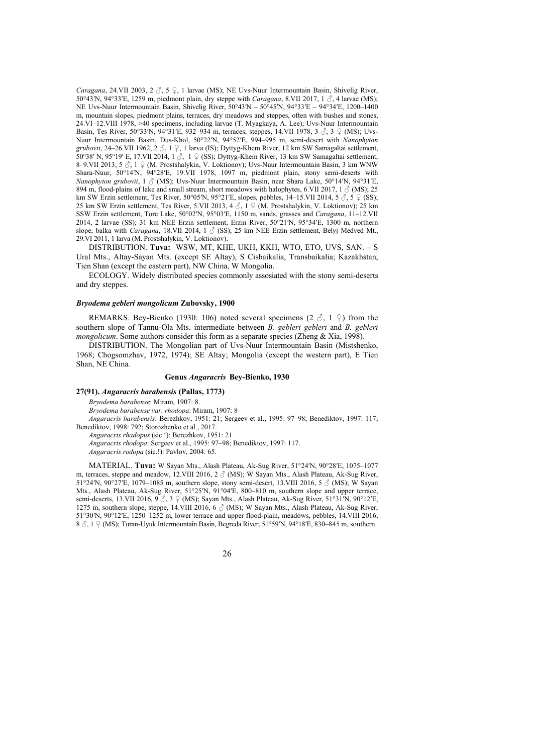*Caragana*, 24.VII 2003, 2 ♂, 5 ♀, 1 larvae (MS); NE Uvs-Nuur Intermountain Basin, Shivelig River, 50°43<sup>'</sup>N, 94°33'E, 1259 m, piedmont plain, dry steppe with *Caragana*, 8.VII 2017, 1  $\circ$ , 4 larvae (MS); NE Uvs-Nuur Intermountain Basin, Shivelig River, 50°43ʹN – 50°45ʹN, 94°33ʹE – 94°34ʹE, 1200–1400 m, mountain slopes, piedmont plains, terraces, dry meadows and steppes, often with bushes and stones, 24.VI–12.VIII 1978, >40 specimens, including larvae (T. Myagkaya, A. Lee); Uvs-Nuur Intermountain Basin, Tes River, 50°33′N, 94°31′E, 932-934 m, terraces, steppes, 14.VII 1978, 3 3, 3 ♀ (MS); Uvs-Nuur Intermountain Basin, Dus-Khol, 50°22ʹN, 94°52ʹE, 994–995 m, semi-desert with *Nanophyton grubovii*, 24–26.VII 1962, 2 ♂, 1 ♀, 1 larva (IS); Dyttyg-Khem River, 12 km SW Samagaltai settlement, 50°38′ N, 95°19′ E, 17.VII 2014, 1 $\beta$ , 1  $\beta$  (SS); Dyttyg-Khem River, 13 km SW Samagaltai settlement, 8–9.VII 2013, 5 ♂, 1 ♀ (M. Prostshalykin, V. Loktionov); Uvs-Nuur Intermountain Basin, 3 km WNW Shara-Nuur, 50°14′N, 94°28′E, 19.VII 1978, 1097 m, piedmont plain, stony semi-deserts with *Nanophyton grubovii*, 1 ♂ (MS); Uvs-Nuur Intermountain Basin, near Shara Lake, 50°14ʹN, 94°31ʹE, 894 m, flood-plains of lake and small stream, short meadows with halophytes, 6.VII 2017, 1  $\circ$  (MS); 25 km SW Erzin settlement, Tes River, 50°05′N, 95°21′E, slopes, pebbles, 14–15.VII 2014, 5  $\delta$ , 5  $\epsilon$  (SS); 25 km SW Erzin settlement, Tes River, 5.VII 2013, 4  $\delta$ , 1  $\circ$  (M. Prostshalykin, V. Loktionov); 25 km SSW Erzin settlement, Tore Lake, 50°02ʹN, 95°03ʹE, 1150 m, sands, grasses and *Caragana*, 11–12.VII 2014, 2 larvae (SS); 31 km NEE Erzin settlement, Erzin River, 50°21ʹN, 95°34ʹE, 1300 m, northern slope, balka with *Caragana*, 18.VII 2014, 1  $\circ$  (SS); 25 km NEE Erzin settlement, Belyj Medved Mt., 29.VI 2011, 1 larva (M. Prostshalykin, V. Loktionov).

DISTRIBUTION. **Tuva:** WSW, MT, KHE, UKH, KKH, WTO, ETO, UVS, SAN. – S Ural Mts., Altay-Sayan Mts. (except SE Altay), S Cisbaikalia, Transbaikalia; Kazakhstan, Tien Shan (except the eastern part), NW China, W Mongolia.

ECOLOGY. Widely distributed species commonly assosiated with the stony semi-deserts and dry steppes.

#### *Bryodema gebleri mongolicum* **Zubovsky, 1900**

REMARKS. Bey-Bienko (1930: 106) noted several specimens (2  $\beta$ , 1  $\Omega$ ) from the southern slope of Tannu-Ola Mts. intermediate between *B. gebleri gebleri* and *B. gebleri mongolicum*. Some authors consider this form as a separate species (Zheng & Xia, 1998).

DISTRIBUTION. The Mongolian part of Uvs-Nuur Intermountain Basin (Mistshenko, 1968; Chogsomzhav, 1972, 1974); SE Altay; Mongolia (except the western part), E Tien Shan, NE China.

# **Genus** *Angaracris* **Bey-Bienko, 1930**

### **27(91).** *Angaracris barabensis* **(Pallas, 1773)**

*Bryodema barabense*: Miram, 1907: 8.

*Bryodema barabense var. rhodopa*: Miram, 1907: 8

*Angaracris barabensis*: Berezhkov, 1951: 21; Sergeev et al., 1995: 97–98; Benediktov, 1997: 117; Benediktov, 1998: 792; Storozhenko et al., 2017.

*Angaracris rhadopus* (sic !): Berezhkov, 1951: 21

*Angaracris rhodopa*: Sergeev et al., 1995: 97–98; Benediktov, 1997: 117. *Angaracris rodopa* (sic.!): Pavlov, 2004: 65.

MATERIAL. **Tuva:** W Sayan Mts., Alash Plateau, Ak-Sug River, 51°24ʹN, 90°28ʹE, 1075–1077 m, terraces, steppe and meadow, 12.VIII 2016, 2  $\circ$  (MS); W Sayan Mts., Alash Plateau, Ak-Sug River, 51°24′N, 90°27′E, 1079–1085 m, southern slope, stony semi-desert, 13.VIII 2016, 5  $\beta$  (MS); W Sayan Mts., Alash Plateau, Ak-Sug River, 51°25′N, 91°04′E, 800–810 m, southern slope and upper terrace, semi-deserts, 13.VII 2016,  $9\text{ }^\circ$ , 3  $\text{ }^\circ$  (MS); Sayan Mts., Alash Plateau, Ak-Sug River, 51°31′N, 90°12′E, 1275 m, southern slope, steppe, 14.VIII 2016, 6  $\beta$  (MS); W Sayan Mts., Alash Plateau, Ak-Sug River, 51°30ʹN, 90°12ʹE, 1250–1252 m, lower terrace and upper flood-plain, meadows, pebbles, 14.VIII 2016, 8 3, 1 ♀ (MS); Turan-Uyuk Intermountain Basin, Begreda River, 51°59′N, 94°18′E, 830–845 m, southern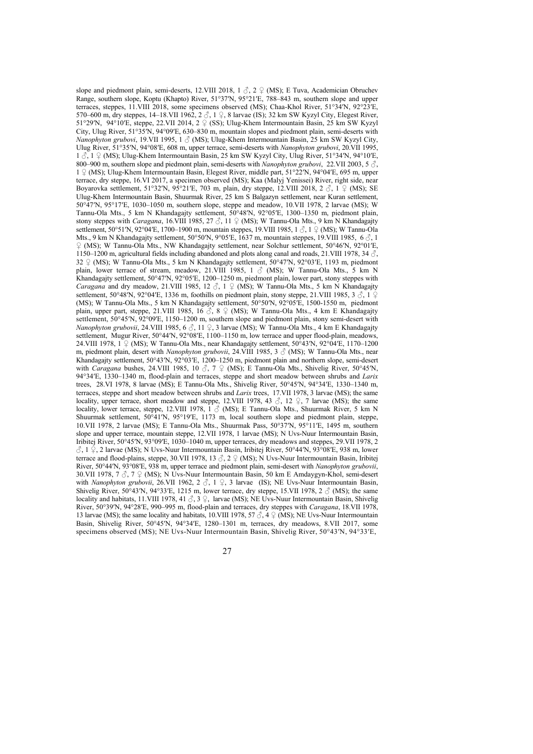slope and piedmont plain, semi-deserts, 12.VIII 2018, 1  $\delta$ , 2  $\Omega$  (MS); E Tuva, Academician Obruchev Range, southern slope, Koptu (Khapto) River, 51°37ʹN, 95°21ʹE, 788–843 m, southern slope and upper terraces, steppes, 11.VIII 2018, some specimens observed (MS); Chaa-Khol River, 51°34′N, 92°23′E, 570–600 m, dry steppes, 14–18.VII 1962,  $2 \text{ } \textcircled{}$ , 1  $\textcircled{}$ , 8 larvae (IS); 32 km SW Kyzyl City, Elegest River, 51°29′N, 94°10′E, steppe, 22.VII 2014, 2  $\frac{9}{5}$  (SS); Ulug-Khem Intermountain Basin, 25 km SW Kyzyl City, Ulug River, 51°35ʹN, 94°09ʹE, 630–830 m, mountain slopes and piedmont plain, semi-deserts with *Nanophyton grubovi*, 19.VII 1995, 1 ♂ (MS); Ulug-Khem Intermountain Basin, 25 km SW Kyzyl City, Ulug River, 51°35ʹN, 94°08ʹE, 608 m, upper terrace, semi-deserts with *Nanophyton grubovi*, 20.VII 1995, 1 ♂, 1 ♀ (MS); Ulug-Khem Intermountain Basin, 25 km SW Kyzyl City, Ulug River, 51°34ʹN, 94°10ʹE, 800–900 m, southern slope and piedmont plain, semi-deserts with *Nanophyton grubovi*, 22.VII 2003, 5  $\circ$ , 1 ♀ (MS); Ulug-Khem Intermountain Basin, Elegest River, middle part, 51°22ʹN, 94°04ʹE, 695 m, upper terrace, dry steppe, 16.VI 2017, a specimen observed (MS); Kaa (Malyj Yenissei) River, right side, near Boyarovka settlement, 51°32′N, 95°21′E, 703 m, plain, dry steppe, 12.VIII 2018, 2  $\delta$ , 1  $\Omega$  (MS); SE Ulug-Khem Intermountain Basin, Shuurmak River, 25 km S Balgazyn settlement, near Kuran settlement, 50°47ʹN, 95°17ʹE, 1030–1050 m, southern slope, steppe and meadow, 10.VII 1978, 2 larvae (MS); W Tannu-Ola Mts., 5 km N Khandagajty settlement, 50°48ʹN, 92°05ʹE, 1300–1350 m, piedmont plain, stony steppes with *Caragana*, 16.VIII 1985, 27  $\delta$ , 11  $\Omega$  (MS); W Tannu-Ola Mts., 9 km N Khandagajty settlement, 50°51′N, 92°04′E, 1700–1900 m, mountain steppes, 19.VIII 1985, 1  $\Im$ , 1  $\Im$  (MS); W Tannu-Ola Mts., 9 km N Khandagajty settlement, 50°50′N, 9°05′E, 1637 m, mountain steppes, 19. VIII 1985, 6  $\delta$ , 1 ♀ (MS); W Tannu-Ola Mts., NW Khandagajty settlement, near Solchur settlement, 50°46ʹN, 92°01ʹE, 1150–1200 m, agricultural fields including abandoned and plots along canal and roads, 21.VIII 1978, 34  $\Im$ . 32  $\varphi$  (MS); W Tannu-Ola Mts., 5 km N Khandagajty settlement, 50°47′N, 92°03′E, 1193 m, piedmont plain, lower terrace of stream, meadow, 21.VIII 1985, 1  $\circ$  (MS); W Tannu-Ola Mts., 5 km N Khandagajty settlement, 50°47ʹN, 92°05ʹE, 1200–1250 m, piedmont plain, lower part, stony steppes with *Caragana* and dry meadow, 21.VIII 1985, 12  $\beta$ , 1  $\beta$  (MS); W Tannu-Ola Mts., 5 km N Khandagajty settlement, 50°48′N, 92°04′E, 1336 m, foothills on piedmont plain, stony steppe, 21.VIII 1985, 3  $\circled$ , 1  $\circ$ (MS); W Tannu-Ola Mts., 5 km N Khandagajty settlement, 50°50ʹN, 92°05ʹE, 1500-1550 m, piedmont plain, upper part, steppe, 21.VIII 1985, 16  $\beta$ , 8  $\beta$  (MS); W Tannu-Ola Mts., 4 km E Khandagajty settlement, 50°45′N, 92°09′E, 1150–1200 m, southern slope and piedmont plain, stony semi-desert with *Nanophyton grubovii*, 24.VIII 1985, 6  $\Diamond$ , 11  $\Diamond$ , 3 larvae (MS); W Tannu-Ola Mts., 4 km E Khandagajty settlement, Mugur River, 50°44′N, 92°08′E, 1100–1150 m, low terrace and upper flood-plain, meadows, 24.VIII 1978,  $1 \nsubseteq (MS)$ ; W Tannu-Ola Mts., near Khandagajty settlement,  $50^{\circ}43'N$ ,  $92^{\circ}04'E$ , 1170–1200 m, piedmont plain, desert with *Nanophyton grubovii*, 24.VIII 1985, 3 ♂ (MS); W Tannu-Ola Mts., near Khandagajty settlement, 50°43′N, 92°03′E, 1200–1250 m, piedmont plain and northern slope, semi-desert with *Caragana* bushes, 24.VIII 1985, 10 ♂, 7 ♀ (MS); E Tannu-Ola Mts., Shivelig River, 50°45′N, 94°34ʹE, 1330–1340 m, flood-plain and terraces, steppe and short meadow between shrubs and *Larix*  trees, 28.VI 1978, 8 larvae (MS); E Tannu-Ola Mts., Shivelig River, 50°45ʹN, 94°34ʹE, 1330–1340 m, terraces, steppe and short meadow between shrubs and *Larix* trees, 17.VII 1978, 3 larvae (MS); the same locality, upper terrace, short meadow and steppe, 12.VIII 1978, 43  $\Im$ , 12  $\Im$ , 7 larvae (MS); the same locality, lower terrace, steppe, 12.VIII 1978, 1  $\circ$  (MS); E Tannu-Ola Mts., Shuurmak River, 5 km N Shuurmak settlement, 50°41ʹN, 95°19ʹE, 1173 m, local southern slope and piedmont plain, steppe, 10.VII 1978, 2 larvae (MS); E Tannu-Ola Mts., Shuurmak Pass, 50°37ʹN, 95°11ʹE, 1495 m, southern slope and upper terrace, mountain steppe, 12.VII 1978, 1 larvae (MS); N Uvs-Nuur Intermountain Basin, Iribitej River, 50°45′N, 93°09′E, 1030–1040 m, upper terraces, dry meadows and steppes, 29.VII 1978, 2  $\beta$ , 1  $\Omega$ , 2 larvae (MS); N Uvs-Nuur Intermountain Basin, Iribitej River, 50°44′N, 93°08′E, 938 m, lower terrace and flood-plains, steppe, 30.VII 1978, 13 3, 2 ♀ (MS); N Uvs-Nuur Intermountain Basin, Iribitej River, 50°44′N, 93°08′E, 938 m, upper terrace and piedmont plain, semi-desert with *Nanophyton grubovii*, 30.VII 1978,  $7 \text{ } \textcircled{}$ ,  $7 \text{ } \textcircled{}$  (MS); N Uvs-Nuur Intermountain Basin, 50 km E Amdaygyn-Khol, semi-desert with *Nanophyton grubovii*, 26.VII 1962, 2 ♂, 1 ♀, 3 larvae (IS); NE Uvs-Nuur Intermountain Basin, Shivelig River, 50°43′N, 94°33′E, 1215 m, lower terrace, dry steppe, 15.VII 1978, 2  $\circ$  (MS); the same locality and habitats, 11.VIII 1978, 41 ♂, 3 ♀, larvae (MS); NE Uvs-Nuur Intermountain Basin, Shivelig River, 50°39ʹN, 94°28ʹE, 990–995 m, flood-plain and terraces, dry steppes with *Caragana*, 18.VII 1978, 13 larvae (MS); the same locality and habitats, 10.VIII 1978, 57  $\hat{\beta}$ , 4  $\hat{\beta}$  (MS); NE Uvs-Nuur Intermountain Basin, Shivelig River, 50°45ʹN, 94°34ʹE, 1280–1301 m, terraces, dry meadows, 8.VII 2017, some specimens observed (MS); NE Uvs-Nuur Intermountain Basin, Shivelig River, 50°43′N, 94°33′E,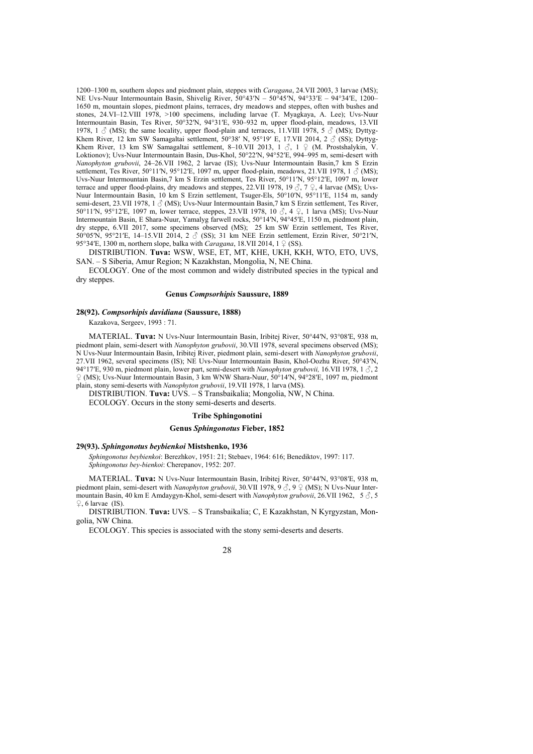1200–1300 m, southern slopes and piedmont plain, steppes with *Caragana*, 24.VII 2003, 3 larvae (MS); NE Uvs-Nuur Intermountain Basin, Shivelig River, 50°43ʹN – 50°45ʹN, 94°33ʹE – 94°34ʹE, 1200– 1650 m, mountain slopes, piedmont plains, terraces, dry meadows and steppes, often with bushes and stones, 24.VI–12.VIII 1978, >100 specimens, including larvae (T. Myagkaya, A. Lee); Uvs-Nuur Intermountain Basin, Tes River, 50°32ʹN, 94°31ʹE, 930–932 m, upper flood-plain, meadows, 13.VII 1978, 1  $\circ$  (MS); the same locality, upper flood-plain and terraces, 11.VIII 1978, 5  $\circ$  (MS); Dyttyg-Khem River, 12 km SW Samagaltai settlement, 50°38′ N, 95°19′ E, 17.VII 2014, 2  $\sigma$  (SS); Dyttyg-Khem River, 13 km SW Samagaltai settlement, 8–10.VII 2013, 1  $\beta$ , 1  $\beta$  (M. Prostshalykin, V. Loktionov); Uvs-Nuur Intermountain Basin, Dus-Khol, 50°22ʹN, 94°52ʹE, 994–995 m, semi-desert with *Nanophyton grubovii*, 24–26.VII 1962, 2 larvae (IS); Uvs-Nuur Intermountain Basin,7 km S Erzin settlement, Tes River, 50°11′N, 95°12′E, 1097 m, upper flood-plain, meadows, 21.VII 1978, 1  $\delta$  (MS); Uvs-Nuur Intermountain Basin,7 km S Erzin settlement, Tes River, 50°11ʹN, 95°12ʹE, 1097 m, lower terrace and upper flood-plains, dry meadows and steppes, 22.VII 1978, 19  $\beta$ , 7  $\beta$ , 4 larvae (MS); Uvs-Nuur Intermountain Basin, 10 km S Erzin settlement, Tsuger-Els, 50°10ʹN, 95°11ʹE, 1154 m, sandy semi-desert, 23.VII 1978, 1  $\triangle$  (MS); Uvs-Nuur Intermountain Basin, 7 km S Erzin settlement. Tes River, 50°11′N, 95°12′E, 1097 m, lower terrace, steppes, 23.VII 1978, 10 3, 4 ♀, 1 larva (MS); Uvs-Nuur Intermountain Basin, E Shara-Nuur, Yamalyg farwell rocks, 50°14ʹN, 94°45ʹE, 1150 m, piedmont plain, dry steppe, 6.VII 2017, some specimens observed (MS); 25 km SW Erzin settlement, Tes River, 50°05′N, 95°21′E, 14–15.VII 2014, 2  $\circ$  (SS); 31 km NEE Erzin settlement, Erzin River, 50°21′N, 95°34′E, 1300 m, northern slope, balka with *Caragana*, 18.VII 2014, 1 ♀ (SS).

DISTRIBUTION. **Tuva:** WSW, WSE, ET, MT, KHE, UKH, KKH, WTO, ETO, UVS, SAN. – S Siberia, Amur Region; N Kazakhstan, Mongolia, N, NE China.

ECOLOGY. One of the most common and widely distributed species in the typical and dry steppes.

#### **Genus** *Compsorhipis* **Saussure, 1889**

### **28(92).** *Compsorhipis davidiana* **(Saussure, 1888)**

Kazakova, Sergeev, 1993 : 71.

MATERIAL. **Tuva:** N Uvs-Nuur Intermountain Basin, Iribitej River, 50°44′N, 93°08′E, 938 m, piedmont plain, semi-desert with *Nanophyton grubovii*, 30.VII 1978, several specimens observed (MS); N Uvs-Nuur Intermountain Basin, Iribitej River, piedmont plain, semi-desert with *Nanophyton grubovii*, 27.VII 1962, several specimens (IS); NE Uvs-Nuur Intermountain Basin, Khol-Oozhu River, 50°43ʹN, 94°17ʹE, 930 m, piedmont plain, lower part, semi-desert with *Nanophyton grubovii,* 16.VII 1978, 1 ♂, 2 ♀ (MS); Uvs-Nuur Intermountain Basin, 3 km WNW Shara-Nuur, 50°14ʹN, 94°28ʹE, 1097 m, piedmont plain, stony semi-deserts with *Nanophyton grubovii*, 19.VII 1978, 1 larva (MS).

DISTRIBUTION. **Tuva:** UVS. – S Transbaikalia; Mongolia, NW, N China.

ECOLOGY. Occurs in the stony semi-deserts and deserts.

### **Tribe Sphingonotini**

# **Genus** *Sphingonotus* **Fieber, 1852**

#### **29(93).** *Sphingonotus beybienkoi* **Mistshenko, 1936**

*Sphingonotus beybienkoi*: Berezhkov, 1951: 21; Stebaev, 1964: 616; Benediktov, 1997: 117. *Sphingonotus bey-bienkoi*: Cherepanov, 1952: 207.

MATERIAL. **Tuva:** N Uvs-Nuur Intermountain Basin, Iribitej River, 50°44′N, 93°08′E, 938 m, piedmont plain, semi-desert with *Nanophyton grubovii*, 30.VII 1978, 9 3, 9 ♀ (MS); N Uvs-Nuur Intermountain Basin, 40 km E Amdaygyn-Khol, semi-desert with *Nanophyton grubovii*, 26.VII 1962, 5 ♂, 5  $\degree$ , 6 larvae (IS).

DISTRIBUTION. **Tuva:** UVS. – S Transbaikalia; C, E Kazakhstan, N Kyrgyzstan, Mongolia, NW China.

ECOLOGY. This species is associated with the stony semi-deserts and deserts.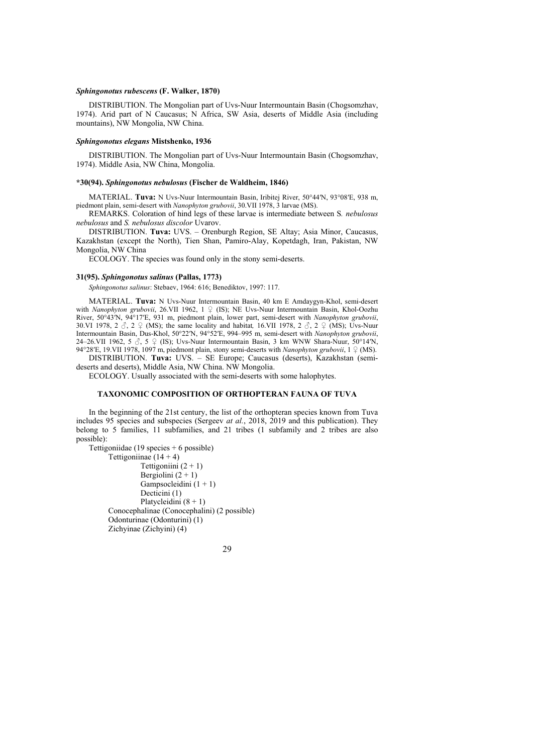### *Sphingonotus rubescens* **(F. Walker, 1870)**

DISTRIBUTION. The Mongolian part of Uvs-Nuur Intermountain Basin (Chogsomzhav, 1974). Arid part of N Caucasus; N Africa, SW Asia, deserts of Middle Asia (including mountains), NW Mongolia, NW China.

# *Sphingonotus elegans* **Mistshenko, 1936**

DISTRIBUTION. The Mongolian part of Uvs-Nuur Intermountain Basin (Chogsomzhav, 1974). Middle Asia, NW China, Mongolia.

#### **\*30(94).** *Sphingonotus nebulosus* **(Fischer de Waldheim, 1846)**

MATERIAL. **Tuva:** N Uvs-Nuur Intermountain Basin, Iribitej River, 50°44′N, 93°08′E, 938 m, piedmont plain, semi-desert with *Nanophyton grubovii*, 30.VII 1978, 3 larvae (MS).

REMARKS. Coloration of hind legs of these larvae is intermediate between S*. nebulosus nebulosus* and *S. nebulosus discolor* Uvarov.

DISTRIBUTION. **Tuva:** UVS. – Orenburgh Region, SE Altay; Asia Minor, Caucasus, Kazakhstan (except the North), Tien Shan, Pamiro-Alay, Kopetdagh, Iran, Pakistan, NW Mongolia, NW China

ECOLOGY. The species was found only in the stony semi-deserts.

#### **31(95).** *Sphingonotus salinus* **(Pallas, 1773)**

*Sphingonotus salinus*: Stebaev, 1964: 616; Benediktov, 1997: 117.

MATERIAL. **Tuva:** N Uvs-Nuur Intermountain Basin, 40 km E Amdaygyn-Khol, semi-desert with *Nanophyton grubovii*, 26.VII 1962, 1 ♀ (IS); NE Uvs-Nuur Intermountain Basin, Khol-Oozhu River, 50°43ʹN, 94°17ʹE, 931 m, piedmont plain, lower part, semi-desert with *Nanophyton grubovii*, 30.VI 1978, 2  $\Im$ , 2  $\Im$  (MS); the same locality and habitat, 16.VII 1978, 2  $\Im$ , 2  $\Im$  (MS); Uvs-Nuur Intermountain Basin, Dus-Khol, 50°22ʹN, 94°52ʹE, 994–995 m, semi-desert with *Nanophyton grubovii*, 24–26.VII 1962, 5  $\hat{\beta}$ , 5  $\hat{\varphi}$  (IS); Uvs-Nuur Intermountain Basin, 3 km WNW Shara-Nuur, 50°14′N, 94°28′E, 19.VII 1978, 1097 m, piedmont plain, stony semi-deserts with *Nanophyton grubovii*, 1 ♀ (MS).

DISTRIBUTION. **Tuva:** UVS. – SE Europe; Caucasus (deserts), Kazakhstan (semideserts and deserts), Middle Asia, NW China. NW Mongolia.

ECOLOGY. Usually associated with the semi-deserts with some halophytes.

#### **TAXONOMIC COMPOSITION OF ORTHOPTERAN FAUNA OF TUVA**

In the beginning of the 21st century, the list of the orthopteran species known from Tuva includes 95 species and subspecies (Sergeev *at al.*, 2018, 2019 and this publication). They belong to 5 families, 11 subfamilies, and 21 tribes (1 subfamily and 2 tribes are also possible):

Tettigoniidae (19 species + 6 possible) Tettigoniinae  $(14 + 4)$ Tettigoniini  $(2 + 1)$ Bergiolini  $(2 + 1)$ Gampsocleidini  $(1 + 1)$  Decticini (1) Platycleidini (8 + 1) Conocephalinae (Conocephalini) (2 possible) Odonturinae (Odonturini) (1) Zichyinae (Zichyini) (4)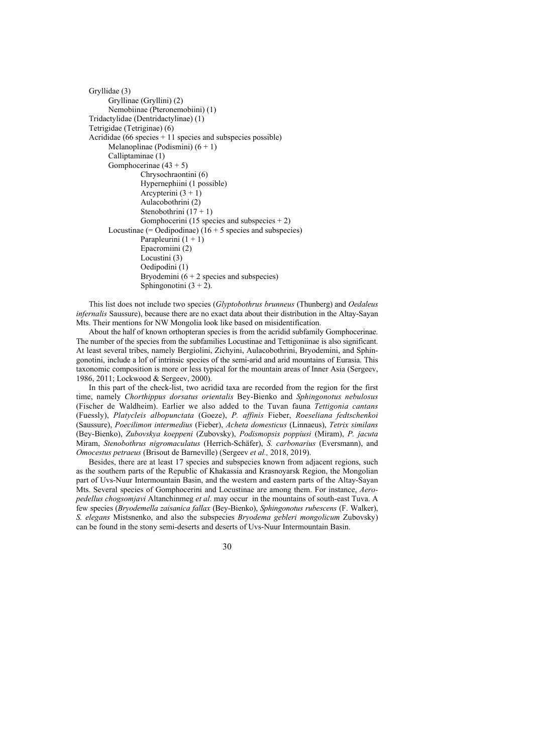```
Gryllidae (3) 
       Gryllinae (Gryllini) (2) 
       Nemobiinae (Pteronemobiini) (1) 
Tridactylidae (Dentridactylinae) (1) 
Tetrigidae (Tetriginae) (6) 
Acrididae (66 species +11 species and subspecies possible)
      Melanoplinae (Podismini) (6 + 1) Calliptaminae (1) 
       Gomphocerinae (43 + 5) 
                 Chrysochraontini (6) 
                 Hypernephiini (1 possible) 
                Arcypterini (3 + 1) Aulacobothrini (2) 
                Stenobothrini (17 + 1)Gomphocerini (15 species and subspecies + 2)
      Locustinae (= Oedipodinae) (16 + 5 species and subspecies)
                Parapleurini (1 + 1) Epacromiini (2) 
                 Locustini (3) 
                 Oedipodini (1) 
                Bryodemini (6 + 2 species and subspecies)
                Sphingonotini (3 + 2).
```
This list does not include two species (*Glyptobothrus brunneus* (Thunberg) and *Oedaleus infernalis* Saussure), because there are no exact data about their distribution in the Altay-Sayan Mts. Their mentions for NW Mongolia look like based on misidentification.

About the half of known orthopteran species is from the acridid subfamily Gomphocerinae. The number of the species from the subfamilies Locustinae and Tettigoniinae is also significant. At least several tribes, namely Bergiolini, Zichyini, Aulacobothrini, Bryodemini, and Sphingonotini, include a lof of intrinsic species of the semi-arid and arid mountains of Eurasia. This taxonomic composition is more or less typical for the mountain areas of Inner Asia (Sergeev, 1986, 2011; Lockwood & Sergeev, 2000).

In this part of the check-list, two acridid taxa are recorded from the region for the first time, namely *Chorthippus dorsatus orientalis* Bey-Bienko and *Sphingonotus nebulosus* (Fischer de Waldheim). Earlier we also added to the Tuvan fauna *Tettigonia cantans* (Fuessly), *Platycleis albopunctata* (Goeze), *P. affinis* Fieber, *Roeseliana fedtschenkoi* (Saussure), *Poecilimon intermedius* (Fieber), *Acheta domesticus* (Linnaeus), *Tetrix similans* (Bey-Bienko), *Zubovskya koeppeni* (Zubovsky), *Podismopsis poppiusi* (Miram), *P. jacuta* Miram, *Stenobothrus nigromaculatus* (Herrich-Schäfer), *S. carbonarius* (Eversmann), and *Omocestus petraeus* (Brisout de Barneville) (Sergeev *et al.,* 2018, 2019).

Besides, there are at least 17 species and subspecies known from adjacent regions, such as the southern parts of the Republic of Khakassia and Krasnoyarsk Region, the Mongolian part of Uvs-Nuur Intermountain Basin, and the western and eastern parts of the Altay-Sayan Mts. Several species of Gomphocerini and Locustinae are among them. For instance, *Aeropedellus chogsomjavi* Altanchinmeg *et al*. may occur in the mountains of south-east Tuva. A few species (*Bryodemella zaisanica fallax* (Bey-Bienko), *Sphingonotus rubescens* (F. Walker), *S. elegans* Mistsnenko, and also the subspecies *Bryodema gebleri mongolicum* Zubovsky) can be found in the stony semi-deserts and deserts of Uvs-Nuur Intermountain Basin.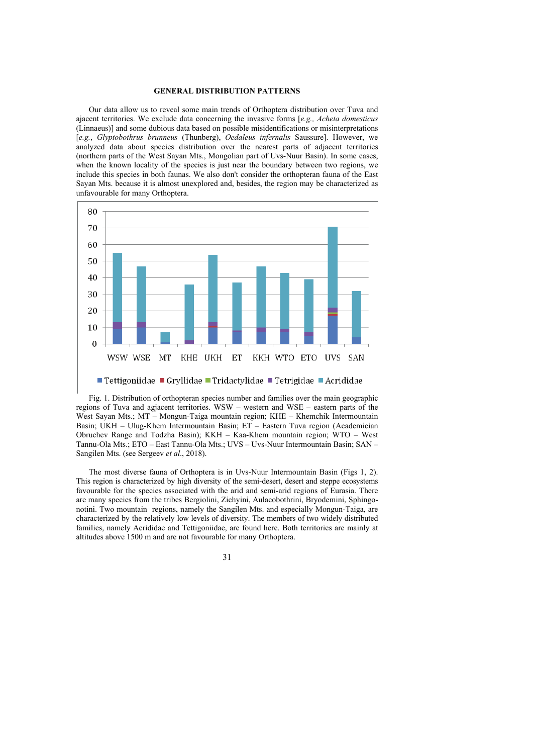# **GENERAL DISTRIBUTION PATTERNS**

Our data allow us to reveal some main trends of Orthoptera distribution over Tuva and ajacent territories. We exclude data concerning the invasive forms [*e.g., Acheta domesticus* (Linnaeus)] and some dubious data based on possible misidentifications or misinterpretations [*e.g.*, *Glyptobothrus brunneus* (Thunberg), *Oedaleus infernalis* Saussure]. However, we analyzed data about species distribution over the nearest parts of adjacent territories (northern parts of the West Sayan Mts., Mongolian part of Uvs-Nuur Basin). In some cases, when the known locality of the species is just near the boundary between two regions, we include this species in both faunas. We also don't consider the orthopteran fauna of the East Sayan Mts. because it is almost unexplored and, besides, the region may be characterized as unfavourable for many Orthoptera.



Fig. 1. Distribution of orthopteran species number and families over the main geographic regions of Tuva and agjacent territories. WSW – western and WSE – eastern parts of the West Sayan Mts.; MT – Mongun-Taiga mountain region; KHE – Khemchik Intermountain Basin; UKH – Ulug-Khem Intermountain Basin; ET – Eastern Tuva region (Academician Obruchev Range and Todzha Basin); KKH – Kaa-Khem mountain region; WTO – West Tannu-Ola Mts.; ETO – East Tannu-Ola Mts.; UVS – Uvs-Nuur Intermountain Basin; SAN – Sangilen Mts. (see Sergeev *et al*., 2018).

The most diverse fauna of Orthoptera is in Uvs-Nuur Intermountain Basin (Figs 1, 2). This region is characterized by high diversity of the semi-desert, desert and steppe ecosystems favourable for the species associated with the arid and semi-arid regions of Eurasia. There are many species from the tribes Bergiolini, Zichyini, Aulacobothrini, Bryodemini, Sphingonotini. Two mountain regions, namely the Sangilen Mts. and especially Mongun-Taiga, are characterized by the relatively low levels of diversity. The members of two widely distributed families, namely Acrididae and Tettigoniidae, are found here. Both territories are mainly at altitudes above 1500 m and are not favourable for many Orthoptera.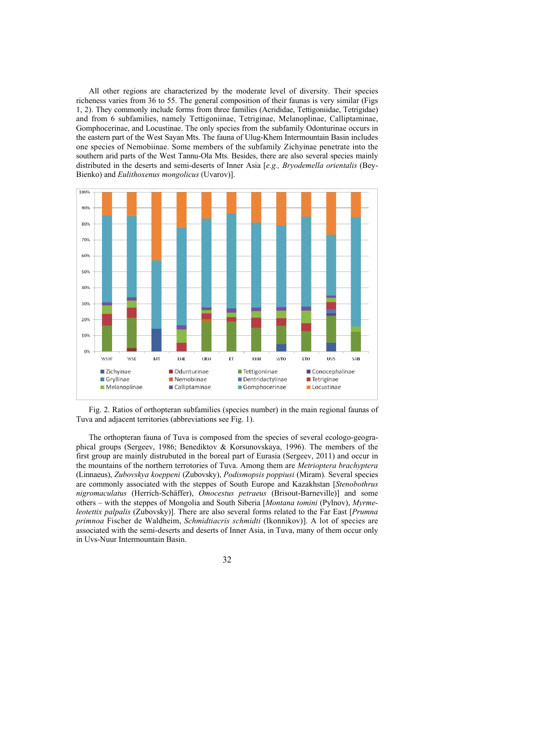All other regions are characterized by the moderate level of diversity. Their species richeness varies from 36 to 55. The general composition of their faunas is very similar (Figs 1, 2). They commonly include forms from three families (Acrididae, Tettigoniidae, Tetrigidae) and from 6 subfamilies, namely Tettigoniinae, Tetriginae, Melanoplinae, Calliptaminae, Gomphocerinae, and Locustinae. The only species from the subfamily Odonturinae occurs in the eastern part of the West Sayan Mts. The fauna of Ulug-Khem Intermountain Basin includes one species of Nemobiinae. Some members of the subfamily Zichyinae penetrate into the southern arid parts of the West Tannu-Ola Mts. Besides, there are also several species mainly distributed in the deserts and semi-deserts of Inner Asia [*e.g., Bryodemella orientalis* (Bey-Bienko) and *Eulithoxenus mongolicus* (Uvarov)].



Fig. 2. Ratios of orthopteran subfamilies (species number) in the main regional faunas of Tuva and adjacent territories (abbreviations see Fig. 1).

The orthopteran fauna of Tuva is composed from the species of several ecologo-geographical groups (Sergeev, 1986; Benediktov & Korsunovskaya, 1996). The members of the first group are mainly distrubuted in the boreal part of Eurasia (Sergeev, 2011) and occur in the mountains of the northern terrotories of Tuva. Among them are *Metrioptera brachyptera* (Linnaeus), *Zubovskya koeppeni* (Zubovsky), *Podismopsis poppiusi* (Miram)*.* Several species are commonly associated with the steppes of South Europe and Kazakhstan [*Stenobothrus nigromaculatus* (Herrich-Schäffer), *Omocestus petraeus* (Brisout-Barneville)] and some others – with the steppes of Mongolia and South Siberia [*Montana tomini* (Pylnov), *Myrmeleotettix palpalis* (Zubovsky)]. There are also several forms related to the Far East [*Prumna primnoa* Fischer de Waldheim, *Schmidtiacris schmidti* (Ikonnikov)]. A lot of species are associated with the semi-deserts and deserts of Inner Asia, in Tuva, many of them occur only in Uvs-Nuur Intermountain Basin.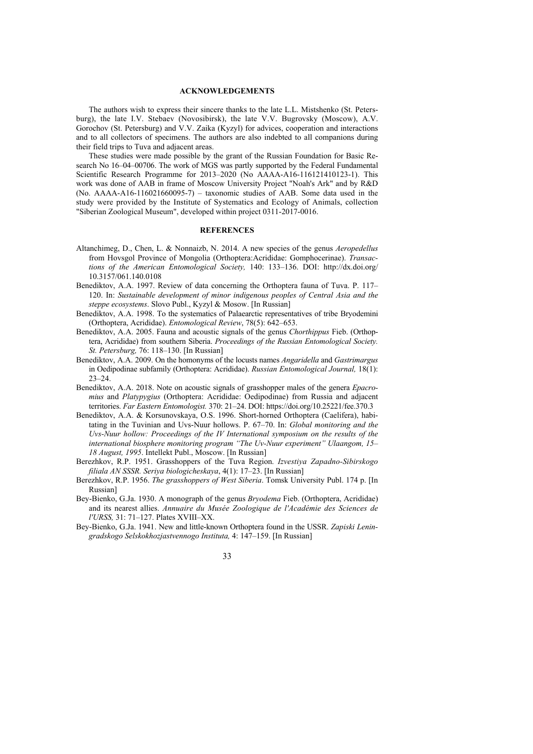# **ACKNOWLEDGEMENTS**

The authors wish to express their sincere thanks to the late L.L. Mistshenko (St. Petersburg), the late I.V. Stebaev (Novosibirsk), the late V.V. Bugrovsky (Moscow), A.V. Gorochov (St. Petersburg) and V.V. Zaika (Kyzyl) for advices, cooperation and interactions and to all collectors of specimens. The authors are also indebted to all companions during their field trips to Tuva and adjacent areas.

These studies were made possible by the grant of the Russian Foundation for Basic Research No 16–04–00706. The work of MGS was partly supported by the Federal Fundamental Scientific Research Programme for  $2013-2020$  (No AAAA-A16-116121410123-1). This work was done of AAB in frame of Moscow University Project "Noah's Ark" and by R&D (No.  $AAAA-A16-116021660095-7$ ) – taxonomic studies of  $AAB$ . Some data used in the study were provided by the Institute of Systematics and Ecology of Animals, collection "Siberian Zoological Museum", developed within project 0311-2017-0016.

# **REFERENCES**

- Altanchimeg, D., Chen, L. & Nonnaizb, N. 2014. A new species of the genus *Aeropedellus* from Hovsgol Province of Mongolia (Orthoptera:Acrididae: Gomphocerinae). *Transactions of the American Entomological Society,* 140: 133–136. DOI: http://dx.doi.org/ 10.3157/061.140.0108
- Benediktov, A.A. 1997. Review of data concerning the Orthoptera fauna of Tuva. P. 117– 120. In: *Sustainable development of minor indigenous peoples of Central Asia and the steppe ecosystems*. Slovo Publ., Kyzyl & Mosow. [In Russian]
- Benediktov, A.A. 1998. To the systematics of Palaearctic representatives of tribe Bryodemini (Orthoptera, Acrididae). *Entomological Review*, 78(5): 642–653.
- Benediktov, A.A. 2005. Fauna and acoustic signals of the genus *Chorthippus* Fieb. (Orthoptera, Acrididae) from southern Siberia. *Proceedings of the Russian Entomological Society. St. Petersburg,* 76: 118–130. [In Russian]
- Benediktov, A.A. 2009. On the homonyms of the locusts names *Angaridella* and *Gastrimargus* in Oedipodinae subfamily (Orthoptera: Acrididae). *Russian Entomological Journal,* 18(1): 23–24.
- Benediktov, А.А. 2018. Note on acoustic signals of grasshopper males of the genera *Epacromius* and *Platypygius* (Orthoptera: Acrididae: Oedipodinae) from Russia and adjacent territories. *Far Eastern Entomologist.* 370: 21–24. DOI: https://doi.org/10.25221/fee.370.3
- Benediktov, A.A. & Korsunovskaya, O.S. 1996. Short-horned Orthoptera (Caelifera), habitating in the Tuvinian and Uvs-Nuur hollows. P. 67–70. In: *Global monitoring and the Uvs-Nuur hollow: Proceedings of the IV International symposium on the results of the international biosphere monitoring program "The Uv-Nuur experiment" Ulaangom, 15– 18 August, 1995*. Intellekt Publ., Мoscow. [In Russian]
- Berezhkov, R.P. 1951. Grasshoppers of the Tuva Region. *Izvestiya Zapadno-Sibirskogo filiala AN SSSR. Seriya biologicheskaya*, 4(1): 17–23. [In Russian]
- Berezhkov, R.P. 1956. *The grasshoppers of West Siberia*. Tomsk University Publ. 174 p. [In Russian]
- Bey-Bienko, G.Ja. 1930. A monograph of the genus *Bryodema* Fieb. (Orthoptera, Acrididae) and its nearest allies. *Annuaire du Musée Zoologique de l'Académie des Sciences de l'URSS,* 31: 71–127. Plates XVIII–XX.
- Bey-Bienko, G.Ja. 1941. New and little-known Orthoptera found in the USSR. *Zapiski Leningradskogo Selskokhozjastvennogo Instituta,* 4: 147–159. [In Russian]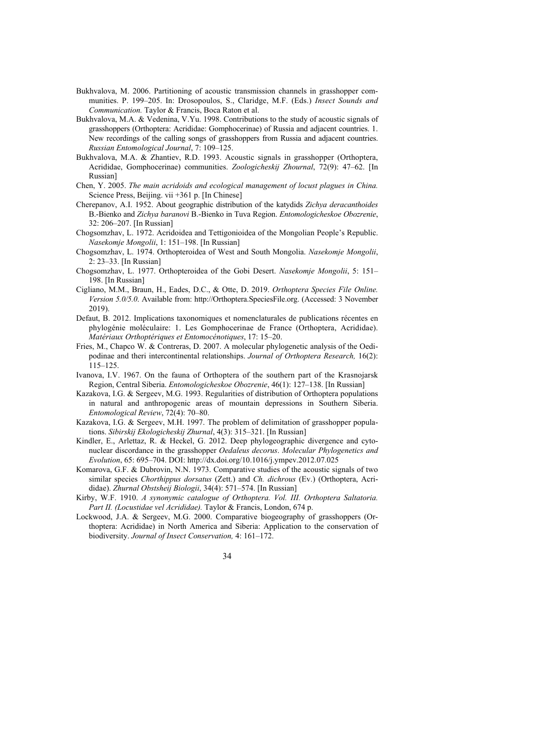- Bukhvalova, M. 2006. Partitioning of acoustic transmission channels in grasshopper communities. P. 199–205. In: Drosopoulos, S., Claridge, M.F. (Eds.) *Insect Sounds and Communication.* Taylor & Francis, Boca Raton et al.
- Bukhvalova, M.A. & Vedenina, V.Yu. 1998. Contributions to the study of acoustic signals of grasshoppers (Orthoptera: Acrididae: Gomphocerinae) of Russia and adjacent countries. 1. New recordings of the calling songs of grasshoppers from Russia and adjacent countries. *Russian Entomological Journal*, 7: 109–125.
- Bukhvalova, M.A. & Zhantiev, R.D. 1993. Acoustic signals in grasshopper (Orthoptera, Acrididae, Gomphocerinae) communities. *Zoologicheskij Zhournal*, 72(9): 47–62. [In Russian]
- Chen, Y. 2005. *The main acridoids and ecological management of locust plagues in China.* Science Press, Beijing. vii +361 p. [In Chinese]
- Cherepanov, A.I. 1952. About geographic distribution of the katydids *Zichya deracanthoides* B.-Bienko and *Zichya baranovi* B.-Bienko in Tuva Region. *Entomologicheskoe Obozrenie*, 32: 206–207. [In Russian]
- Chogsomzhav, L. 1972. Acridoidea and Tettigonioidea of the Mongolian People's Republic. *Nasekomje Mongolii*, 1: 151–198. [In Russian]
- Chogsomzhav, L. 1974. Orthopteroidea of West and South Mongolia. *Nasekomje Mongolii*, 2: 23–33. [In Russian]
- Chogsomzhav, L. 1977. Orthopteroidea of the Gobi Desert. *Nasekomje Mongolii*, 5: 151– 198. [In Russian]
- Cigliano, M.M., Braun, H., Eades, D.C., & Otte, D. 2019. *Orthoptera Species File Online. Version 5.0/5.0*. Available from: http://Orthoptera.SpeciesFile.org. (Accessed: 3 November 2019).
- Defaut, B. 2012. Implications taxonomiques et nomenclaturales de publications récentes en phylogénie moléculaire: 1. Les Gomphocerinae de France (Orthoptera, Acrididae). *Matériaux Orthoptériques et Entomocénotiques*, 17: 15–20.
- Fries, M., Chapco W. & Contreras, D. 2007. A molecular phylogenetic analysis of the Oedipodinae and theri intercontinental relationships. *Journal of Orthoptera Research,* 16(2): 115–125.
- Ivanova, I.V. 1967. On the fauna of Orthoptera of the southern part of the Krasnojarsk Region, Central Siberia. *Entomologicheskoe Obozrenie*, 46(1): 127–138. [In Russian]
- Kazakova, I.G. & Sergeev, M.G. 1993. Regularities of distribution of Orthoptera populations in natural and anthropogenic areas of mountain depressions in Southern Siberia. *Entomological Review*, 72(4): 70–80.
- Kazakova, I.G. & Sergeev, M.H. 1997. The problem of delimitation of grasshopper populations. *Sibirskij Ekologicheskij Zhurnal*, 4(3): 315–321. [In Russian]
- Kindler, E., Arlettaz, R. & Heckel, G. 2012. Deep phylogeographic divergence and cytonuclear discordance in the grasshopper *Oedaleus decorus*. *Molecular Phylogenetics and Evolution*, 65: 695–704. DOI: http://dx.doi.org/10.1016/j.ympev.2012.07.025
- Komarova, G.F. & Dubrovin, N.N. 1973. Comparative studies of the acoustic signals of two similar species *Chorthippus dorsatus* (Zett.) and *Ch. dichrous* (Ev.) (Orthoptera, Acrididae). *Zhurnal Obstsheij Biologii*, 34(4): 571–574. [In Russian]
- Kirby, W.F. 1910. *A synonymic catalogue of Orthoptera. Vol. III. Orthoptera Saltatoria. Part II. (Locustidae vel Acrididae).* Taylor & Francis, London, 674 p.
- Lockwood, J.A. & Sergeev, M.G. 2000. Comparative biogeography of grasshoppers (Orthoptera: Acrididae) in North America and Siberia: Application to the conservation of biodiversity. *Journal of Insect Conservation,* 4: 161–172.

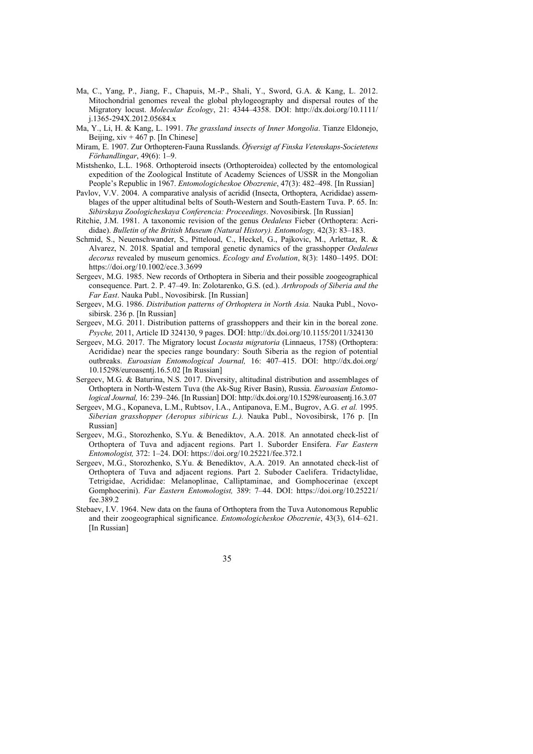- Ma, C., Yang, P., Jiang, F., Chapuis, M.-P., Shali, Y., Sword, G.A. & Kang, L. 2012. Mitochondrial genomes reveal the global phylogeography and dispersal routes of the Migratory locust. *Molecular Ecology*, 21: 4344–4358. DOI: http://dx.doi.org/10.1111/ j.1365-294X.2012.05684.x
- Ma, Y., Li, H. & Kang, L. 1991. *The grassland insects of Inner Mongolia*. Tianze Eldonejo, Beijing,  $xiv + 467$  p. [In Chinese]
- Miram, E. 1907. Zur Orthopteren-Fauna Russlands. *Öfversigt af Finska Vetenskaps-Societetens Förhandlingar*, 49(6): 1–9.
- Mistshenko, L.L. 1968. Orthopteroid insects (Orthopteroidea) collected by the entomological expedition of the Zoological Institute of Academy Sciences of USSR in the Mongolian People's Republic in 1967. *Entomologicheskoe Obozrenie*, 47(3): 482–498. [In Russian]
- Pavlov, V.V. 2004. A comparative analysis of acridid (Insecta, Orthoptera, Acrididae) assemblages of the upper altitudinal belts of South-Western and South-Eastern Tuva. P. 65. In: *Sibirskaya Zoologicheskaya Conferencia: Proceedings*. Novosibirsk. [In Russian]
- Ritchie, J.M. 1981. A taxonomic revision of the genus *Oedaleus* Fieber (Orthoptera: Acrididae). *Bulletin of the British Museum (Natural History). Entomology,* 42(3): 83–183.
- Schmid, S., Neuenschwander, S., Pitteloud, C., Heckel, G., Pajkovic, M., Arlettaz, R. & Alvarez, N. 2018. Spatial and temporal genetic dynamics of the grasshopper *Oedaleus decorus* revealed by museum genomics. *Ecology and Evolution*, 8(3): 1480–1495. DOI: https://doi.org/10.1002/ece.3.3699
- Sergeev, M.G. 1985. New records of Orthoptera in Siberia and their possible zoogeographical consequence. Part. 2. P. 47–49. In: Zolotarenko, G.S. (ed.). *Arthropods of Siberia and the Far East*. Nauka Publ., Novosibirsk. [In Russian]
- Sergeev, M.G. 1986. *Distribution patterns of Orthoptera in North Asia.* Nauka Publ., Novosibirsk. 236 p. [In Russian]
- Sergeev, M.G. 2011. Distribution patterns of grasshoppers and their kin in the boreal zone. *Psyche,* 2011, Article ID 324130, 9 pages. DOI: http://dx.doi.org/10.1155/2011/324130
- Sergeev, M.G. 2017. The Migratory locust *Locusta migratoria* (Linnaeus, 1758) (Orthoptera: Acrididae) near the species range boundary: South Siberia as the region of potential outbreaks. *Euroasian Entomological Journal,* 16: 407–415. DOI: http://dx.doi.org/ 10.15298/euroasentj.16.5.02 [In Russian]
- Sergeev, M.G. & Baturina, N.S. 2017. Diversity, altitudinal distribution and assemblages of Orthoptera in North-Western Tuva (the Ak-Sug River Basin), Russia. *Euroasian Entomological Journal,* 16: 239–246. [In Russian] DOI: http://dx.doi.org/10.15298/euroasentj.16.3.07
- Sergeev, M.G., Kopaneva, L.M., Rubtsov, I.A., Antipanova, E.M., Bugrov, A.G. *et al.* 1995. *Siberian grasshopper (Aeropus sibiricus L.).* Nauka Publ., Novosibirsk, 176 p. [In Russian]
- Sergeev, M.G., Storozhenko, S.Yu. & Benediktov, A.A. 2018. An annotated check-list of Orthoptera of Tuva and adjacent regions. Part 1. Suborder Ensifera. *Far Eastern Entomologist,* 372: 1–24. DOI: https://doi.org/10.25221/fee.372.1
- Sergeev, M.G., Storozhenko, S.Yu. & Benediktov, A.A. 2019. An annotated check-list of Orthoptera of Tuva and adjacent regions. Part 2. Suboder Caelifera. Tridactylidae, Tetrigidae, Acrididae: Melanoplinae, Calliptaminae, and Gomphocerinae (except Gomphocerini). *Far Eastern Entomologist,* 389: 7–44. DOI: https://doi.org/10.25221/ fee.389.2
- Stebaev, I.V. 1964. New data on the fauna of Orthoptera from the Tuva Autonomous Republic and their zoogeographical significance. *Entomologicheskoe Obozrenie*, 43(3), 614–621. [In Russian]